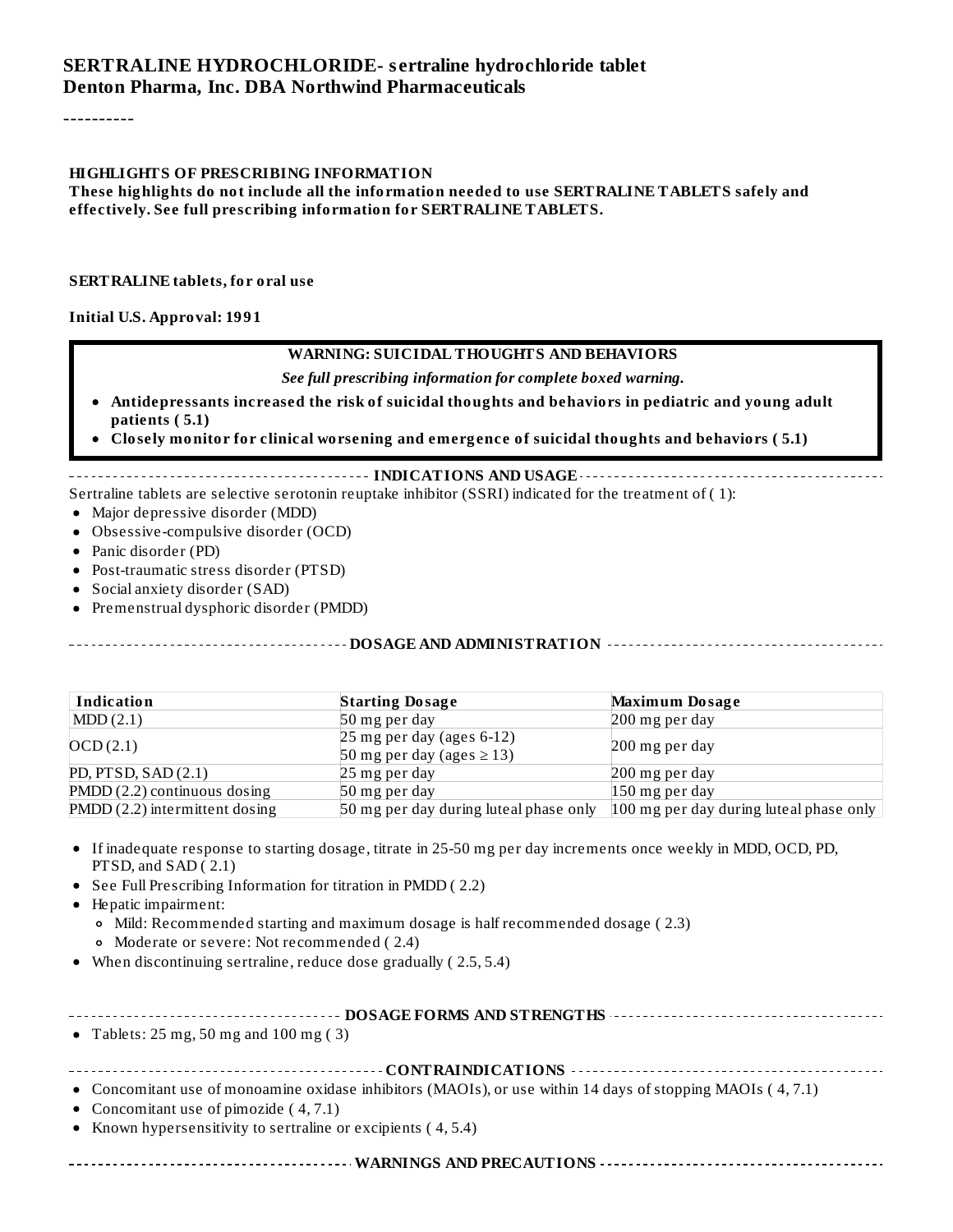#### **SERTRALINE HYDROCHLORIDE- s ertraline hydrochloride tablet Denton Pharma, Inc. DBA Northwind Pharmaceuticals**

----------

#### **HIGHLIGHTS OF PRESCRIBING INFORMATION**

**These highlights do not include all the information needed to use SERTRALINE TABLETS safely and effectively. See full prescribing information for SERTRALINE TABLETS.**

#### **SERTRALINE tablets, for oral use**

#### **Initial U.S. Approval: 1991**

#### **WARNING: SUICIDAL THOUGHTS AND BEHAVIORS**

*See full prescribing information for complete boxed warning.*

- **Antidepressants increased the risk of suicidal thoughts and behaviors in pediatric and young adult patients ( 5.1)**
- **Closely monitor for clinical worsening and emergence of suicidal thoughts and behaviors ( 5.1)**

#### **INDICATIONS AND USAGE**

Sertraline tablets are selective serotonin reuptake inhibitor (SSRI) indicated for the treatment of ( 1):

- Major depressive disorder (MDD)
- Obsessive-compulsive disorder (OCD)
- Panic disorder (PD)
- Post-traumatic stress disorder (PTSD)
- Social anxiety disorder (SAD)
- Premenstrual dysphoric disorder (PMDD)

**DOSAGE AND ADMINISTRATION**

| Indication                     | <b>Starting Dosage</b>                                       | <b>Maximum Dosage</b>                   |
|--------------------------------|--------------------------------------------------------------|-----------------------------------------|
| MDD(2.1)                       | 50 mg per day                                                | 200 mg per day                          |
| OCD(2.1)                       | $25$ mg per day (ages 6-12)<br>50 mg per day (ages $\ge$ 13) | 200 mg per day                          |
| PD, PTSD, SAD $(2.1)$          | 25 mg per day                                                | 200 mg per day                          |
| $PMDD(2.2)$ continuous dosing  | 50 mg per day                                                | $150$ mg per day                        |
| PMDD (2.2) intermittent dosing | 50 mg per day during luteal phase only                       | 100 mg per day during luteal phase only |

- If inadequate response to starting dosage, titrate in 25-50 mg per day increments once weekly in MDD, OCD, PD, PTSD, and SAD (2.1)
- See Full Prescribing Information for titration in PMDD (2.2)
- Hepatic impairment:
	- Mild: Recommended starting and maximum dosage is half recommended dosage ( 2.3)
	- Moderate or severe: Not recommended ( 2.4)
- When discontinuing sertraline, reduce dose gradually ( 2.5, 5.4)

| • Tablets: $25 \text{ mg}$ , $50 \text{ mg}$ and $100 \text{ mg}$ (3) |  |  |  |
|-----------------------------------------------------------------------|--|--|--|
|                                                                       |  |  |  |

**CONTRAINDICATIONS**

Concomitant use of monoamine oxidase inhibitors (MAOIs), or use within 14 days of stopping MAOIs ( 4, 7.1)

- Concomitant use of pimozide (4,7.1)
- Known hypersensitivity to sertraline or excipients  $(4, 5.4)$

**WARNINGS AND PRECAUTIONS**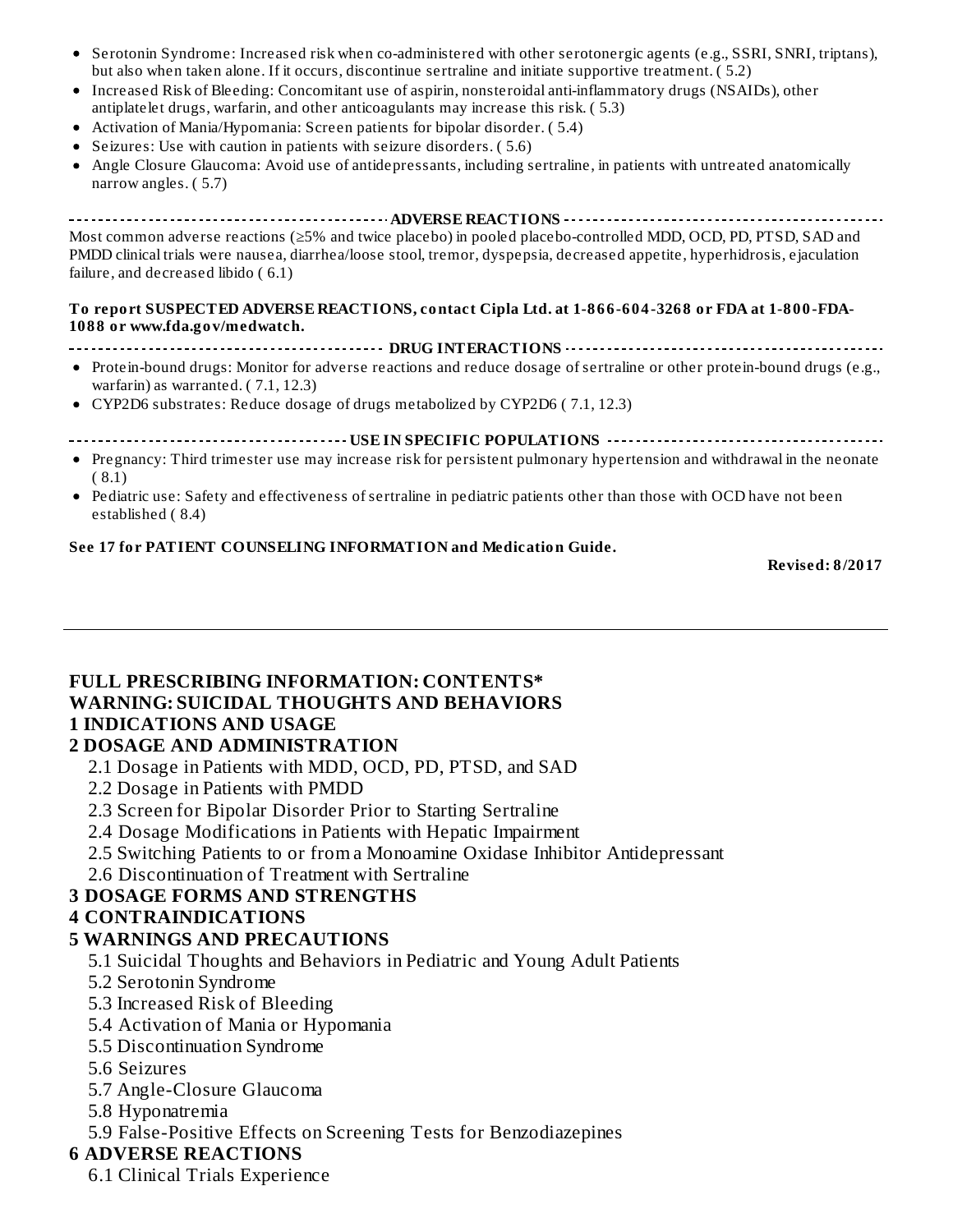- Serotonin Syndrome: Increased risk when co-administered with other serotonergic agents (e.g., SSRI, SNRI, triptans),  $\bullet$ but also when taken alone. If it occurs, discontinue sertraline and initiate supportive treatment. ( 5.2)
- Increased Risk of Bleeding: Concomitant use of aspirin, nonsteroidal anti-inflammatory drugs (NSAIDs), other antiplatelet drugs, warfarin, and other anticoagulants may increase this risk. ( 5.3)
- Activation of Mania/Hypomania: Screen patients for bipolar disorder. ( 5.4)
- Seizures: Use with caution in patients with seizure disorders. ( 5.6)
- Angle Closure Glaucoma: Avoid use of antidepressants, including sertraline, in patients with untreated anatomically  $\bullet$ narrow angles. ( 5.7)

**ADVERSE REACTIONS** Most common adverse reactions (≥5% and twice placebo) in pooled placebo-controlled MDD, OCD, PD, PTSD, SAD and PMDD clinical trials were nausea, diarrhea/loose stool, tremor, dyspepsia, decreased appetite, hyperhidrosis, ejaculation failure, and decreased libido ( 6.1)

#### **To report SUSPECTED ADVERSE REACTIONS, contact Cipla Ltd. at 1-866-604-3268 or FDA at 1-800-FDA-1088 or www.fda.gov/medwatch.**

- **DRUG INTERACTIONS**
- Protein-bound drugs: Monitor for adverse reactions and reduce dosage of sertraline or other protein-bound drugs (e.g., warfarin) as warranted. ( 7.1, 12.3)
- CYP2D6 substrates: Reduce dosage of drugs metabolized by CYP2D6 ( 7.1, 12.3)
- **USE IN SPECIFIC POPULATIONS**
- Pregnancy: Third trimester use may increase risk for persistent pulmonary hypertension and withdrawal in the neonate ( 8.1)
- Pediatric use: Safety and effectiveness of sertraline in pediatric patients other than those with OCD have not been established ( 8.4)

#### **See 17 for PATIENT COUNSELING INFORMATION and Medication Guide.**

**Revised: 8/2017**

#### **FULL PRESCRIBING INFORMATION: CONTENTS\* WARNING: SUICIDAL THOUGHTS AND BEHAVIORS 1 INDICATIONS AND USAGE**

#### **2 DOSAGE AND ADMINISTRATION**

- 2.1 Dosage in Patients with MDD, OCD, PD, PTSD, and SAD
- 2.2 Dosage in Patients with PMDD
- 2.3 Screen for Bipolar Disorder Prior to Starting Sertraline
- 2.4 Dosage Modifications in Patients with Hepatic Impairment
- 2.5 Switching Patients to or from a Monoamine Oxidase Inhibitor Antidepressant
- 2.6 Discontinuation of Treatment with Sertraline

#### **3 DOSAGE FORMS AND STRENGTHS**

#### **4 CONTRAINDICATIONS**

#### **5 WARNINGS AND PRECAUTIONS**

- 5.1 Suicidal Thoughts and Behaviors in Pediatric and Young Adult Patients
- 5.2 Serotonin Syndrome
- 5.3 Increased Risk of Bleeding
- 5.4 Activation of Mania or Hypomania
- 5.5 Discontinuation Syndrome
- 5.6 Seizures
- 5.7 Angle-Closure Glaucoma
- 5.8 Hyponatremia
- 5.9 False-Positive Effects on Screening Tests for Benzodiazepines

#### **6 ADVERSE REACTIONS**

6.1 Clinical Trials Experience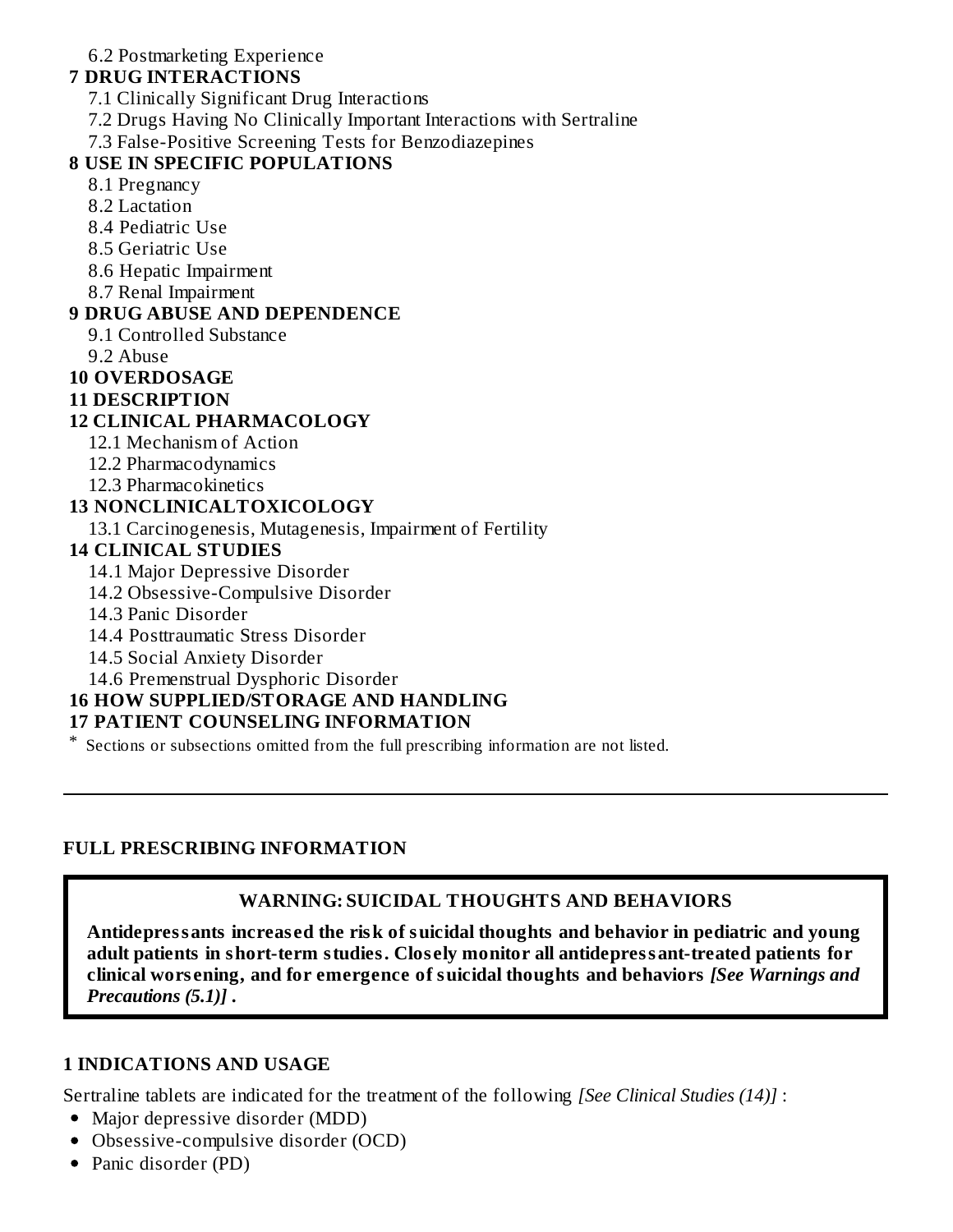#### 6.2 Postmarketing Experience

### **7 DRUG INTERACTIONS**

7.1 Clinically Significant Drug Interactions

- 7.2 Drugs Having No Clinically Important Interactions with Sertraline
- 7.3 False-Positive Screening Tests for Benzodiazepines

## **8 USE IN SPECIFIC POPULATIONS**

- 8.1 Pregnancy
- 8.2 Lactation
- 8.4 Pediatric Use
- 8.5 Geriatric Use
- 8.6 Hepatic Impairment
- 8.7 Renal Impairment

## **9 DRUG ABUSE AND DEPENDENCE**

- 9.1 Controlled Substance
- 9.2 Abuse

#### **10 OVERDOSAGE**

**11 DESCRIPTION**

#### **12 CLINICAL PHARMACOLOGY**

- 12.1 Mechanism of Action
- 12.2 Pharmacodynamics
- 12.3 Pharmacokinetics

#### **13 NONCLINICALTOXICOLOGY**

13.1 Carcinogenesis, Mutagenesis, Impairment of Fertility

#### **14 CLINICAL STUDIES**

- 14.1 Major Depressive Disorder
- 14.2 Obsessive-Compulsive Disorder
- 14.3 Panic Disorder
- 14.4 Posttraumatic Stress Disorder
- 14.5 Social Anxiety Disorder
- 14.6 Premenstrual Dysphoric Disorder

## **16 HOW SUPPLIED/STORAGE AND HANDLING**

#### **17 PATIENT COUNSELING INFORMATION**

\* Sections or subsections omitted from the full prescribing information are not listed.

### **FULL PRESCRIBING INFORMATION**

### **WARNING: SUICIDAL THOUGHTS AND BEHAVIORS**

**Antidepressants increas ed the risk of suicidal thoughts and behavior in pediatric and young adult patients in short-term studies. Clos ely monitor all antidepressant-treated patients for clinical wors ening, and for emergence of suicidal thoughts and behaviors** *[See Warnings and Precautions (5.1)]* **.**

#### **1 INDICATIONS AND USAGE**

Sertraline tablets are indicated for the treatment of the following *[See Clinical Studies (14)]* :

- Major depressive disorder (MDD)
- Obsessive-compulsive disorder (OCD)
- Panic disorder (PD)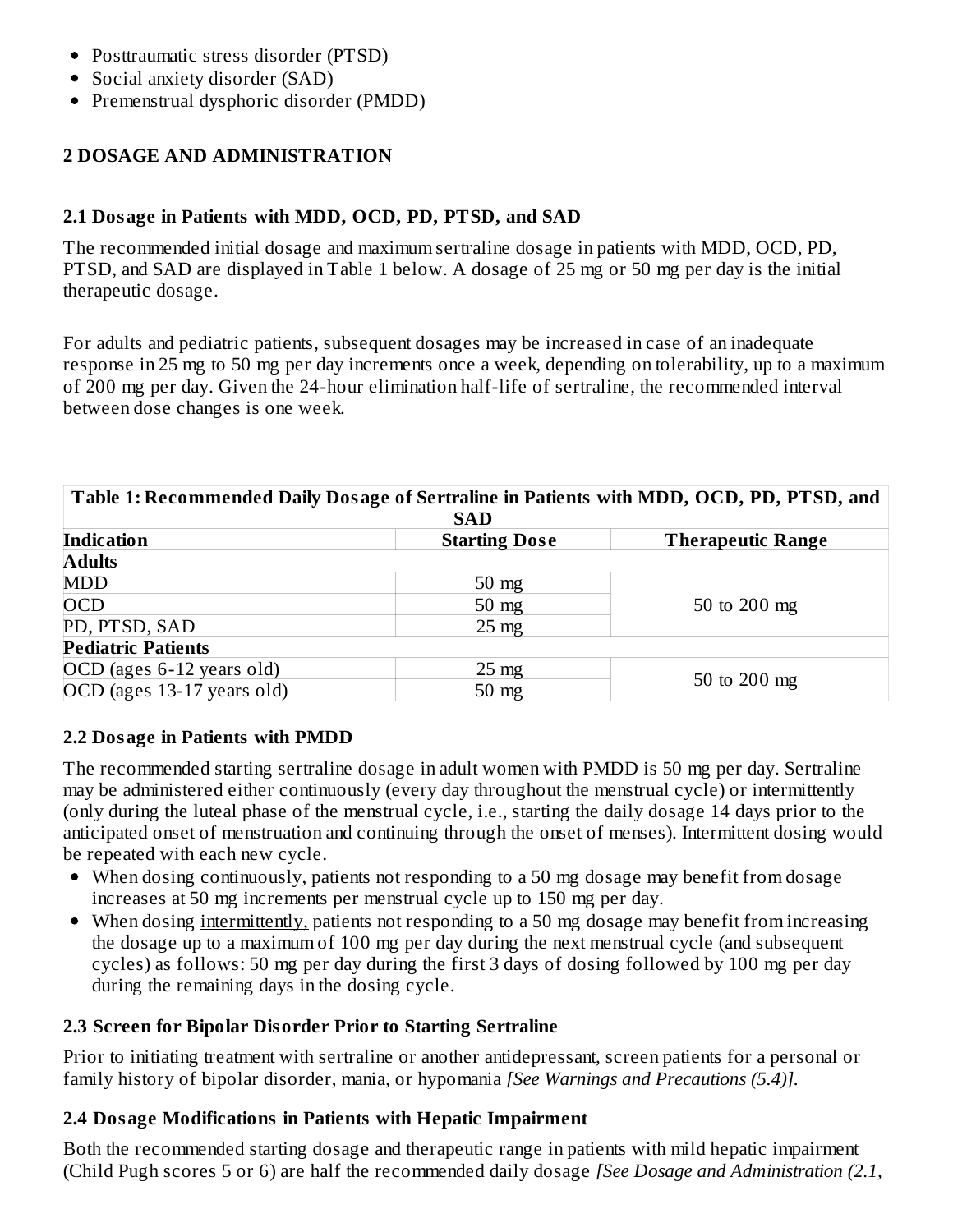- Posttraumatic stress disorder (PTSD)
- Social anxiety disorder (SAD)
- Premenstrual dysphoric disorder (PMDD)

#### **2 DOSAGE AND ADMINISTRATION**

#### **2.1 Dosage in Patients with MDD, OCD, PD, PTSD, and SAD**

The recommended initial dosage and maximum sertraline dosage in patients with MDD, OCD, PD, PTSD, and SAD are displayed in Table 1 below. A dosage of 25 mg or 50 mg per day is the initial therapeutic dosage.

For adults and pediatric patients, subsequent dosages may be increased in case of an inadequate response in 25 mg to 50 mg per day increments once a week, depending on tolerability, up to a maximum of 200 mg per day. Given the 24-hour elimination half-life of sertraline, the recommended interval between dose changes is one week.

| Table 1: Recommended Daily Dosage of Sertraline in Patients with MDD, OCD, PD, PTSD, and |                 |              |  |
|------------------------------------------------------------------------------------------|-----------------|--------------|--|
| <b>SAD</b>                                                                               |                 |              |  |
| <b>Indication</b><br><b>Starting Dose</b><br><b>Therapeutic Range</b>                    |                 |              |  |
| <b>Adults</b>                                                                            |                 |              |  |
| <b>MDD</b>                                                                               | $50$ mg         |              |  |
| <b>OCD</b>                                                                               | $50 \text{ mg}$ | 50 to 200 mg |  |
| PD, PTSD, SAD                                                                            | $25 \text{ mg}$ |              |  |
| <b>Pediatric Patients</b>                                                                |                 |              |  |
| OCD (ages 6-12 years old)                                                                | $25 \text{ mg}$ | 50 to 200 mg |  |
| OCD (ages 13-17 years old)                                                               | $50$ mg         |              |  |

#### **2.2 Dosage in Patients with PMDD**

The recommended starting sertraline dosage in adult women with PMDD is 50 mg per day. Sertraline may be administered either continuously (every day throughout the menstrual cycle) or intermittently (only during the luteal phase of the menstrual cycle, i.e., starting the daily dosage 14 days prior to the anticipated onset of menstruation and continuing through the onset of menses). Intermittent dosing would be repeated with each new cycle.

- When dosing continuously, patients not responding to a 50 mg dosage may benefit from dosage increases at 50 mg increments per menstrual cycle up to 150 mg per day.
- When dosing intermittently, patients not responding to a 50 mg dosage may benefit from increasing the dosage up to a maximum of 100 mg per day during the next menstrual cycle (and subsequent cycles) as follows: 50 mg per day during the first 3 days of dosing followed by 100 mg per day during the remaining days in the dosing cycle.

#### **2.3 Screen for Bipolar Disorder Prior to Starting Sertraline**

Prior to initiating treatment with sertraline or another antidepressant, screen patients for a personal or family history of bipolar disorder, mania, or hypomania *[See Warnings and Precautions (5.4)].*

#### **2.4 Dosage Modifications in Patients with Hepatic Impairment**

Both the recommended starting dosage and therapeutic range in patients with mild hepatic impairment (Child Pugh scores 5 or 6) are half the recommended daily dosage *[See Dosage and Administration (2.1,*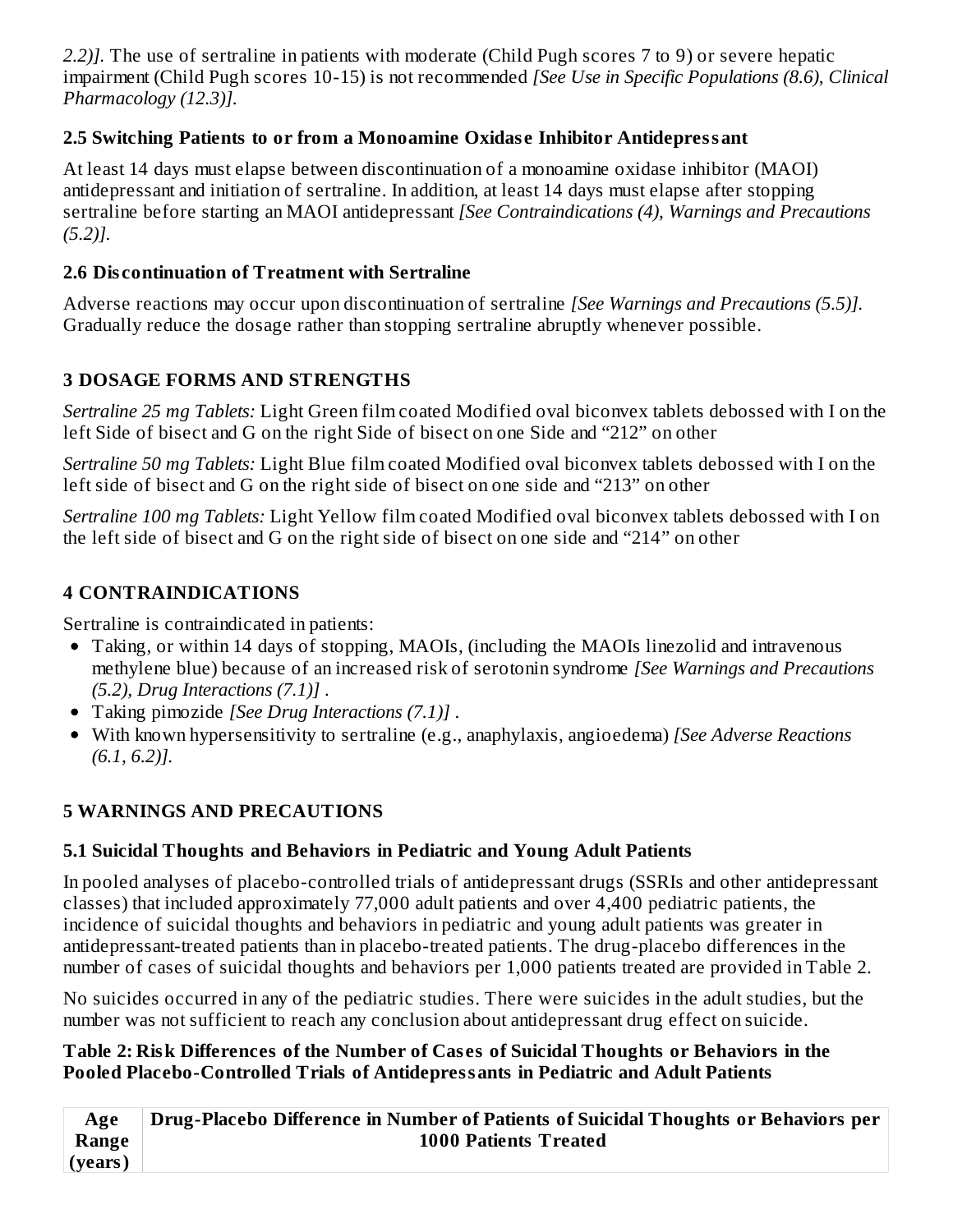*2.2)].* The use of sertraline in patients with moderate (Child Pugh scores 7 to 9) or severe hepatic impairment (Child Pugh scores 10-15) is not recommended *[See Use in Specific Populations (8.6), Clinical Pharmacology (12.3)].*

### **2.5 Switching Patients to or from a Monoamine Oxidas e Inhibitor Antidepressant**

At least 14 days must elapse between discontinuation of a monoamine oxidase inhibitor (MAOI) antidepressant and initiation of sertraline. In addition, at least 14 days must elapse after stopping sertraline before starting an MAOI antidepressant *[See Contraindications (4), Warnings and Precautions (5.2)].*

### **2.6 Dis continuation of Treatment with Sertraline**

Adverse reactions may occur upon discontinuation of sertraline *[See Warnings and Precautions (5.5)].* Gradually reduce the dosage rather than stopping sertraline abruptly whenever possible.

## **3 DOSAGE FORMS AND STRENGTHS**

*Sertraline 25 mg Tablets:* Light Green film coated Modified oval biconvex tablets debossed with I on the left Side of bisect and G on the right Side of bisect on one Side and "212" on other

*Sertraline 50 mg Tablets:* Light Blue film coated Modified oval biconvex tablets debossed with I on the left side of bisect and G on the right side of bisect on one side and "213" on other

*Sertraline 100 mg Tablets:* Light Yellow film coated Modified oval biconvex tablets debossed with I on the left side of bisect and G on the right side of bisect on one side and "214" on other

## **4 CONTRAINDICATIONS**

Sertraline is contraindicated in patients:

- Taking, or within 14 days of stopping, MAOIs, (including the MAOIs linezolid and intravenous methylene blue) because of an increased risk of serotonin syndrome *[See Warnings and Precautions (5.2), Drug Interactions (7.1)]* .
- Taking pimozide *[See Drug Interactions (7.1)]* .
- With known hypersensitivity to sertraline (e.g., anaphylaxis, angioedema) *[See Adverse Reactions (6.1, 6.2)].*

### **5 WARNINGS AND PRECAUTIONS**

## **5.1 Suicidal Thoughts and Behaviors in Pediatric and Young Adult Patients**

In pooled analyses of placebo-controlled trials of antidepressant drugs (SSRIs and other antidepressant classes) that included approximately 77,000 adult patients and over 4,400 pediatric patients, the incidence of suicidal thoughts and behaviors in pediatric and young adult patients was greater in antidepressant-treated patients than in placebo-treated patients. The drug-placebo differences in the number of cases of suicidal thoughts and behaviors per 1,000 patients treated are provided in Table 2.

No suicides occurred in any of the pediatric studies. There were suicides in the adult studies, but the number was not sufficient to reach any conclusion about antidepressant drug effect on suicide.

#### **Table 2: Risk Differences of the Number of Cas es of Suicidal Thoughts or Behaviors in the Pooled Placebo-Controlled Trials of Antidepressants in Pediatric and Adult Patients**

| Age                | Drug-Placebo Difference in Number of Patients of Suicidal Thoughts or Behaviors per |
|--------------------|-------------------------------------------------------------------------------------|
| Range <sup> </sup> | <b>1000 Patients Treated</b>                                                        |
| $ $ (years)        |                                                                                     |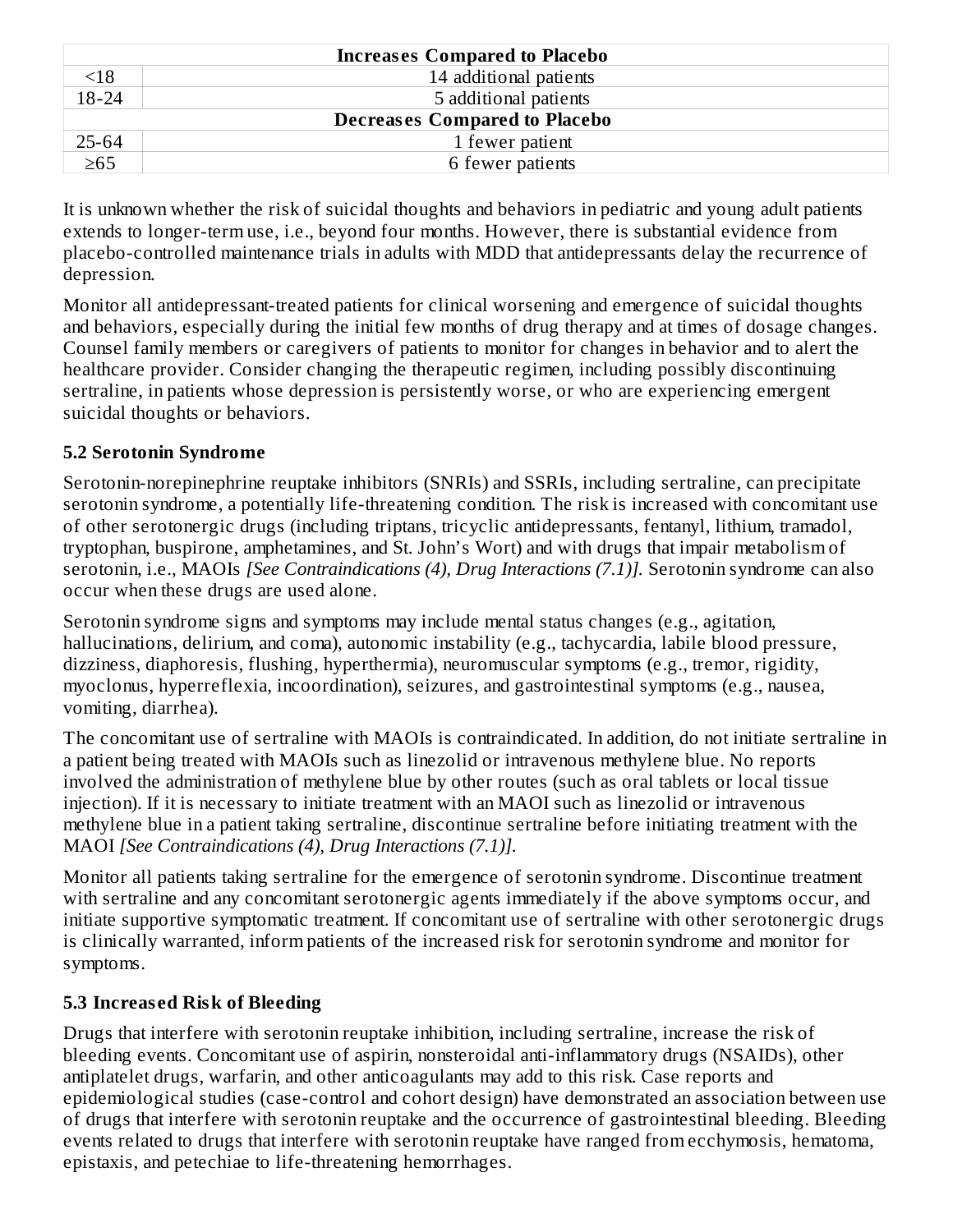| <b>Increases Compared to Placebo</b> |                        |  |
|--------------------------------------|------------------------|--|
| $\leq 18$                            | 14 additional patients |  |
| $18 - 24$                            | 5 additional patients  |  |
| <b>Decreases Compared to Placebo</b> |                        |  |
| 25-64                                | 1 fewer patient        |  |
| $\geq 65$                            | 6 fewer patients       |  |

It is unknown whether the risk of suicidal thoughts and behaviors in pediatric and young adult patients extends to longer-term use, i.e., beyond four months. However, there is substantial evidence from placebo-controlled maintenance trials in adults with MDD that antidepressants delay the recurrence of depression.

Monitor all antidepressant-treated patients for clinical worsening and emergence of suicidal thoughts and behaviors, especially during the initial few months of drug therapy and at times of dosage changes. Counsel family members or caregivers of patients to monitor for changes in behavior and to alert the healthcare provider. Consider changing the therapeutic regimen, including possibly discontinuing sertraline, in patients whose depression is persistently worse, or who are experiencing emergent suicidal thoughts or behaviors.

### **5.2 Serotonin Syndrome**

Serotonin-norepinephrine reuptake inhibitors (SNRIs) and SSRIs, including sertraline, can precipitate serotonin syndrome, a potentially life-threatening condition. The risk is increased with concomitant use of other serotonergic drugs (including triptans, tricyclic antidepressants, fentanyl, lithium, tramadol, tryptophan, buspirone, amphetamines, and St. John's Wort) and with drugs that impair metabolism of serotonin, i.e., MAOIs *[See Contraindications (4), Drug Interactions (7.1)].* Serotonin syndrome can also occur when these drugs are used alone.

Serotonin syndrome signs and symptoms may include mental status changes (e.g., agitation, hallucinations, delirium, and coma), autonomic instability (e.g., tachycardia, labile blood pressure, dizziness, diaphoresis, flushing, hyperthermia), neuromuscular symptoms (e.g., tremor, rigidity, myoclonus, hyperreflexia, incoordination), seizures, and gastrointestinal symptoms (e.g., nausea, vomiting, diarrhea).

The concomitant use of sertraline with MAOIs is contraindicated. In addition, do not initiate sertraline in a patient being treated with MAOIs such as linezolid or intravenous methylene blue. No reports involved the administration of methylene blue by other routes (such as oral tablets or local tissue injection). If it is necessary to initiate treatment with an MAOI such as linezolid or intravenous methylene blue in a patient taking sertraline, discontinue sertraline before initiating treatment with the MAOI *[See Contraindications (4), Drug Interactions (7.1)].*

Monitor all patients taking sertraline for the emergence of serotonin syndrome. Discontinue treatment with sertraline and any concomitant serotonergic agents immediately if the above symptoms occur, and initiate supportive symptomatic treatment. If concomitant use of sertraline with other serotonergic drugs is clinically warranted, inform patients of the increased risk for serotonin syndrome and monitor for symptoms.

### **5.3 Increas ed Risk of Bleeding**

Drugs that interfere with serotonin reuptake inhibition, including sertraline, increase the risk of bleeding events. Concomitant use of aspirin, nonsteroidal anti-inflammatory drugs (NSAIDs), other antiplatelet drugs, warfarin, and other anticoagulants may add to this risk. Case reports and epidemiological studies (case-control and cohort design) have demonstrated an association between use of drugs that interfere with serotonin reuptake and the occurrence of gastrointestinal bleeding. Bleeding events related to drugs that interfere with serotonin reuptake have ranged from ecchymosis, hematoma, epistaxis, and petechiae to life-threatening hemorrhages.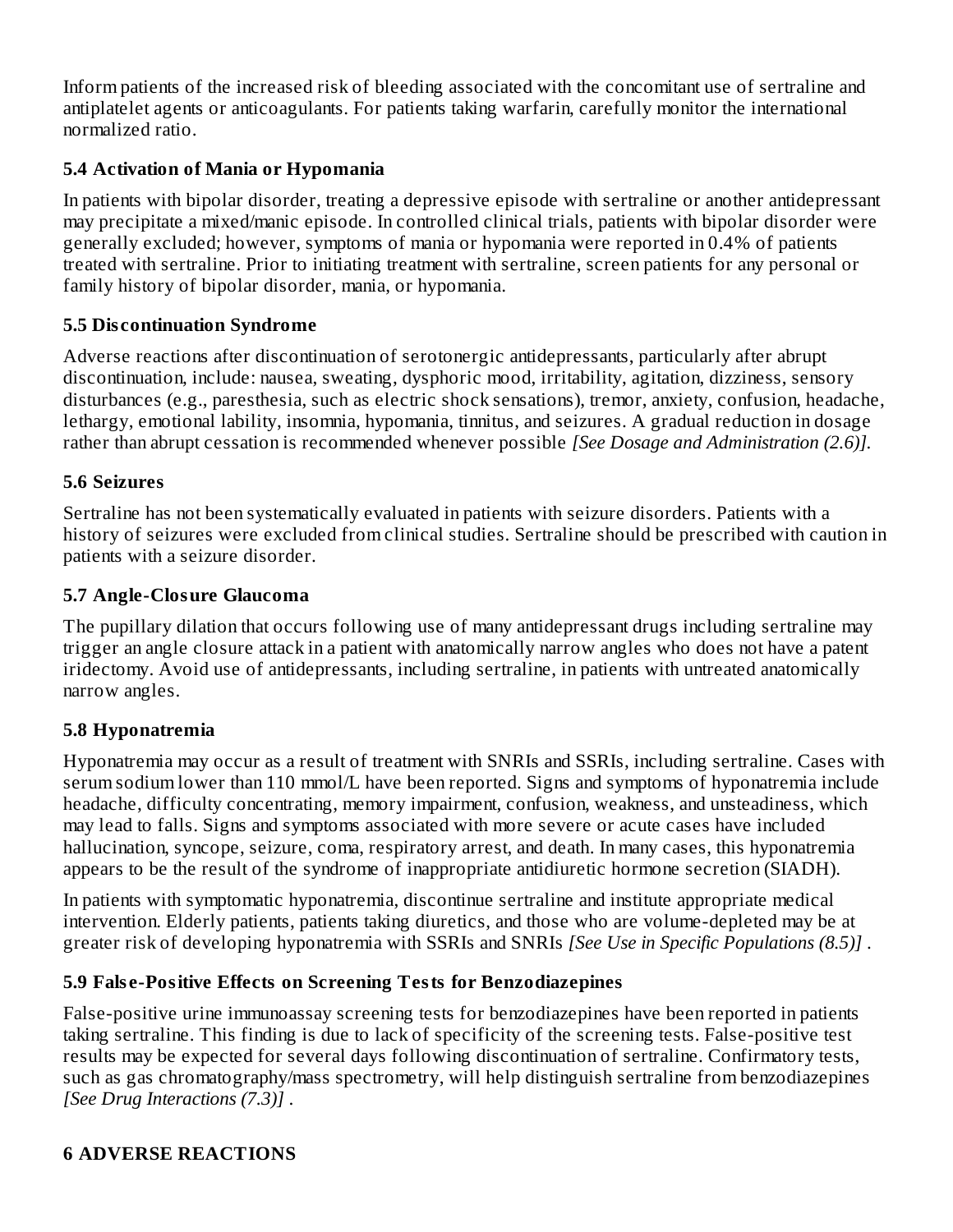Inform patients of the increased risk of bleeding associated with the concomitant use of sertraline and antiplatelet agents or anticoagulants. For patients taking warfarin, carefully monitor the international normalized ratio.

### **5.4 Activation of Mania or Hypomania**

In patients with bipolar disorder, treating a depressive episode with sertraline or another antidepressant may precipitate a mixed/manic episode. In controlled clinical trials, patients with bipolar disorder were generally excluded; however, symptoms of mania or hypomania were reported in 0.4% of patients treated with sertraline. Prior to initiating treatment with sertraline, screen patients for any personal or family history of bipolar disorder, mania, or hypomania.

#### **5.5 Dis continuation Syndrome**

Adverse reactions after discontinuation of serotonergic antidepressants, particularly after abrupt discontinuation, include: nausea, sweating, dysphoric mood, irritability, agitation, dizziness, sensory disturbances (e.g., paresthesia, such as electric shock sensations), tremor, anxiety, confusion, headache, lethargy, emotional lability, insomnia, hypomania, tinnitus, and seizures. A gradual reduction in dosage rather than abrupt cessation is recommended whenever possible *[See Dosage and Administration (2.6)].*

#### **5.6 Seizures**

Sertraline has not been systematically evaluated in patients with seizure disorders. Patients with a history of seizures were excluded from clinical studies. Sertraline should be prescribed with caution in patients with a seizure disorder.

#### **5.7 Angle-Closure Glaucoma**

The pupillary dilation that occurs following use of many antidepressant drugs including sertraline may trigger an angle closure attack in a patient with anatomically narrow angles who does not have a patent iridectomy. Avoid use of antidepressants, including sertraline, in patients with untreated anatomically narrow angles.

### **5.8 Hyponatremia**

Hyponatremia may occur as a result of treatment with SNRIs and SSRIs, including sertraline. Cases with serum sodium lower than 110 mmol/L have been reported. Signs and symptoms of hyponatremia include headache, difficulty concentrating, memory impairment, confusion, weakness, and unsteadiness, which may lead to falls. Signs and symptoms associated with more severe or acute cases have included hallucination, syncope, seizure, coma, respiratory arrest, and death. In many cases, this hyponatremia appears to be the result of the syndrome of inappropriate antidiuretic hormone secretion (SIADH).

In patients with symptomatic hyponatremia, discontinue sertraline and institute appropriate medical intervention. Elderly patients, patients taking diuretics, and those who are volume-depleted may be at greater risk of developing hyponatremia with SSRIs and SNRIs *[See Use in Specific Populations (8.5)]* .

#### **5.9 Fals e-Positive Effects on Screening Tests for Benzodiazepines**

False-positive urine immunoassay screening tests for benzodiazepines have been reported in patients taking sertraline. This finding is due to lack of specificity of the screening tests. False-positive test results may be expected for several days following discontinuation of sertraline. Confirmatory tests, such as gas chromatography/mass spectrometry, will help distinguish sertraline from benzodiazepines *[See Drug Interactions (7.3)]* .

### **6 ADVERSE REACTIONS**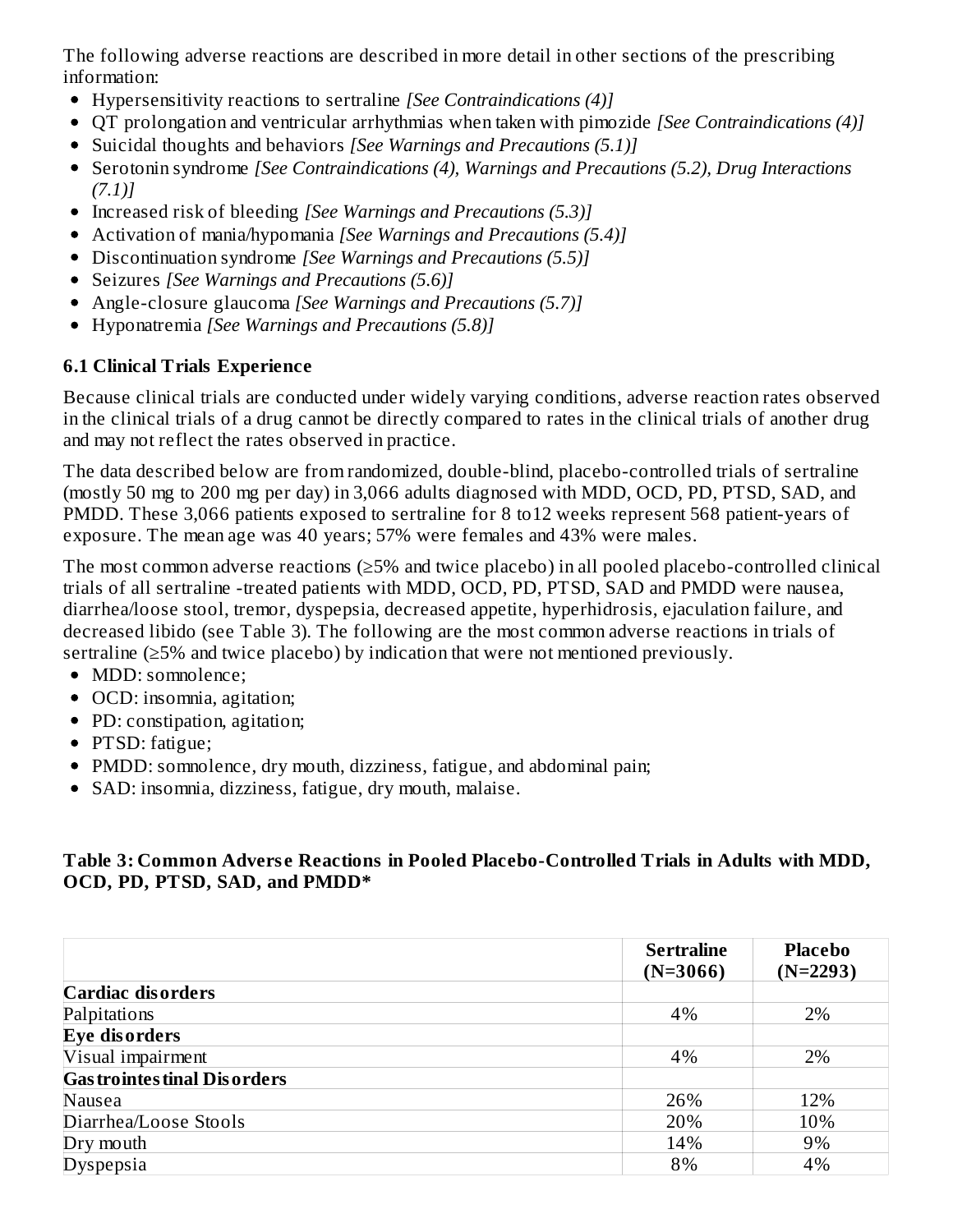The following adverse reactions are described in more detail in other sections of the prescribing information:

- Hypersensitivity reactions to sertraline *[See Contraindications (4)]*
- QT prolongation and ventricular arrhythmias when taken with pimozide *[See Contraindications (4)]*
- Suicidal thoughts and behaviors *[See Warnings and Precautions (5.1)]*
- Serotonin syndrome *[See Contraindications (4), Warnings and Precautions (5.2), Drug Interactions (7.1)]*
- Increased risk of bleeding *[See Warnings and Precautions (5.3)]*
- Activation of mania/hypomania *[See Warnings and Precautions (5.4)]*
- Discontinuation syndrome *[See Warnings and Precautions (5.5)]*
- Seizures *[See Warnings and Precautions (5.6)]*
- Angle-closure glaucoma *[See Warnings and Precautions (5.7)]*
- Hyponatremia *[See Warnings and Precautions (5.8)]*

## **6.1 Clinical Trials Experience**

Because clinical trials are conducted under widely varying conditions, adverse reaction rates observed in the clinical trials of a drug cannot be directly compared to rates in the clinical trials of another drug and may not reflect the rates observed in practice.

The data described below are from randomized, double-blind, placebo-controlled trials of sertraline (mostly 50 mg to 200 mg per day) in 3,066 adults diagnosed with MDD, OCD, PD, PTSD, SAD, and PMDD. These 3,066 patients exposed to sertraline for 8 to12 weeks represent 568 patient-years of exposure. The mean age was 40 years; 57% were females and 43% were males.

The most common adverse reactions (≥5% and twice placebo) in all pooled placebo-controlled clinical trials of all sertraline -treated patients with MDD, OCD, PD, PTSD, SAD and PMDD were nausea, diarrhea/loose stool, tremor, dyspepsia, decreased appetite, hyperhidrosis, ejaculation failure, and decreased libido (see Table 3). The following are the most common adverse reactions in trials of sertraline (≥5% and twice placebo) by indication that were not mentioned previously.

- MDD: somnolence;
- OCD: insomnia, agitation;
- PD: constipation, agitation;
- PTSD: fatigue;
- PMDD: somnolence, dry mouth, dizziness, fatigue, and abdominal pain;
- SAD: insomnia, dizziness, fatigue, dry mouth, malaise.

### **Table 3: Common Advers e Reactions in Pooled Placebo-Controlled Trials in Adults with MDD, OCD, PD, PTSD, SAD, and PMDD\***

|                                     | <b>Sertraline</b> | <b>Placebo</b> |
|-------------------------------------|-------------------|----------------|
|                                     | $(N=3066)$        | $(N=2293)$     |
| <b>Cardiac disorders</b>            |                   |                |
| Palpitations                        | 4%                | 2%             |
| Eye disorders                       |                   |                |
| Visual impairment                   | 4%                | 2%             |
| <b>Gas trointes tinal Disorders</b> |                   |                |
| Nausea                              | 26%               | 12%            |
| Diarrhea/Loose Stools               | 20%               | 10%            |
| Dry mouth                           | 14%               | 9%             |
| Dyspepsia                           | 8%                | 4%             |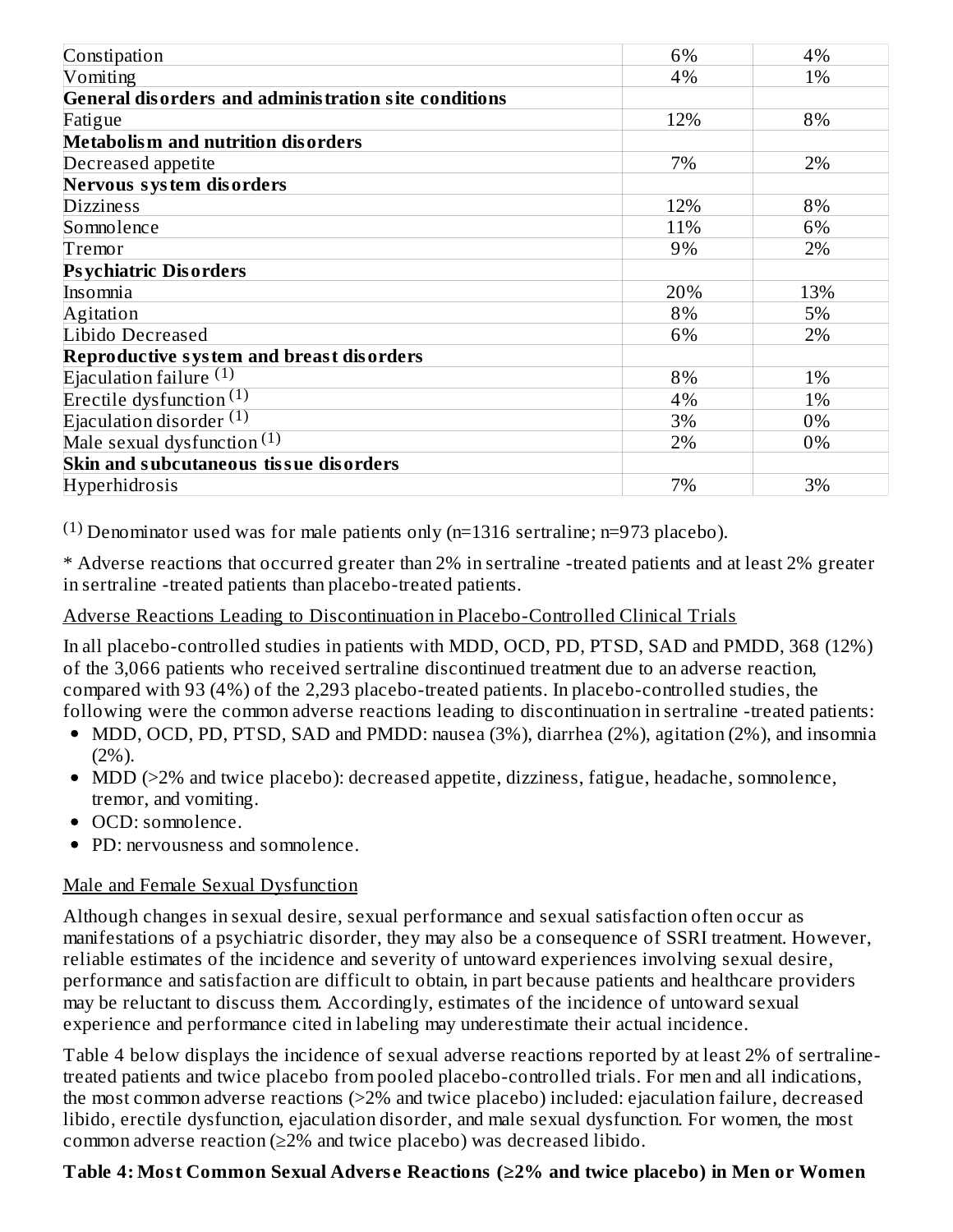| Constipation                                         | 6%  | 4%  |
|------------------------------------------------------|-----|-----|
| Vomiting                                             | 4%  | 1%  |
| General disorders and administration site conditions |     |     |
| Fatigue                                              | 12% | 8%  |
| <b>Metabolism and nutrition disorders</b>            |     |     |
| Decreased appetite                                   | 7%  | 2%  |
| Nervous system disorders                             |     |     |
| <b>Dizziness</b>                                     | 12% | 8%  |
| Somnolence                                           | 11% | 6%  |
| Tremor                                               | 9%  | 2%  |
| <b>Psychiatric Disorders</b>                         |     |     |
| Insomnia                                             | 20% | 13% |
| Agitation                                            | 8%  | 5%  |
| Libido Decreased                                     | 6%  | 2%  |
| Reproductive system and breast disorders             |     |     |
| Ejaculation failure $(1)$                            | 8%  | 1%  |
| Erectile dysfunction $(1)$                           | 4%  | 1%  |
| Ejaculation disorder $(1)$                           | 3%  | 0%  |
| Male sexual dysfunction $(1)$                        | 2%  | 0%  |
| Skin and subcutaneous tissue disorders               |     |     |
| Hyperhidrosis                                        | 7%  | 3%  |

<sup>(1)</sup> Denominator used was for male patients only (n=1316 sertraline; n=973 placebo).

\* Adverse reactions that occurred greater than 2% in sertraline -treated patients and at least 2% greater in sertraline -treated patients than placebo-treated patients.

#### Adverse Reactions Leading to Discontinuation in Placebo-Controlled Clinical Trials

In all placebo-controlled studies in patients with MDD, OCD, PD, PTSD, SAD and PMDD, 368 (12%) of the 3,066 patients who received sertraline discontinued treatment due to an adverse reaction, compared with 93 (4%) of the 2,293 placebo-treated patients. In placebo-controlled studies, the following were the common adverse reactions leading to discontinuation in sertraline -treated patients:

- MDD, OCD, PD, PTSD, SAD and PMDD: nausea (3%), diarrhea (2%), agitation (2%), and insomnia  $(2\%)$ .
- MDD (>2% and twice placebo): decreased appetite, dizziness, fatigue, headache, somnolence, tremor, and vomiting.
- OCD: somnolence.
- PD: nervousness and somnolence.

#### Male and Female Sexual Dysfunction

Although changes in sexual desire, sexual performance and sexual satisfaction often occur as manifestations of a psychiatric disorder, they may also be a consequence of SSRI treatment. However, reliable estimates of the incidence and severity of untoward experiences involving sexual desire, performance and satisfaction are difficult to obtain, in part because patients and healthcare providers may be reluctant to discuss them. Accordingly, estimates of the incidence of untoward sexual experience and performance cited in labeling may underestimate their actual incidence.

Table 4 below displays the incidence of sexual adverse reactions reported by at least 2% of sertralinetreated patients and twice placebo from pooled placebo-controlled trials. For men and all indications, the most common adverse reactions (>2% and twice placebo) included: ejaculation failure, decreased libido, erectile dysfunction, ejaculation disorder, and male sexual dysfunction. For women, the most common adverse reaction (≥2% and twice placebo) was decreased libido.

### **Table 4: Most Common Sexual Advers e Reactions (≥2% and twice placebo) in Men or Women**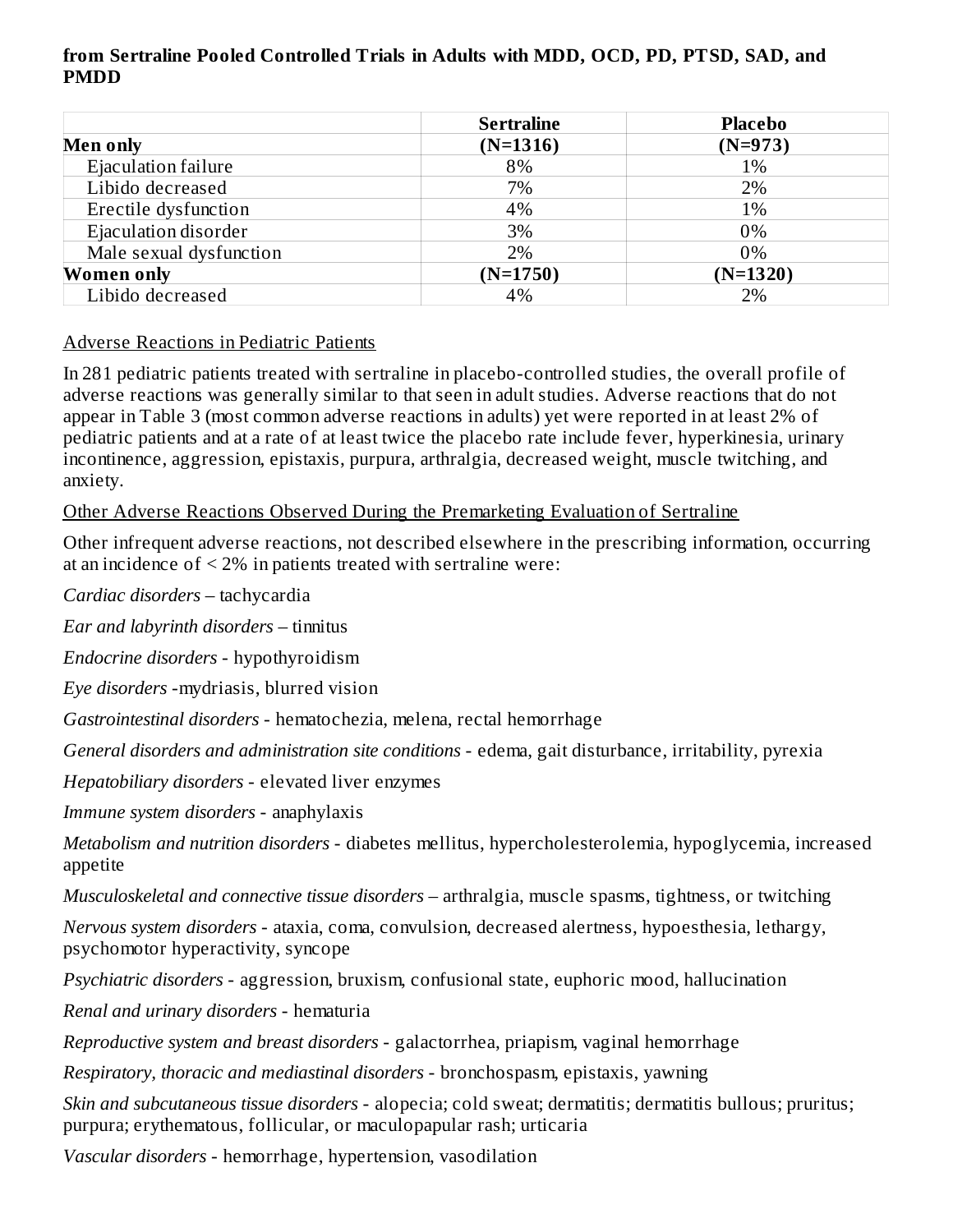#### **from Sertraline Pooled Controlled Trials in Adults with MDD, OCD, PD, PTSD, SAD, and PMDD**

|                         | <b>Sertraline</b> | <b>Placebo</b> |
|-------------------------|-------------------|----------------|
| <b>Men only</b>         | $(N=1316)$        | $(N=973)$      |
| Ejaculation failure     | 8%                | 1%             |
| Libido decreased        | 7%                | 2%             |
| Erectile dysfunction    | 4%                | 1%             |
| Ejaculation disorder    | 3%                | $0\%$          |
| Male sexual dysfunction | 2%                | 0%             |
| <b>Women only</b>       | $(N=1750)$        | $(N=1320)$     |
| Libido decreased        | 4%                | 2%             |

#### Adverse Reactions in Pediatric Patients

In 281 pediatric patients treated with sertraline in placebo-controlled studies, the overall profile of adverse reactions was generally similar to that seen in adult studies. Adverse reactions that do not appear in Table 3 (most common adverse reactions in adults) yet were reported in at least 2% of pediatric patients and at a rate of at least twice the placebo rate include fever, hyperkinesia, urinary incontinence, aggression, epistaxis, purpura, arthralgia, decreased weight, muscle twitching, and anxiety.

Other Adverse Reactions Observed During the Premarketing Evaluation of Sertraline

Other infrequent adverse reactions, not described elsewhere in the prescribing information, occurring at an incidence of < 2% in patients treated with sertraline were:

*Cardiac disorders* – tachycardia

*Ear and labyrinth disorders* – tinnitus

*Endocrine disorders* - hypothyroidism

*Eye disorders* -mydriasis, blurred vision

*Gastrointestinal disorders* - hematochezia, melena, rectal hemorrhage

*General disorders and administration site conditions* - edema, gait disturbance, irritability, pyrexia

*Hepatobiliary disorders* - elevated liver enzymes

*Immune system disorders* - anaphylaxis

*Metabolism and nutrition disorders* - diabetes mellitus, hypercholesterolemia, hypoglycemia, increased appetite

*Musculoskeletal and connective tissue disorders* – arthralgia, muscle spasms, tightness, or twitching

*Nervous system disorders* - ataxia, coma, convulsion, decreased alertness, hypoesthesia, lethargy, psychomotor hyperactivity, syncope

*Psychiatric disorders* - aggression, bruxism, confusional state, euphoric mood, hallucination

*Renal and urinary disorders* - hematuria

*Reproductive system and breast disorders* - galactorrhea, priapism, vaginal hemorrhage

*Respiratory, thoracic and mediastinal disorders* - bronchospasm, epistaxis, yawning

*Skin and subcutaneous tissue disorders* - alopecia; cold sweat; dermatitis; dermatitis bullous; pruritus; purpura; erythematous, follicular, or maculopapular rash; urticaria

*Vascular disorders* - hemorrhage, hypertension, vasodilation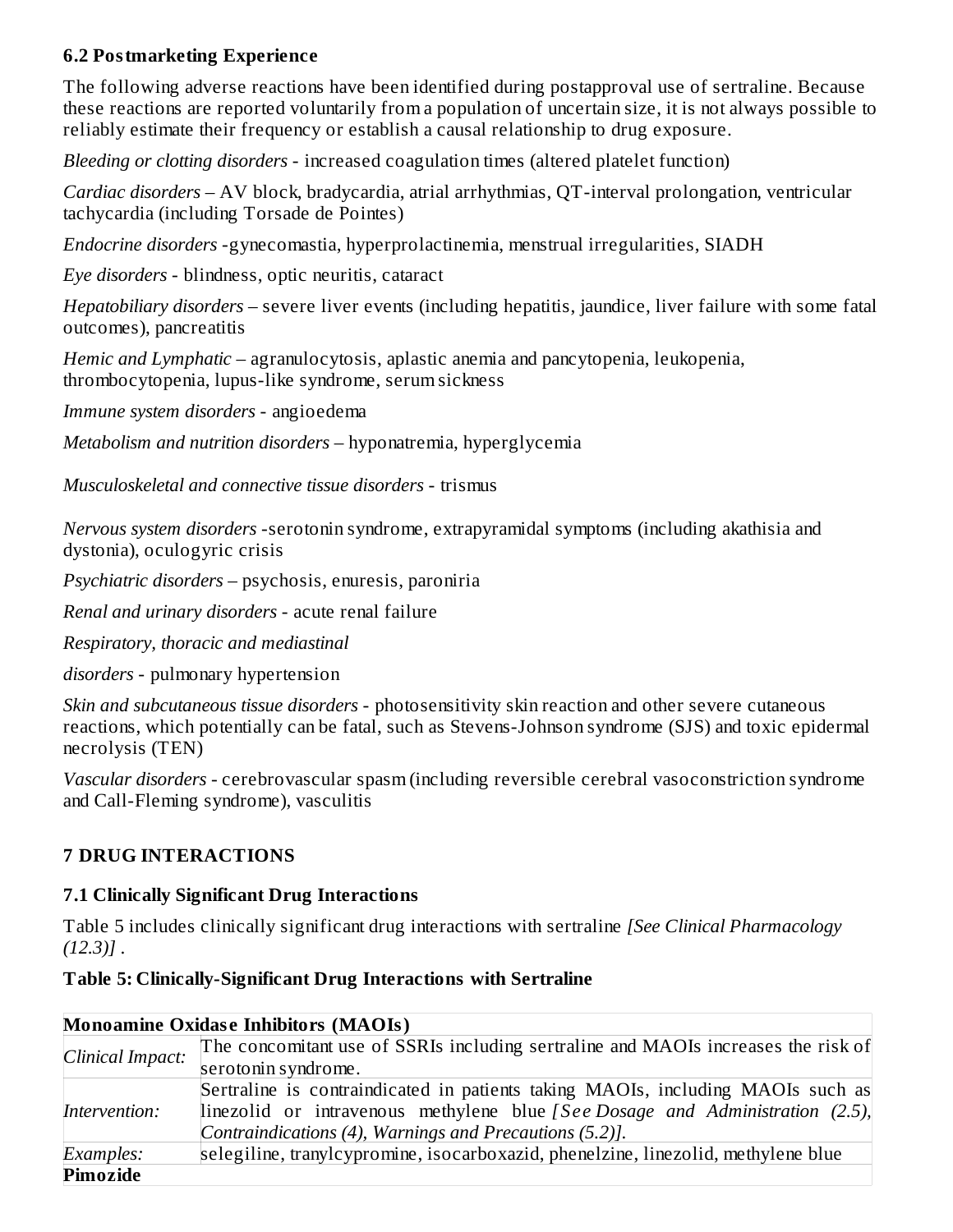### **6.2 Postmarketing Experience**

The following adverse reactions have been identified during postapproval use of sertraline. Because these reactions are reported voluntarily from a population of uncertain size, it is not always possible to reliably estimate their frequency or establish a causal relationship to drug exposure.

*Bleeding or clotting disorders* - increased coagulation times (altered platelet function)

*Cardiac disorders* – AV block, bradycardia, atrial arrhythmias, QT-interval prolongation, ventricular tachycardia (including Torsade de Pointes)

*Endocrine disorders* -gynecomastia, hyperprolactinemia, menstrual irregularities, SIADH

*Eye disorders* - blindness, optic neuritis, cataract

*Hepatobiliary disorders* – severe liver events (including hepatitis, jaundice, liver failure with some fatal outcomes), pancreatitis

*Hemic and Lymphatic –* agranulocytosis, aplastic anemia and pancytopenia, leukopenia, thrombocytopenia, lupus-like syndrome, serum sickness

*Immune system disorders* - angioedema

*Metabolism and nutrition disorders* – hyponatremia, hyperglycemia

*Musculoskeletal and connective tissue disorders* - trismus

*Nervous system disorders* -serotonin syndrome, extrapyramidal symptoms (including akathisia and dystonia), oculogyric crisis

*Psychiatric disorders* – psychosis, enuresis, paroniria

*Renal and urinary disorders* - acute renal failure

*Respiratory, thoracic and mediastinal*

*disorders* - pulmonary hypertension

*Skin and subcutaneous tissue disorders* - photosensitivity skin reaction and other severe cutaneous reactions, which potentially can be fatal, such as Stevens-Johnson syndrome (SJS) and toxic epidermal necrolysis (TEN)

*Vascular disorders -* cerebrovascular spasm (including reversible cerebral vasoconstriction syndrome and Call-Fleming syndrome), vasculitis

#### **7 DRUG INTERACTIONS**

#### **7.1 Clinically Significant Drug Interactions**

Table 5 includes clinically significant drug interactions with sertraline *[See Clinical Pharmacology (12.3)]* .

#### **Table 5: Clinically-Significant Drug Interactions with Sertraline**

| <b>Monoamine Oxidase Inhibitors (MAOIs)</b> |                                                                                       |  |  |
|---------------------------------------------|---------------------------------------------------------------------------------------|--|--|
| Clinical Impact:                            | The concomitant use of SSRIs including sertraline and MAOIs increases the risk of     |  |  |
|                                             | serotonin syndrome.                                                                   |  |  |
|                                             | Sertraline is contraindicated in patients taking MAOIs, including MAOIs such as       |  |  |
| Intervention:                               | linezolid or intravenous methylene blue <i>[See Dosage and Administration (2.5)</i> , |  |  |
|                                             | Contraindications (4), Warnings and Precautions (5.2)].                               |  |  |
| Examples:                                   | selegiline, tranylcypromine, isocarboxazid, phenelzine, linezolid, methylene blue     |  |  |
| Pimozide                                    |                                                                                       |  |  |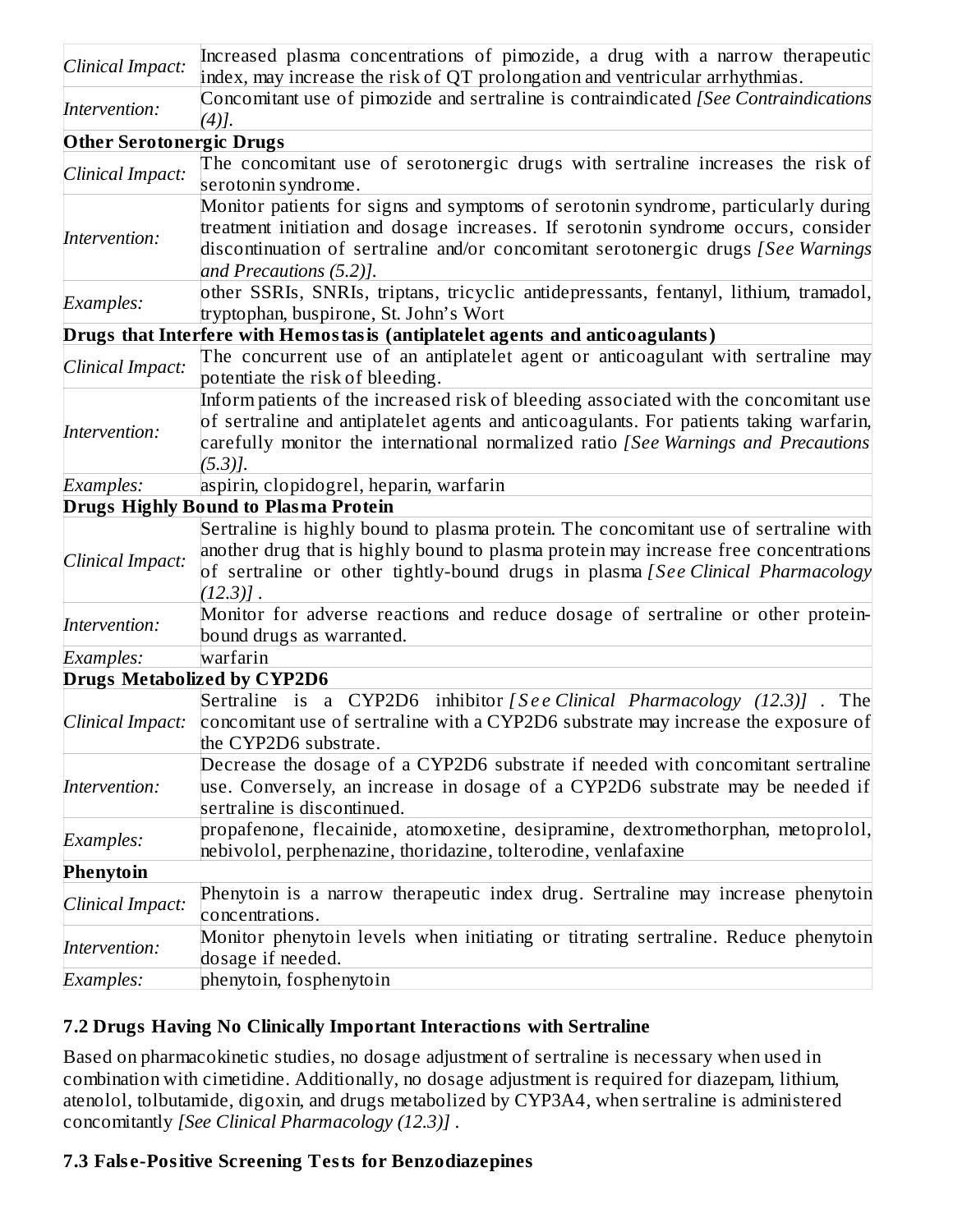| Clinical Impact:                   | Increased plasma concentrations of pimozide, a drug with a narrow therapeutic<br>index, may increase the risk of QT prolongation and ventricular arrhythmias.                                                                                                                           |  |  |  |
|------------------------------------|-----------------------------------------------------------------------------------------------------------------------------------------------------------------------------------------------------------------------------------------------------------------------------------------|--|--|--|
| Intervention:                      | Concomitant use of pimozide and sertraline is contraindicated [See Contraindications<br>$(4)$ ].                                                                                                                                                                                        |  |  |  |
| <b>Other Serotonergic Drugs</b>    |                                                                                                                                                                                                                                                                                         |  |  |  |
| Clinical Impact:                   | The concomitant use of serotonergic drugs with sertraline increases the risk of<br>serotonin syndrome.                                                                                                                                                                                  |  |  |  |
| Intervention:                      | Monitor patients for signs and symptoms of serotonin syndrome, particularly during<br>treatment initiation and dosage increases. If serotonin syndrome occurs, consider<br>discontinuation of sertraline and/or concomitant serotonergic drugs [See Warnings<br>and Precautions (5.2)]. |  |  |  |
| Examples:                          | other SSRIs, SNRIs, triptans, tricyclic antidepressants, fentanyl, lithium, tramadol,<br>tryptophan, buspirone, St. John's Wort                                                                                                                                                         |  |  |  |
|                                    | Drugs that Interfere with Hemostasis (antiplatelet agents and anticoagulants)                                                                                                                                                                                                           |  |  |  |
| Clinical Impact:                   | The concurrent use of an antiplatelet agent or anticoagulant with sertraline may<br>potentiate the risk of bleeding.                                                                                                                                                                    |  |  |  |
| Intervention:                      | Inform patients of the increased risk of bleeding associated with the concomitant use<br>of sertraline and antiplatelet agents and anticoagulants. For patients taking warfarin,<br>carefully monitor the international normalized ratio [See Warnings and Precautions<br>$(5.3)$ ].    |  |  |  |
| Examples:                          | aspirin, clopidogrel, heparin, warfarin                                                                                                                                                                                                                                                 |  |  |  |
|                                    | <b>Drugs Highly Bound to Plasma Protein</b>                                                                                                                                                                                                                                             |  |  |  |
| Clinical Impact:                   | Sertraline is highly bound to plasma protein. The concomitant use of sertraline with<br>another drug that is highly bound to plasma protein may increase free concentrations<br>of sertraline or other tightly-bound drugs in plasma [See Clinical Pharmacology<br>$(12.3)$ ].          |  |  |  |
| Intervention:                      | Monitor for adverse reactions and reduce dosage of sertraline or other protein-<br>bound drugs as warranted.                                                                                                                                                                            |  |  |  |
| Examples:                          | warfarin                                                                                                                                                                                                                                                                                |  |  |  |
| <b>Drugs Metabolized by CYP2D6</b> |                                                                                                                                                                                                                                                                                         |  |  |  |
| Clinical Impact:                   | Sertraline is a CYP2D6 inhibitor [See Clinical Pharmacology (12.3)]. The<br>concomitant use of sertraline with a CYP2D6 substrate may increase the exposure of<br>the CYP2D6 substrate.                                                                                                 |  |  |  |
| Intervention:                      | Decrease the dosage of a CYP2D6 substrate if needed with concomitant sertraline<br>use. Conversely, an increase in dosage of a CYP2D6 substrate may be needed if<br>sertraline is discontinued.                                                                                         |  |  |  |
| Examples:                          | propafenone, flecainide, atomoxetine, desipramine, dextromethorphan, metoprolol,<br>nebivolol, perphenazine, thoridazine, tolterodine, venlafaxine                                                                                                                                      |  |  |  |
| Phenytoin                          |                                                                                                                                                                                                                                                                                         |  |  |  |
| Clinical Impact:                   | Phenytoin is a narrow therapeutic index drug. Sertraline may increase phenytoin<br>concentrations.                                                                                                                                                                                      |  |  |  |
| Intervention:                      | Monitor phenytoin levels when initiating or titrating sertraline. Reduce phenytoin<br>dosage if needed.                                                                                                                                                                                 |  |  |  |
| Examples:                          | phenytoin, fosphenytoin                                                                                                                                                                                                                                                                 |  |  |  |

#### **7.2 Drugs Having No Clinically Important Interactions with Sertraline**

Based on pharmacokinetic studies, no dosage adjustment of sertraline is necessary when used in combination with cimetidine. Additionally, no dosage adjustment is required for diazepam, lithium, atenolol, tolbutamide, digoxin, and drugs metabolized by CYP3A4, when sertraline is administered concomitantly *[See Clinical Pharmacology (12.3)]* .

### **7.3 Fals e-Positive Screening Tests for Benzodiazepines**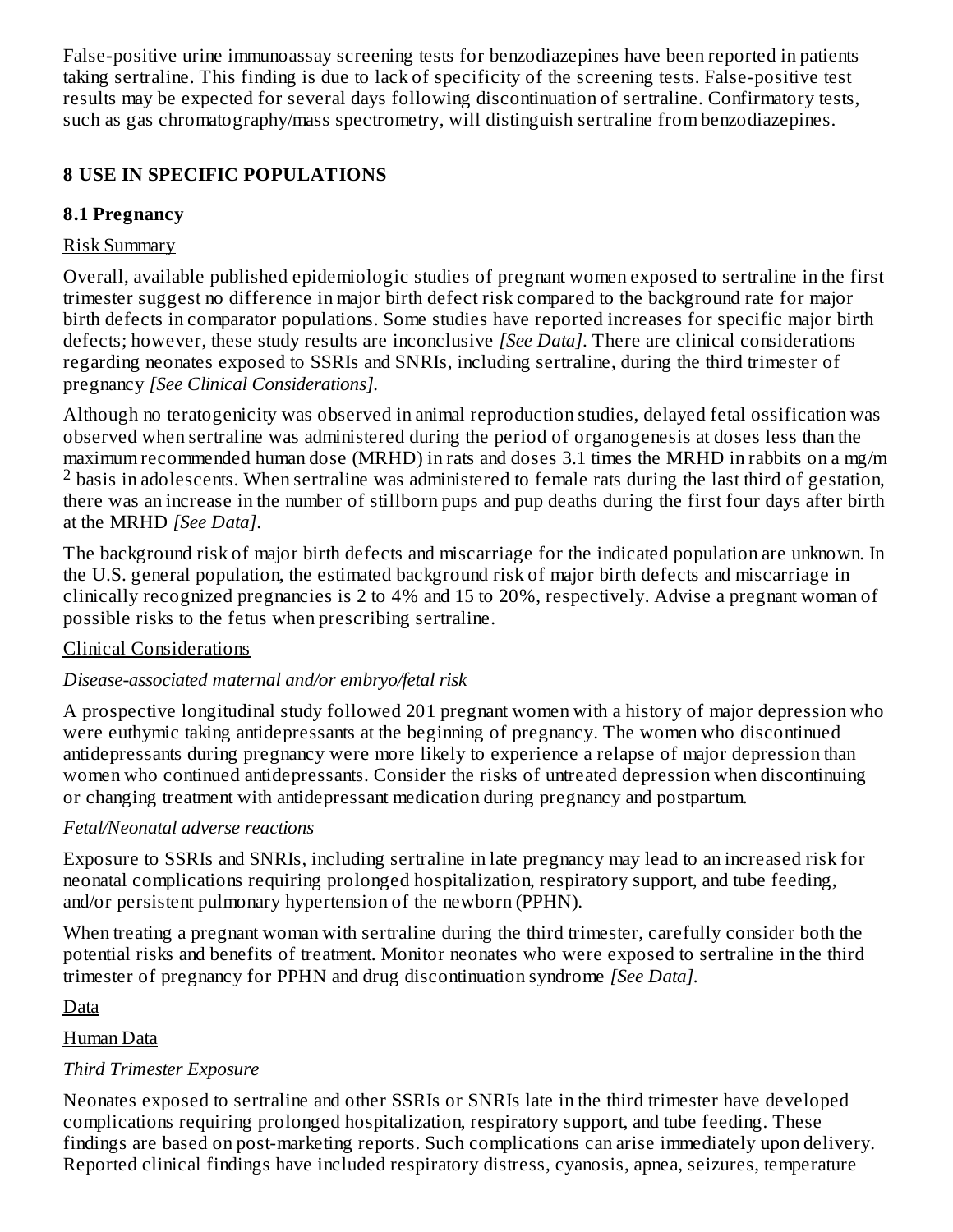False-positive urine immunoassay screening tests for benzodiazepines have been reported in patients taking sertraline. This finding is due to lack of specificity of the screening tests. False-positive test results may be expected for several days following discontinuation of sertraline. Confirmatory tests, such as gas chromatography/mass spectrometry, will distinguish sertraline from benzodiazepines.

### **8 USE IN SPECIFIC POPULATIONS**

### **8.1 Pregnancy**

### Risk Summary

Overall, available published epidemiologic studies of pregnant women exposed to sertraline in the first trimester suggest no difference in major birth defect risk compared to the background rate for major birth defects in comparator populations. Some studies have reported increases for specific major birth defects; however, these study results are inconclusive *[See Data]*. There are clinical considerations regarding neonates exposed to SSRIs and SNRIs, including sertraline, during the third trimester of pregnancy *[See Clinical Considerations].*

Although no teratogenicity was observed in animal reproduction studies, delayed fetal ossification was observed when sertraline was administered during the period of organogenesis at doses less than the maximum recommended human dose (MRHD) in rats and doses 3.1 times the MRHD in rabbits on a mg/m  $2$  basis in adolescents. When sertraline was administered to female rats during the last third of gestation, there was an increase in the number of stillborn pups and pup deaths during the first four days after birth at the MRHD *[See Data]*.

The background risk of major birth defects and miscarriage for the indicated population are unknown. In the U.S. general population, the estimated background risk of major birth defects and miscarriage in clinically recognized pregnancies is 2 to 4% and 15 to 20%, respectively. Advise a pregnant woman of possible risks to the fetus when prescribing sertraline.

### Clinical Considerations

### *Disease-associated maternal and/or embryo/fetal risk*

A prospective longitudinal study followed 201 pregnant women with a history of major depression who were euthymic taking antidepressants at the beginning of pregnancy. The women who discontinued antidepressants during pregnancy were more likely to experience a relapse of major depression than women who continued antidepressants. Consider the risks of untreated depression when discontinuing or changing treatment with antidepressant medication during pregnancy and postpartum.

### *Fetal/Neonatal adverse reactions*

Exposure to SSRIs and SNRIs, including sertraline in late pregnancy may lead to an increased risk for neonatal complications requiring prolonged hospitalization, respiratory support, and tube feeding, and/or persistent pulmonary hypertension of the newborn (PPHN).

When treating a pregnant woman with sertraline during the third trimester, carefully consider both the potential risks and benefits of treatment. Monitor neonates who were exposed to sertraline in the third trimester of pregnancy for PPHN and drug discontinuation syndrome *[See Data].*

### Data

### Human Data

## *Third Trimester Exposure*

Neonates exposed to sertraline and other SSRIs or SNRIs late in the third trimester have developed complications requiring prolonged hospitalization, respiratory support, and tube feeding. These findings are based on post-marketing reports. Such complications can arise immediately upon delivery. Reported clinical findings have included respiratory distress, cyanosis, apnea, seizures, temperature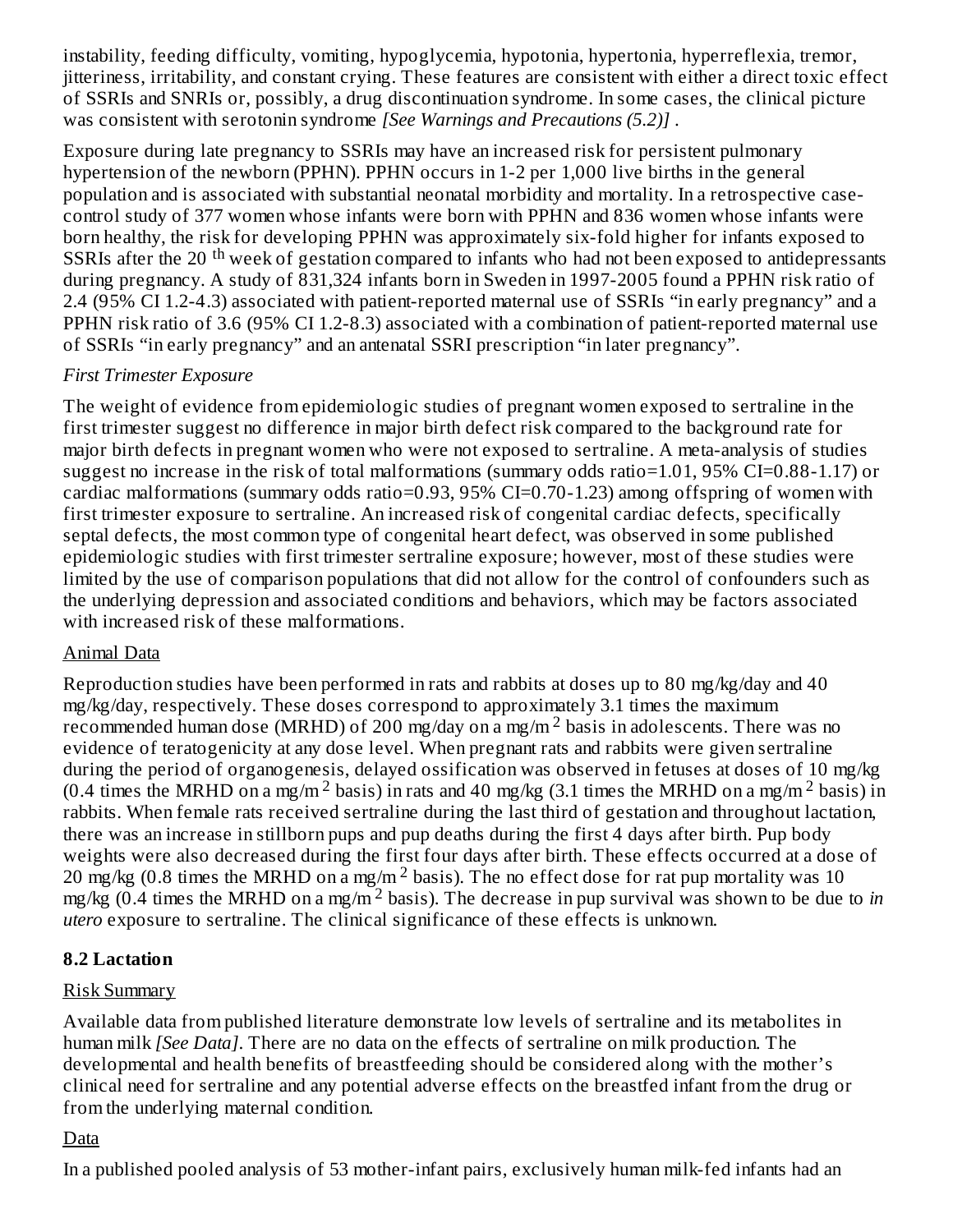instability, feeding difficulty, vomiting, hypoglycemia, hypotonia, hypertonia, hyperreflexia, tremor, jitteriness, irritability, and constant crying. These features are consistent with either a direct toxic effect of SSRIs and SNRIs or, possibly, a drug discontinuation syndrome. In some cases, the clinical picture was consistent with serotonin syndrome *[See Warnings and Precautions (5.2)]* .

Exposure during late pregnancy to SSRIs may have an increased risk for persistent pulmonary hypertension of the newborn (PPHN). PPHN occurs in 1-2 per 1,000 live births in the general population and is associated with substantial neonatal morbidity and mortality. In a retrospective casecontrol study of 377 women whose infants were born with PPHN and 836 women whose infants were born healthy, the risk for developing PPHN was approximately six-fold higher for infants exposed to SSRIs after the 20<sup>th</sup> week of gestation compared to infants who had not been exposed to antidepressants during pregnancy. A study of 831,324 infants born in Sweden in 1997-2005 found a PPHN risk ratio of 2.4 (95% CI 1.2-4.3) associated with patient-reported maternal use of SSRIs "in early pregnancy" and a PPHN risk ratio of 3.6 (95% CI 1.2-8.3) associated with a combination of patient-reported maternal use of SSRIs "in early pregnancy" and an antenatal SSRI prescription "in later pregnancy".

#### *First Trimester Exposure*

The weight of evidence from epidemiologic studies of pregnant women exposed to sertraline in the first trimester suggest no difference in major birth defect risk compared to the background rate for major birth defects in pregnant women who were not exposed to sertraline. A meta-analysis of studies suggest no increase in the risk of total malformations (summary odds ratio=1.01, 95% CI=0.88-1.17) or cardiac malformations (summary odds ratio=0.93, 95% CI=0.70-1.23) among offspring of women with first trimester exposure to sertraline. An increased risk of congenital cardiac defects, specifically septal defects, the most common type of congenital heart defect, was observed in some published epidemiologic studies with first trimester sertraline exposure; however, most of these studies were limited by the use of comparison populations that did not allow for the control of confounders such as the underlying depression and associated conditions and behaviors, which may be factors associated with increased risk of these malformations.

#### Animal Data

Reproduction studies have been performed in rats and rabbits at doses up to 80 mg/kg/day and 40 mg/kg/day, respectively. These doses correspond to approximately 3.1 times the maximum recommended human dose (MRHD) of 200 mg/day on a mg/m<sup>2</sup> basis in adolescents. There was no evidence of teratogenicity at any dose level. When pregnant rats and rabbits were given sertraline during the period of organogenesis, delayed ossification was observed in fetuses at doses of 10 mg/kg (0.4 times the MRHD on a mg/m<sup>2</sup> basis) in rats and 40 mg/kg (3.1 times the MRHD on a mg/m<sup>2</sup> basis) in rabbits. When female rats received sertraline during the last third of gestation and throughout lactation, there was an increase in stillborn pups and pup deaths during the first 4 days after birth. Pup body weights were also decreased during the first four days after birth. These effects occurred at a dose of 20 mg/kg (0.8 times the MRHD on a mg/m<sup>2</sup> basis). The no effect dose for rat pup mortality was 10 mg/kg  $(0.4 \text{ times the MRHD on a mg/m}^2 \text{ basis})$ . The decrease in pup survival was shown to be due to *in utero* exposure to sertraline. The clinical significance of these effects is unknown.

### **8.2 Lactation**

#### Risk Summary

Available data from published literature demonstrate low levels of sertraline and its metabolites in human milk *[See Data]*. There are no data on the effects of sertraline on milk production. The developmental and health benefits of breastfeeding should be considered along with the mother's clinical need for sertraline and any potential adverse effects on the breastfed infant from the drug or from the underlying maternal condition.

### Data

In a published pooled analysis of 53 mother-infant pairs, exclusively human milk-fed infants had an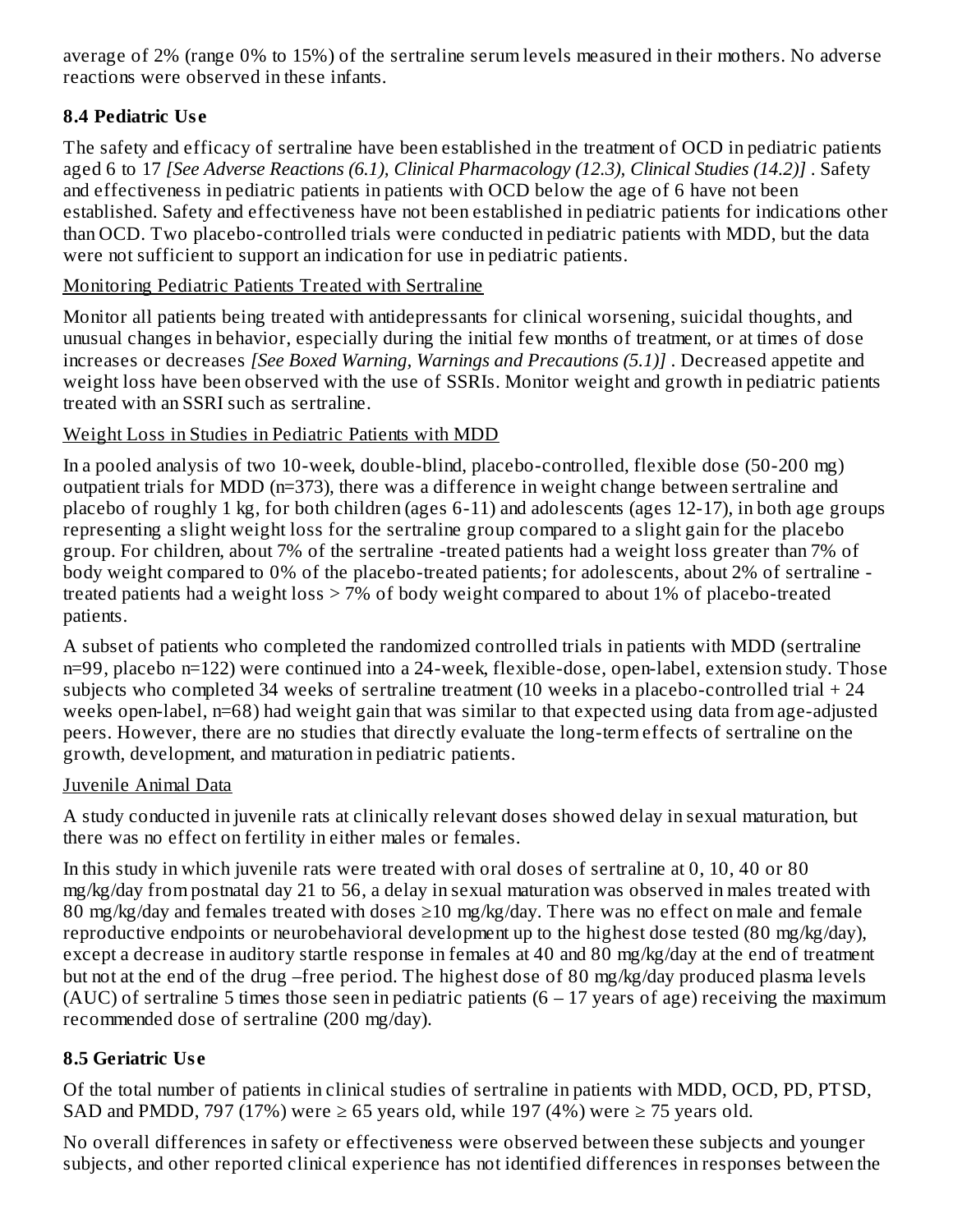average of 2% (range 0% to 15%) of the sertraline serum levels measured in their mothers. No adverse reactions were observed in these infants.

## **8.4 Pediatric Us e**

The safety and efficacy of sertraline have been established in the treatment of OCD in pediatric patients aged 6 to 17 *[See Adverse Reactions (6.1), Clinical Pharmacology (12.3), Clinical Studies (14.2)]* . Safety and effectiveness in pediatric patients in patients with OCD below the age of 6 have not been established. Safety and effectiveness have not been established in pediatric patients for indications other than OCD. Two placebo-controlled trials were conducted in pediatric patients with MDD, but the data were not sufficient to support an indication for use in pediatric patients.

### Monitoring Pediatric Patients Treated with Sertraline

Monitor all patients being treated with antidepressants for clinical worsening, suicidal thoughts, and unusual changes in behavior, especially during the initial few months of treatment, or at times of dose increases or decreases *[See Boxed Warning, Warnings and Precautions (5.1)]* . Decreased appetite and weight loss have been observed with the use of SSRIs. Monitor weight and growth in pediatric patients treated with an SSRI such as sertraline.

### Weight Loss in Studies in Pediatric Patients with MDD

In a pooled analysis of two 10-week, double-blind, placebo-controlled, flexible dose (50-200 mg) outpatient trials for MDD (n=373), there was a difference in weight change between sertraline and placebo of roughly 1 kg, for both children (ages 6-11) and adolescents (ages 12-17), in both age groups representing a slight weight loss for the sertraline group compared to a slight gain for the placebo group. For children, about 7% of the sertraline -treated patients had a weight loss greater than 7% of body weight compared to 0% of the placebo-treated patients; for adolescents, about 2% of sertraline treated patients had a weight loss > 7% of body weight compared to about 1% of placebo-treated patients.

A subset of patients who completed the randomized controlled trials in patients with MDD (sertraline n=99, placebo n=122) were continued into a 24-week, flexible-dose, open-label, extension study. Those subjects who completed 34 weeks of sertraline treatment (10 weeks in a placebo-controlled trial  $+24$ weeks open-label, n=68) had weight gain that was similar to that expected using data from age-adjusted peers. However, there are no studies that directly evaluate the long-term effects of sertraline on the growth, development, and maturation in pediatric patients.

### Juvenile Animal Data

A study conducted in juvenile rats at clinically relevant doses showed delay in sexual maturation, but there was no effect on fertility in either males or females.

In this study in which juvenile rats were treated with oral doses of sertraline at 0, 10, 40 or 80 mg/kg/day from postnatal day 21 to 56, a delay in sexual maturation was observed in males treated with 80 mg/kg/day and females treated with doses  $\geq$ 10 mg/kg/day. There was no effect on male and female reproductive endpoints or neurobehavioral development up to the highest dose tested (80 mg/kg/day), except a decrease in auditory startle response in females at 40 and 80 mg/kg/day at the end of treatment but not at the end of the drug –free period. The highest dose of 80 mg/kg/day produced plasma levels (AUC) of sertraline 5 times those seen in pediatric patients  $(6 - 17)$  years of age) receiving the maximum recommended dose of sertraline (200 mg/day).

## **8.5 Geriatric Us e**

Of the total number of patients in clinical studies of sertraline in patients with MDD, OCD, PD, PTSD, SAD and PMDD, 797 (17%) were  $\geq$  65 years old, while 197 (4%) were  $\geq$  75 years old.

No overall differences in safety or effectiveness were observed between these subjects and younger subjects, and other reported clinical experience has not identified differences in responses between the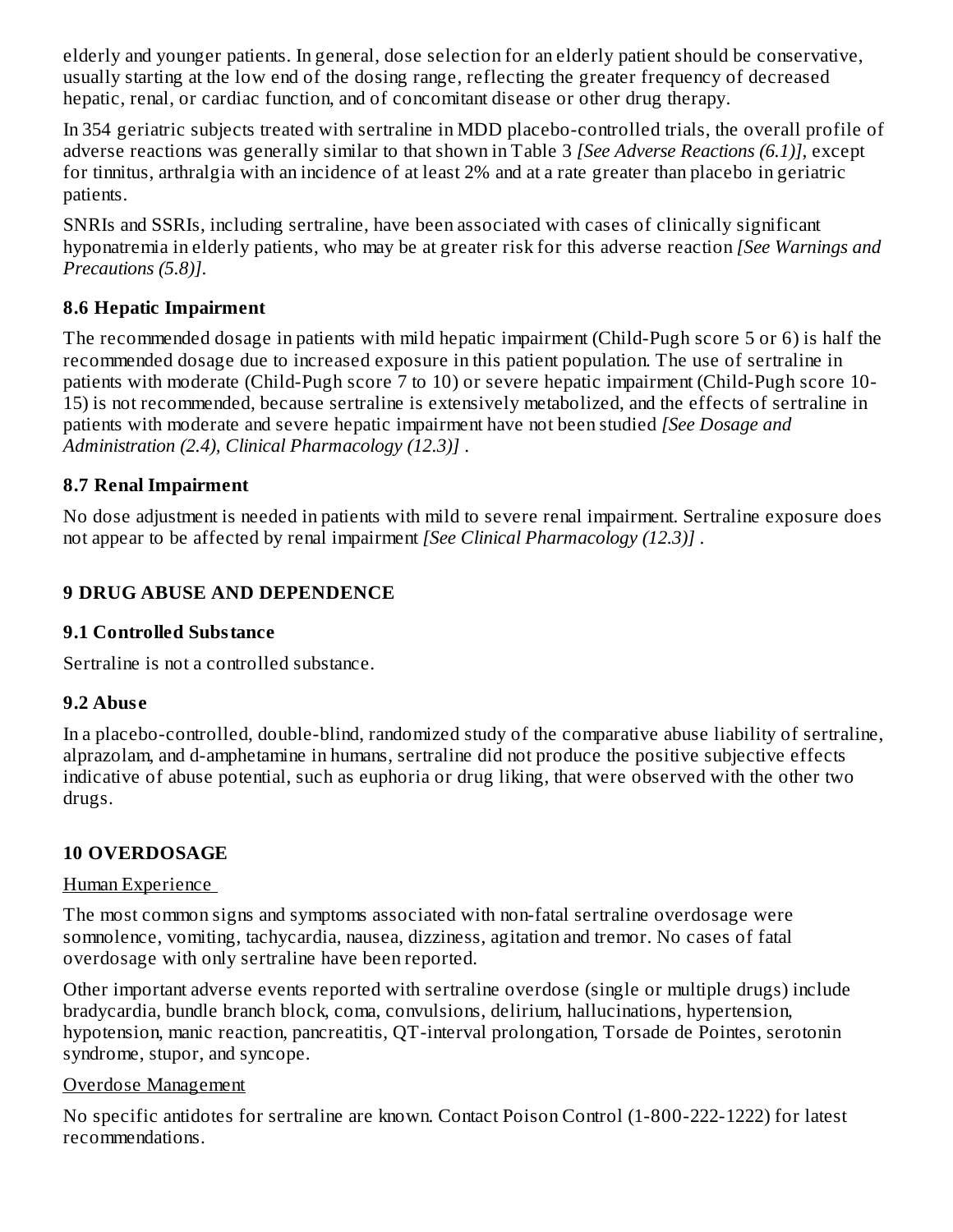elderly and younger patients. In general, dose selection for an elderly patient should be conservative, usually starting at the low end of the dosing range, reflecting the greater frequency of decreased hepatic, renal, or cardiac function, and of concomitant disease or other drug therapy.

In 354 geriatric subjects treated with sertraline in MDD placebo-controlled trials, the overall profile of adverse reactions was generally similar to that shown in Table 3 *[See Adverse Reactions (6.1)],* except for tinnitus, arthralgia with an incidence of at least 2% and at a rate greater than placebo in geriatric patients.

SNRIs and SSRIs, including sertraline, have been associated with cases of clinically significant hyponatremia in elderly patients, who may be at greater risk for this adverse reaction *[See Warnings and Precautions (5.8)]*.

### **8.6 Hepatic Impairment**

The recommended dosage in patients with mild hepatic impairment (Child-Pugh score 5 or 6) is half the recommended dosage due to increased exposure in this patient population. The use of sertraline in patients with moderate (Child-Pugh score 7 to 10) or severe hepatic impairment (Child-Pugh score 10- 15) is not recommended, because sertraline is extensively metabolized, and the effects of sertraline in patients with moderate and severe hepatic impairment have not been studied *[See Dosage and Administration (2.4), Clinical Pharmacology (12.3)]* .

### **8.7 Renal Impairment**

No dose adjustment is needed in patients with mild to severe renal impairment. Sertraline exposure does not appear to be affected by renal impairment *[See Clinical Pharmacology (12.3)]* .

## **9 DRUG ABUSE AND DEPENDENCE**

### **9.1 Controlled Substance**

Sertraline is not a controlled substance.

### **9.2 Abus e**

In a placebo-controlled, double-blind, randomized study of the comparative abuse liability of sertraline, alprazolam, and d-amphetamine in humans, sertraline did not produce the positive subjective effects indicative of abuse potential, such as euphoria or drug liking, that were observed with the other two drugs.

## **10 OVERDOSAGE**

### Human Experience

The most common signs and symptoms associated with non-fatal sertraline overdosage were somnolence, vomiting, tachycardia, nausea, dizziness, agitation and tremor. No cases of fatal overdosage with only sertraline have been reported.

Other important adverse events reported with sertraline overdose (single or multiple drugs) include bradycardia, bundle branch block, coma, convulsions, delirium, hallucinations, hypertension, hypotension, manic reaction, pancreatitis, QT-interval prolongation, Torsade de Pointes, serotonin syndrome, stupor, and syncope.

### Overdose Management

No specific antidotes for sertraline are known. Contact Poison Control (1-800-222-1222) for latest recommendations.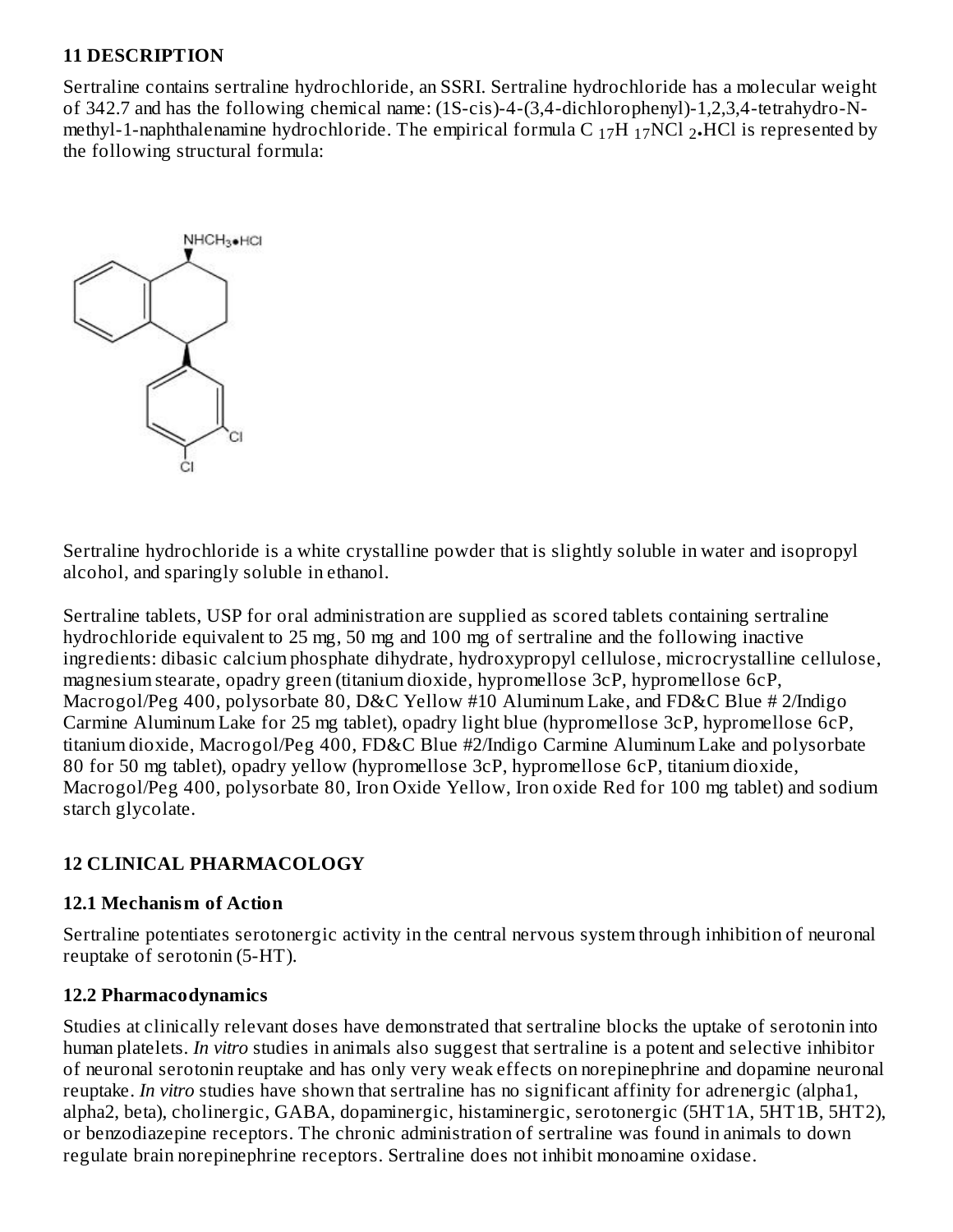#### **11 DESCRIPTION**

Sertraline contains sertraline hydrochloride, an SSRI. Sertraline hydrochloride has a molecular weight of 342.7 and has the following chemical name: (1S-cis)-4-(3,4-dichlorophenyl)-1,2,3,4-tetrahydro-Nmethyl-1-naphthalenamine hydrochloride. The empirical formula C  $_{17}$ H  $_{17}$ NCl  $_{2}$ •HCl is represented by the following structural formula:



Sertraline hydrochloride is a white crystalline powder that is slightly soluble in water and isopropyl alcohol, and sparingly soluble in ethanol.

Sertraline tablets, USP for oral administration are supplied as scored tablets containing sertraline hydrochloride equivalent to 25 mg, 50 mg and 100 mg of sertraline and the following inactive ingredients: dibasic calcium phosphate dihydrate, hydroxypropyl cellulose, microcrystalline cellulose, magnesium stearate, opadry green (titanium dioxide, hypromellose 3cP, hypromellose 6cP, Macrogol/Peg 400, polysorbate 80, D&C Yellow #10 Aluminum Lake, and FD&C Blue # 2/Indigo Carmine Aluminum Lake for 25 mg tablet), opadry light blue (hypromellose 3cP, hypromellose 6cP, titanium dioxide, Macrogol/Peg 400, FD&C Blue #2/Indigo Carmine Aluminum Lake and polysorbate 80 for 50 mg tablet), opadry yellow (hypromellose 3cP, hypromellose 6cP, titanium dioxide, Macrogol/Peg 400, polysorbate 80, Iron Oxide Yellow, Iron oxide Red for 100 mg tablet) and sodium starch glycolate.

#### **12 CLINICAL PHARMACOLOGY**

#### **12.1 Mechanism of Action**

Sertraline potentiates serotonergic activity in the central nervous system through inhibition of neuronal reuptake of serotonin (5-HT).

#### **12.2 Pharmacodynamics**

Studies at clinically relevant doses have demonstrated that sertraline blocks the uptake of serotonin into human platelets. *In vitro* studies in animals also suggest that sertraline is a potent and selective inhibitor of neuronal serotonin reuptake and has only very weak effects on norepinephrine and dopamine neuronal reuptake. *In vitro* studies have shown that sertraline has no significant affinity for adrenergic (alpha1, alpha2, beta), cholinergic, GABA, dopaminergic, histaminergic, serotonergic (5HT1A, 5HT1B, 5HT2), or benzodiazepine receptors. The chronic administration of sertraline was found in animals to down regulate brain norepinephrine receptors. Sertraline does not inhibit monoamine oxidase.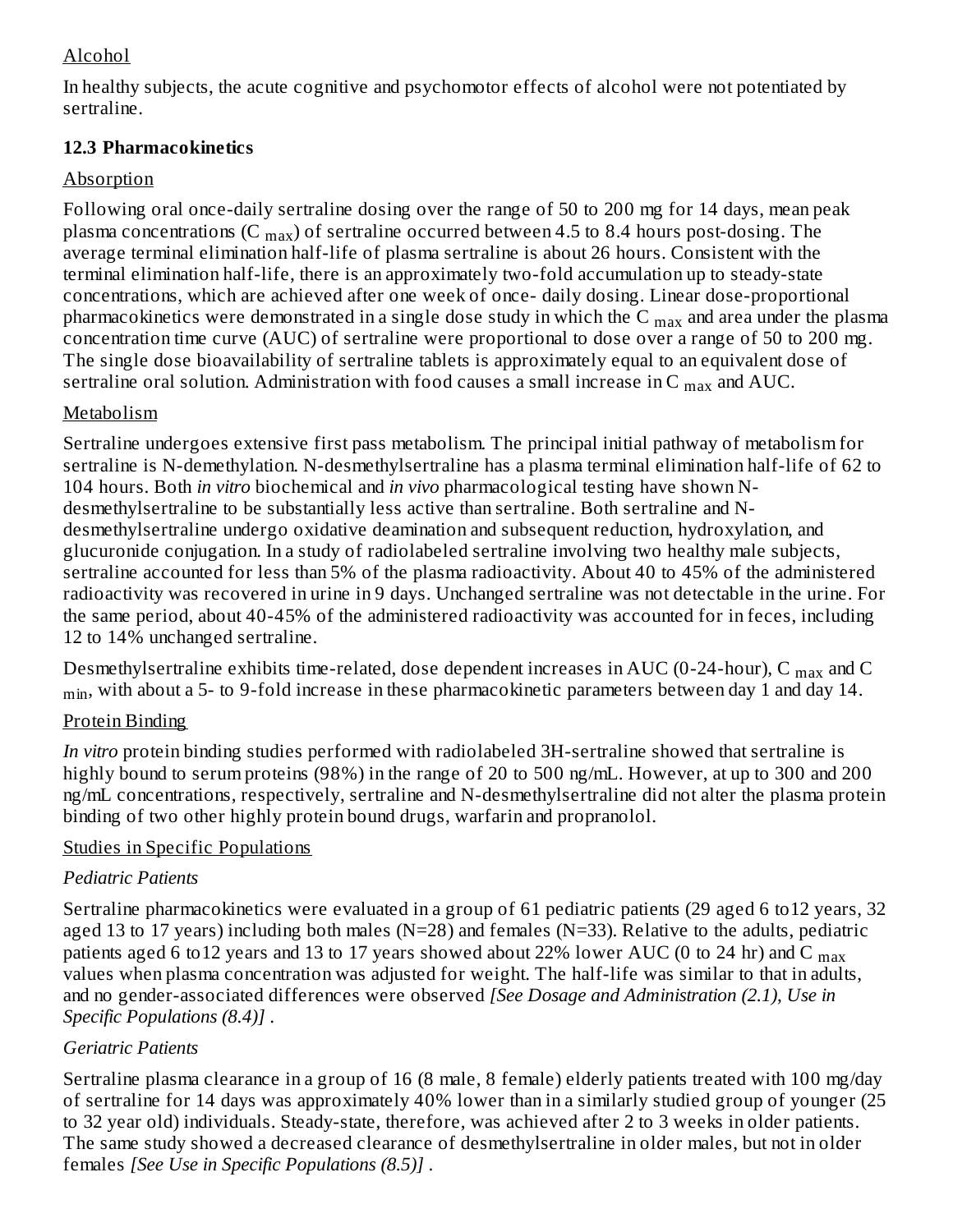### Alcohol

In healthy subjects, the acute cognitive and psychomotor effects of alcohol were not potentiated by sertraline.

### **12.3 Pharmacokinetics**

### Absorption

Following oral once-daily sertraline dosing over the range of 50 to 200 mg for 14 days, mean peak plasma concentrations (C  $_{\rm{max}}$ ) of sertraline occurred between 4.5 to 8.4 hours post-dosing. The average terminal elimination half-life of plasma sertraline is about 26 hours. Consistent with the terminal elimination half-life, there is an approximately two-fold accumulation up to steady-state concentrations, which are achieved after one week of once- daily dosing. Linear dose-proportional pharmacokinetics were demonstrated in a single dose study in which the C  $_{\rm max}$  and area under the plasma concentration time curve (AUC) of sertraline were proportional to dose over a range of 50 to 200 mg. The single dose bioavailability of sertraline tablets is approximately equal to an equivalent dose of sertraline oral solution. Administration with food causes a small increase in C  $_{\rm max}$  and AUC.

### Metabolism

Sertraline undergoes extensive first pass metabolism. The principal initial pathway of metabolism for sertraline is N-demethylation. N-desmethylsertraline has a plasma terminal elimination half-life of 62 to 104 hours. Both *in vitro* biochemical and *in vivo* pharmacological testing have shown Ndesmethylsertraline to be substantially less active than sertraline. Both sertraline and Ndesmethylsertraline undergo oxidative deamination and subsequent reduction, hydroxylation, and glucuronide conjugation. In a study of radiolabeled sertraline involving two healthy male subjects, sertraline accounted for less than 5% of the plasma radioactivity. About 40 to 45% of the administered radioactivity was recovered in urine in 9 days. Unchanged sertraline was not detectable in the urine. For the same period, about 40-45% of the administered radioactivity was accounted for in feces, including 12 to 14% unchanged sertraline.

Desmethylsertraline exhibits time-related, dose dependent increases in AUC (0-24-hour), C  $_{\rm max}$  and C  $_{\rm min}$ , with about a 5- to 9-fold increase in these pharmacokinetic parameters between day 1 and day 14.

## Protein Binding

*In vitro* protein binding studies performed with radiolabeled 3H-sertraline showed that sertraline is highly bound to serum proteins (98%) in the range of 20 to 500 ng/mL. However, at up to 300 and 200 ng/mL concentrations, respectively, sertraline and N-desmethylsertraline did not alter the plasma protein binding of two other highly protein bound drugs, warfarin and propranolol.

## Studies in Specific Populations

## *Pediatric Patients*

Sertraline pharmacokinetics were evaluated in a group of 61 pediatric patients (29 aged 6 to12 years, 32 aged 13 to 17 years) including both males ( $N=28$ ) and females ( $N=33$ ). Relative to the adults, pediatric patients aged 6 to $12$  years and  $13$  to  $17$  years showed about 22% lower  $\mathrm{AUC}$  (0 to 24 hr) and C  $_\mathrm{max}$ values when plasma concentration was adjusted for weight. The half-life was similar to that in adults, and no gender-associated differences were observed *[See Dosage and Administration (2.1), Use in Specific Populations (8.4)]* .

## *Geriatric Patients*

Sertraline plasma clearance in a group of 16 (8 male, 8 female) elderly patients treated with 100 mg/day of sertraline for 14 days was approximately 40% lower than in a similarly studied group of younger (25 to 32 year old) individuals. Steady-state, therefore, was achieved after 2 to 3 weeks in older patients. The same study showed a decreased clearance of desmethylsertraline in older males, but not in older females *[See Use in Specific Populations (8.5)]* .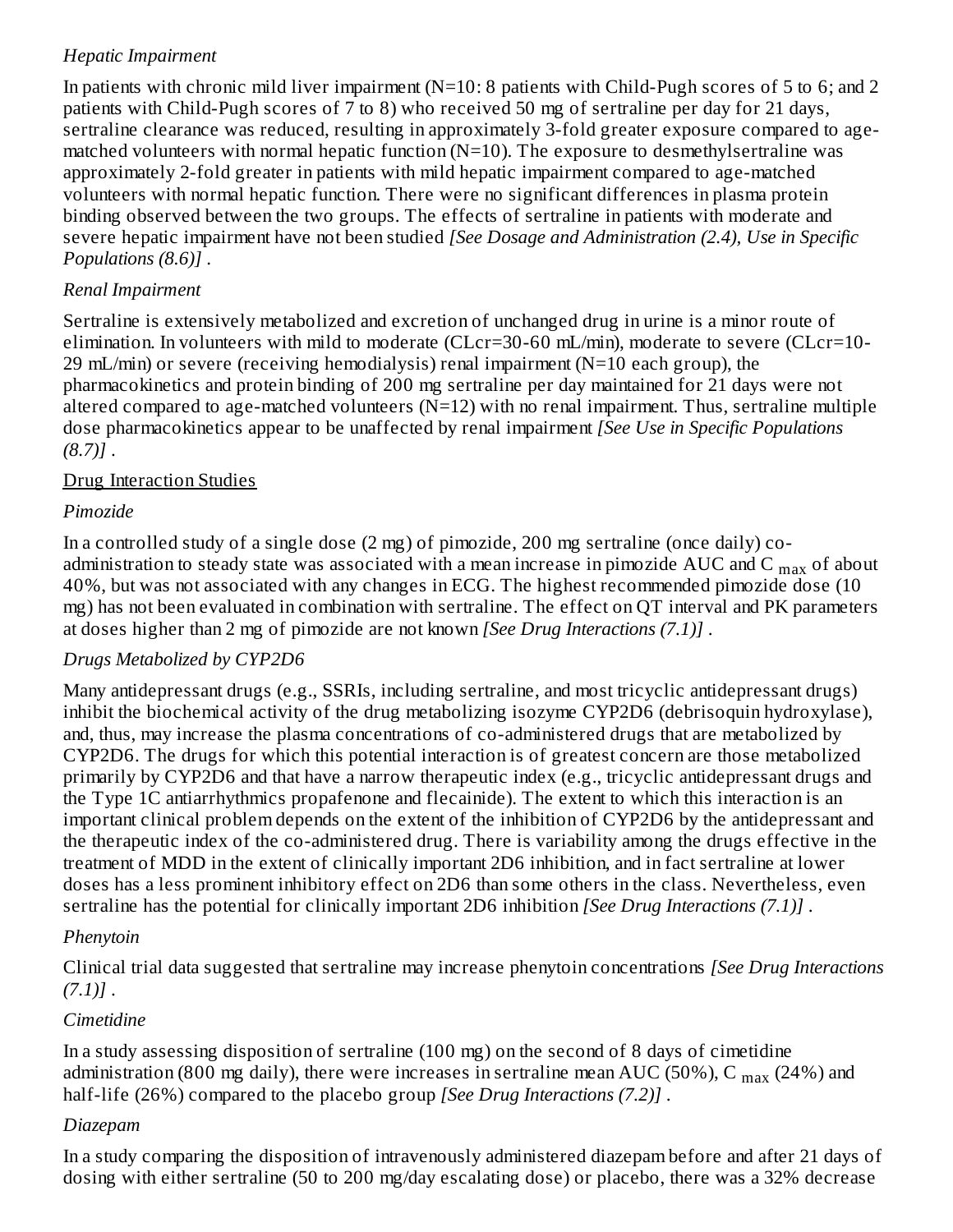### *Hepatic Impairment*

In patients with chronic mild liver impairment  $(N=10: 8$  patients with Child-Pugh scores of 5 to 6; and 2 patients with Child-Pugh scores of 7 to 8) who received 50 mg of sertraline per day for 21 days, sertraline clearance was reduced, resulting in approximately 3-fold greater exposure compared to agematched volunteers with normal hepatic function (N=10). The exposure to desmethylsertraline was approximately 2-fold greater in patients with mild hepatic impairment compared to age-matched volunteers with normal hepatic function. There were no significant differences in plasma protein binding observed between the two groups. The effects of sertraline in patients with moderate and severe hepatic impairment have not been studied *[See Dosage and Administration (2.4), Use in Specific Populations (8.6)]* .

#### *Renal Impairment*

Sertraline is extensively metabolized and excretion of unchanged drug in urine is a minor route of elimination. In volunteers with mild to moderate (CLcr=30-60 mL/min), moderate to severe (CLcr=10- 29 mL/min) or severe (receiving hemodialysis) renal impairment (N=10 each group), the pharmacokinetics and protein binding of 200 mg sertraline per day maintained for 21 days were not altered compared to age-matched volunteers  $(N=12)$  with no renal impairment. Thus, sertraline multiple dose pharmacokinetics appear to be unaffected by renal impairment *[See Use in Specific Populations (8.7)]* .

#### Drug Interaction Studies

#### *Pimozide*

In a controlled study of a single dose (2 mg) of pimozide, 200 mg sertraline (once daily) coadministration to steady state was associated with a mean increase in pimozide  $\rm AUC$  and  $\rm C_{max}$  of about 40%, but was not associated with any changes in ECG. The highest recommended pimozide dose (10 mg) has not been evaluated in combination with sertraline. The effect on QT interval and PK parameters at doses higher than 2 mg of pimozide are not known *[See Drug Interactions (7.1)]* .

### *Drugs Metabolized by CYP2D6*

Many antidepressant drugs (e.g., SSRIs, including sertraline, and most tricyclic antidepressant drugs) inhibit the biochemical activity of the drug metabolizing isozyme CYP2D6 (debrisoquin hydroxylase), and, thus, may increase the plasma concentrations of co-administered drugs that are metabolized by CYP2D6. The drugs for which this potential interaction is of greatest concern are those metabolized primarily by CYP2D6 and that have a narrow therapeutic index (e.g., tricyclic antidepressant drugs and the Type 1C antiarrhythmics propafenone and flecainide). The extent to which this interaction is an important clinical problem depends on the extent of the inhibition of CYP2D6 by the antidepressant and the therapeutic index of the co-administered drug. There is variability among the drugs effective in the treatment of MDD in the extent of clinically important 2D6 inhibition, and in fact sertraline at lower doses has a less prominent inhibitory effect on 2D6 than some others in the class. Nevertheless, even sertraline has the potential for clinically important 2D6 inhibition *[See Drug Interactions (7.1)]* .

#### *Phenytoin*

Clinical trial data suggested that sertraline may increase phenytoin concentrations *[See Drug Interactions (7.1)]* .

### *Cimetidine*

In a study assessing disposition of sertraline (100 mg) on the second of 8 days of cimetidine administration (800 mg daily), there were increases in sertraline mean AUC (50%), C  $_{\rm max}$  (24%) and half-life (26%) compared to the placebo group *[See Drug Interactions (7.2)]* .

#### *Diazepam*

In a study comparing the disposition of intravenously administered diazepam before and after 21 days of dosing with either sertraline (50 to 200 mg/day escalating dose) or placebo, there was a 32% decrease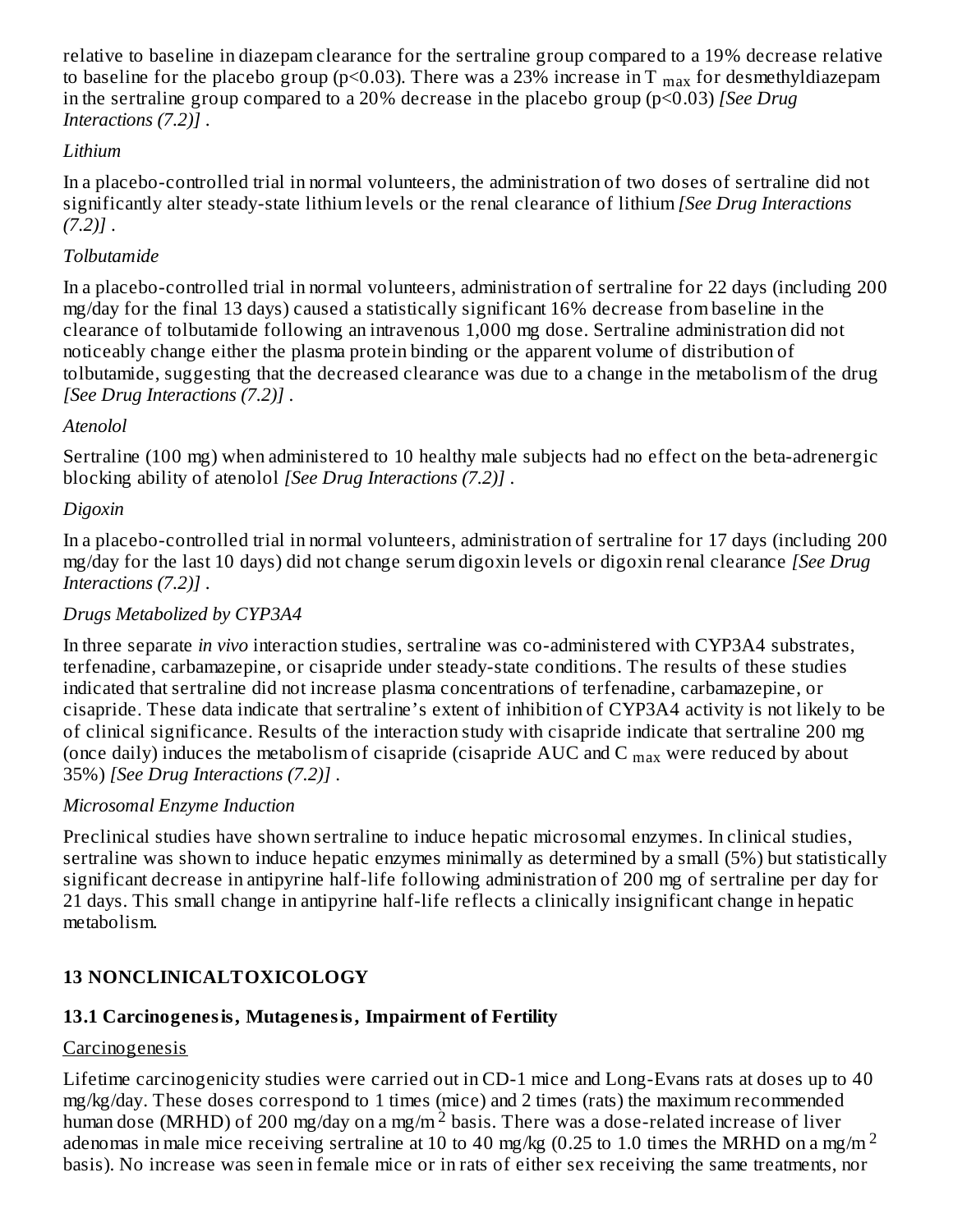relative to baseline in diazepam clearance for the sertraline group compared to a 19% decrease relative to baseline for the placebo group (p<0.03). There was a 23% increase in T  $_{\rm max}$  for desmethyldiazepam in the sertraline group compared to a 20% decrease in the placebo group (p<0.03) *[See Drug Interactions (7.2)]* .

### *Lithium*

In a placebo-controlled trial in normal volunteers, the administration of two doses of sertraline did not significantly alter steady-state lithium levels or the renal clearance of lithium *[See Drug Interactions (7.2)]* .

#### *Tolbutamide*

In a placebo-controlled trial in normal volunteers, administration of sertraline for 22 days (including 200 mg/day for the final 13 days) caused a statistically significant 16% decrease from baseline in the clearance of tolbutamide following an intravenous 1,000 mg dose. Sertraline administration did not noticeably change either the plasma protein binding or the apparent volume of distribution of tolbutamide, suggesting that the decreased clearance was due to a change in the metabolism of the drug *[See Drug Interactions (7.2)]* .

#### *Atenolol*

Sertraline (100 mg) when administered to 10 healthy male subjects had no effect on the beta-adrenergic blocking ability of atenolol *[See Drug Interactions (7.2)]* .

#### *Digoxin*

In a placebo-controlled trial in normal volunteers, administration of sertraline for 17 days (including 200 mg/day for the last 10 days) did not change serum digoxin levels or digoxin renal clearance *[See Drug Interactions (7.2)]* .

#### *Drugs Metabolized by CYP3A4*

In three separate *in vivo* interaction studies, sertraline was co-administered with CYP3A4 substrates, terfenadine, carbamazepine, or cisapride under steady-state conditions. The results of these studies indicated that sertraline did not increase plasma concentrations of terfenadine, carbamazepine, or cisapride. These data indicate that sertraline's extent of inhibition of CYP3A4 activity is not likely to be of clinical significance. Results of the interaction study with cisapride indicate that sertraline 200 mg (once daily) induces the metabolism of cisapride (cisapride  $\rm AUC$  and C  $_{\rm max}$  were reduced by about 35%) *[See Drug Interactions (7.2)]* .

#### *Microsomal Enzyme Induction*

Preclinical studies have shown sertraline to induce hepatic microsomal enzymes. In clinical studies, sertraline was shown to induce hepatic enzymes minimally as determined by a small (5%) but statistically significant decrease in antipyrine half-life following administration of 200 mg of sertraline per day for 21 days. This small change in antipyrine half-life reflects a clinically insignificant change in hepatic metabolism.

### **13 NONCLINICALTOXICOLOGY**

### **13.1 Carcinogenesis, Mutagenesis, Impairment of Fertility**

### Carcinogenesis

Lifetime carcinogenicity studies were carried out in CD-1 mice and Long-Evans rats at doses up to 40 mg/kg/day. These doses correspond to 1 times (mice) and 2 times (rats) the maximum recommended human dose (MRHD) of 200 mg/day on a mg/m<sup>2</sup> basis. There was a dose-related increase of liver adenomas in male mice receiving sertraline at 10 to 40 mg/kg (0.25 to 1.0 times the MRHD on a mg/m<sup>2</sup> basis). No increase was seen in female mice or in rats of either sex receiving the same treatments, nor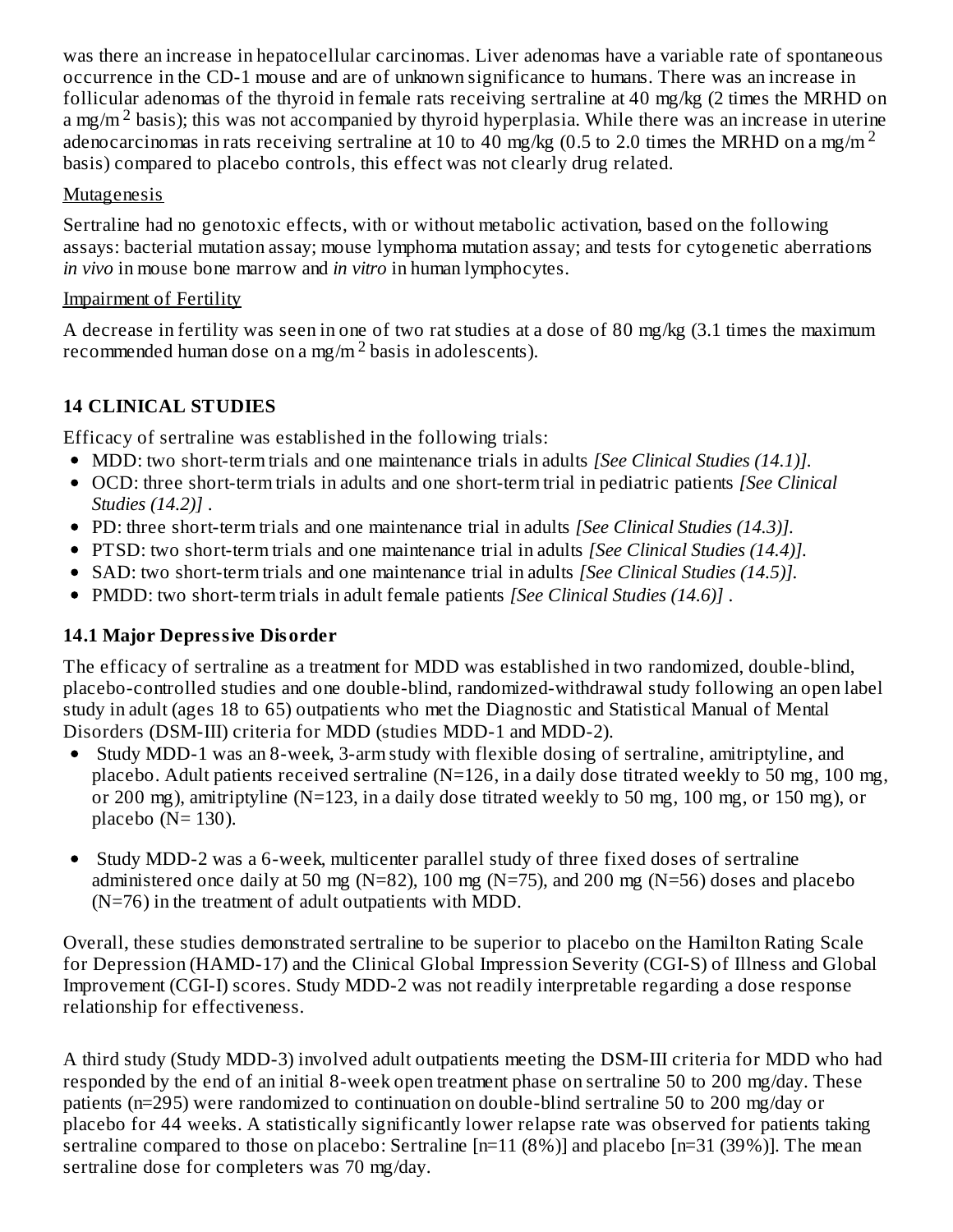was there an increase in hepatocellular carcinomas. Liver adenomas have a variable rate of spontaneous occurrence in the CD-1 mouse and are of unknown significance to humans. There was an increase in follicular adenomas of the thyroid in female rats receiving sertraline at 40 mg/kg (2 times the MRHD on a mg/m<sup>2</sup> basis); this was not accompanied by thyroid hyperplasia. While there was an increase in uterine adenocarcinomas in rats receiving sertraline at 10 to 40 mg/kg (0.5 to 2.0 times the MRHD on a mg/m<sup>2</sup> basis) compared to placebo controls, this effect was not clearly drug related.

### Mutagenesis

Sertraline had no genotoxic effects, with or without metabolic activation, based on the following assays: bacterial mutation assay; mouse lymphoma mutation assay; and tests for cytogenetic aberrations *in vivo* in mouse bone marrow and *in vitro* in human lymphocytes.

### Impairment of Fertility

A decrease in fertility was seen in one of two rat studies at a dose of 80 mg/kg (3.1 times the maximum recommended human dose on a mg/m  $^2$  basis in adolescents).

## **14 CLINICAL STUDIES**

Efficacy of sertraline was established in the following trials:

- MDD: two short-term trials and one maintenance trials in adults *[See Clinical Studies (14.1)].*
- OCD: three short-term trials in adults and one short-term trial in pediatric patients *[See Clinical Studies (14.2)]* .
- PD: three short-term trials and one maintenance trial in adults *[See Clinical Studies (14.3)].*
- PTSD: two short-term trials and one maintenance trial in adults *[See Clinical Studies (14.4)].*
- SAD: two short-term trials and one maintenance trial in adults *[See Clinical Studies (14.5)].*
- PMDD: two short-term trials in adult female patients *[See Clinical Studies (14.6)]* .

## **14.1 Major Depressive Disorder**

The efficacy of sertraline as a treatment for MDD was established in two randomized, double-blind, placebo-controlled studies and one double-blind, randomized-withdrawal study following an open label study in adult (ages 18 to 65) outpatients who met the Diagnostic and Statistical Manual of Mental Disorders (DSM-III) criteria for MDD (studies MDD-1 and MDD-2).

- Study MDD-1 was an 8-week, 3-arm study with flexible dosing of sertraline, amitriptyline, and placebo. Adult patients received sertraline (N=126, in a daily dose titrated weekly to 50 mg, 100 mg, or 200 mg), amitriptyline (N=123, in a daily dose titrated weekly to 50 mg, 100 mg, or 150 mg), or placebo ( $N=130$ ).
- Study MDD-2 was a 6-week, multicenter parallel study of three fixed doses of sertraline administered once daily at 50 mg (N=82), 100 mg (N=75), and 200 mg (N=56) doses and placebo (N=76) in the treatment of adult outpatients with MDD.

Overall, these studies demonstrated sertraline to be superior to placebo on the Hamilton Rating Scale for Depression (HAMD-17) and the Clinical Global Impression Severity (CGI-S) of Illness and Global Improvement (CGI-I) scores. Study MDD-2 was not readily interpretable regarding a dose response relationship for effectiveness.

A third study (Study MDD-3) involved adult outpatients meeting the DSM-III criteria for MDD who had responded by the end of an initial 8-week open treatment phase on sertraline 50 to 200 mg/day. These patients (n=295) were randomized to continuation on double-blind sertraline 50 to 200 mg/day or placebo for 44 weeks. A statistically significantly lower relapse rate was observed for patients taking sertraline compared to those on placebo: Sertraline [n=11 (8%)] and placebo [n=31 (39%)]. The mean sertraline dose for completers was 70 mg/day.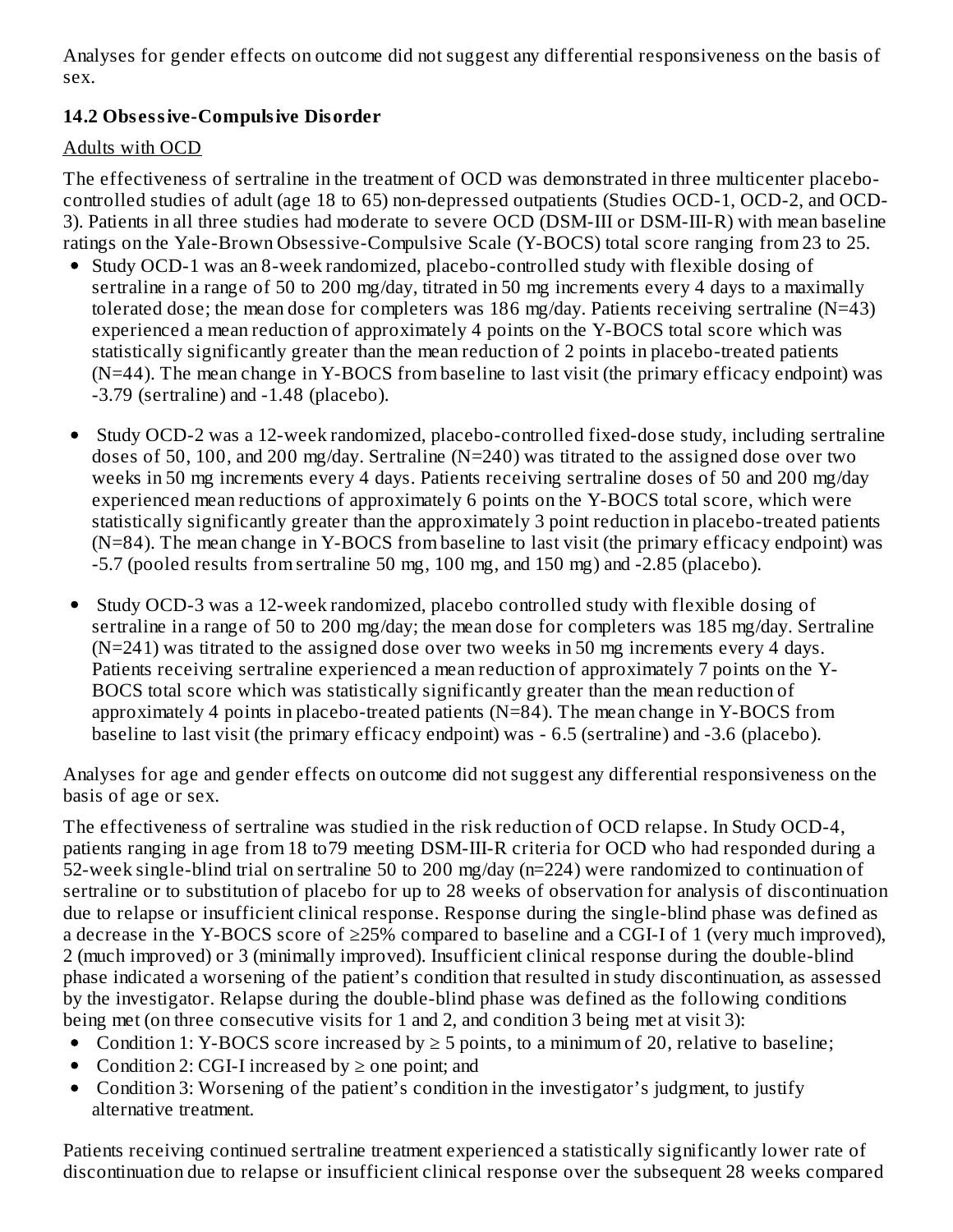Analyses for gender effects on outcome did not suggest any differential responsiveness on the basis of sex.

### **14.2 Obs essive-Compulsive Disorder**

### Adults with OCD

The effectiveness of sertraline in the treatment of OCD was demonstrated in three multicenter placebocontrolled studies of adult (age 18 to 65) non-depressed outpatients (Studies OCD-1, OCD-2, and OCD-3). Patients in all three studies had moderate to severe OCD (DSM-III or DSM-III-R) with mean baseline ratings on the Yale-Brown Obsessive-Compulsive Scale (Y-BOCS) total score ranging from 23 to 25.

- Study OCD-1 was an 8-week randomized, placebo-controlled study with flexible dosing of sertraline in a range of 50 to 200 mg/day, titrated in 50 mg increments every 4 days to a maximally tolerated dose; the mean dose for completers was 186 mg/day. Patients receiving sertraline (N=43) experienced a mean reduction of approximately 4 points on the Y-BOCS total score which was statistically significantly greater than the mean reduction of 2 points in placebo-treated patients (N=44). The mean change in Y-BOCS from baseline to last visit (the primary efficacy endpoint) was  $-3.79$  (sertraline) and  $-1.48$  (placebo).
- Study OCD-2 was a 12-week randomized, placebo-controlled fixed-dose study, including sertraline doses of 50, 100, and 200 mg/day. Sertraline (N=240) was titrated to the assigned dose over two weeks in 50 mg increments every 4 days. Patients receiving sertraline doses of 50 and 200 mg/day experienced mean reductions of approximately 6 points on the Y-BOCS total score, which were statistically significantly greater than the approximately 3 point reduction in placebo-treated patients (N=84). The mean change in Y-BOCS from baseline to last visit (the primary efficacy endpoint) was -5.7 (pooled results from sertraline 50 mg, 100 mg, and 150 mg) and -2.85 (placebo).
- Study OCD-3 was a 12-week randomized, placebo controlled study with flexible dosing of sertraline in a range of 50 to 200 mg/day; the mean dose for completers was 185 mg/day. Sertraline (N=241) was titrated to the assigned dose over two weeks in 50 mg increments every 4 days. Patients receiving sertraline experienced a mean reduction of approximately 7 points on the Y-BOCS total score which was statistically significantly greater than the mean reduction of approximately 4 points in placebo-treated patients (N=84). The mean change in Y-BOCS from baseline to last visit (the primary efficacy endpoint) was - 6.5 (sertraline) and -3.6 (placebo).

Analyses for age and gender effects on outcome did not suggest any differential responsiveness on the basis of age or sex.

The effectiveness of sertraline was studied in the risk reduction of OCD relapse. In Study OCD-4, patients ranging in age from 18 to79 meeting DSM-III-R criteria for OCD who had responded during a 52-week single-blind trial on sertraline 50 to 200 mg/day (n=224) were randomized to continuation of sertraline or to substitution of placebo for up to 28 weeks of observation for analysis of discontinuation due to relapse or insufficient clinical response. Response during the single-blind phase was defined as a decrease in the Y-BOCS score of ≥25% compared to baseline and a CGI-I of 1 (very much improved), 2 (much improved) or 3 (minimally improved). Insufficient clinical response during the double-blind phase indicated a worsening of the patient's condition that resulted in study discontinuation, as assessed by the investigator. Relapse during the double-blind phase was defined as the following conditions being met (on three consecutive visits for 1 and 2, and condition 3 being met at visit 3):

- Condition 1: Y-BOCS score increased by  $\geq 5$  points, to a minimum of 20, relative to baseline;
- Condition 2: CGI-I increased by  $\geq$  one point; and
- Condition 3: Worsening of the patient's condition in the investigator's judgment, to justify alternative treatment.

Patients receiving continued sertraline treatment experienced a statistically significantly lower rate of discontinuation due to relapse or insufficient clinical response over the subsequent 28 weeks compared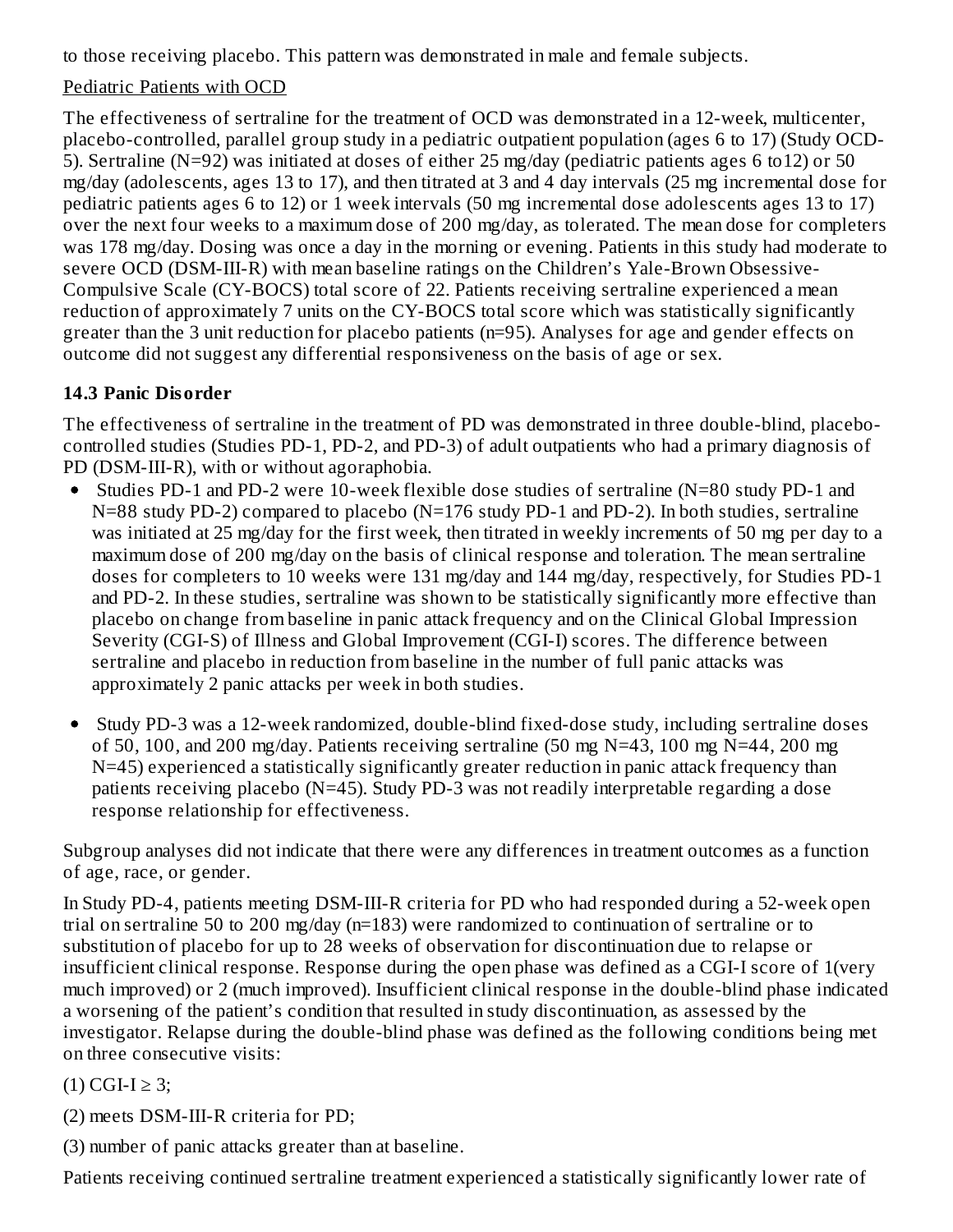to those receiving placebo. This pattern was demonstrated in male and female subjects.

### Pediatric Patients with OCD

The effectiveness of sertraline for the treatment of OCD was demonstrated in a 12-week, multicenter, placebo-controlled, parallel group study in a pediatric outpatient population (ages 6 to 17) (Study OCD-5). Sertraline (N=92) was initiated at doses of either 25 mg/day (pediatric patients ages 6 to12) or 50 mg/day (adolescents, ages 13 to 17), and then titrated at 3 and 4 day intervals (25 mg incremental dose for pediatric patients ages 6 to 12) or 1 week intervals (50 mg incremental dose adolescents ages 13 to 17) over the next four weeks to a maximum dose of 200 mg/day, as tolerated. The mean dose for completers was 178 mg/day. Dosing was once a day in the morning or evening. Patients in this study had moderate to severe OCD (DSM-III-R) with mean baseline ratings on the Children's Yale-Brown Obsessive-Compulsive Scale (CY-BOCS) total score of 22. Patients receiving sertraline experienced a mean reduction of approximately 7 units on the CY-BOCS total score which was statistically significantly greater than the 3 unit reduction for placebo patients (n=95). Analyses for age and gender effects on outcome did not suggest any differential responsiveness on the basis of age or sex.

### **14.3 Panic Disorder**

The effectiveness of sertraline in the treatment of PD was demonstrated in three double-blind, placebocontrolled studies (Studies PD-1, PD-2, and PD-3) of adult outpatients who had a primary diagnosis of PD (DSM-III-R), with or without agoraphobia.

- Studies PD-1 and PD-2 were 10-week flexible dose studies of sertraline (N=80 study PD-1 and  $\bullet$ N=88 study PD-2) compared to placebo (N=176 study PD-1 and PD-2). In both studies, sertraline was initiated at 25 mg/day for the first week, then titrated in weekly increments of 50 mg per day to a maximum dose of 200 mg/day on the basis of clinical response and toleration. The mean sertraline doses for completers to 10 weeks were 131 mg/day and 144 mg/day, respectively, for Studies PD-1 and PD-2. In these studies, sertraline was shown to be statistically significantly more effective than placebo on change from baseline in panic attack frequency and on the Clinical Global Impression Severity (CGI-S) of Illness and Global Improvement (CGI-I) scores. The difference between sertraline and placebo in reduction from baseline in the number of full panic attacks was approximately 2 panic attacks per week in both studies.
- Study PD-3 was a 12-week randomized, double-blind fixed-dose study, including sertraline doses of 50, 100, and 200 mg/day. Patients receiving sertraline (50 mg  $N=43$ , 100 mg  $N=44$ , 200 mg N=45) experienced a statistically significantly greater reduction in panic attack frequency than patients receiving placebo (N=45). Study PD-3 was not readily interpretable regarding a dose response relationship for effectiveness.

Subgroup analyses did not indicate that there were any differences in treatment outcomes as a function of age, race, or gender.

In Study PD-4, patients meeting DSM-III-R criteria for PD who had responded during a 52-week open trial on sertraline 50 to 200 mg/day (n=183) were randomized to continuation of sertraline or to substitution of placebo for up to 28 weeks of observation for discontinuation due to relapse or insufficient clinical response. Response during the open phase was defined as a CGI-I score of 1(very much improved) or 2 (much improved). Insufficient clinical response in the double-blind phase indicated a worsening of the patient's condition that resulted in study discontinuation, as assessed by the investigator. Relapse during the double-blind phase was defined as the following conditions being met on three consecutive visits:

 $(1)$  CGI-I  $\geq$  3;

(2) meets DSM-III-R criteria for PD;

(3) number of panic attacks greater than at baseline.

Patients receiving continued sertraline treatment experienced a statistically significantly lower rate of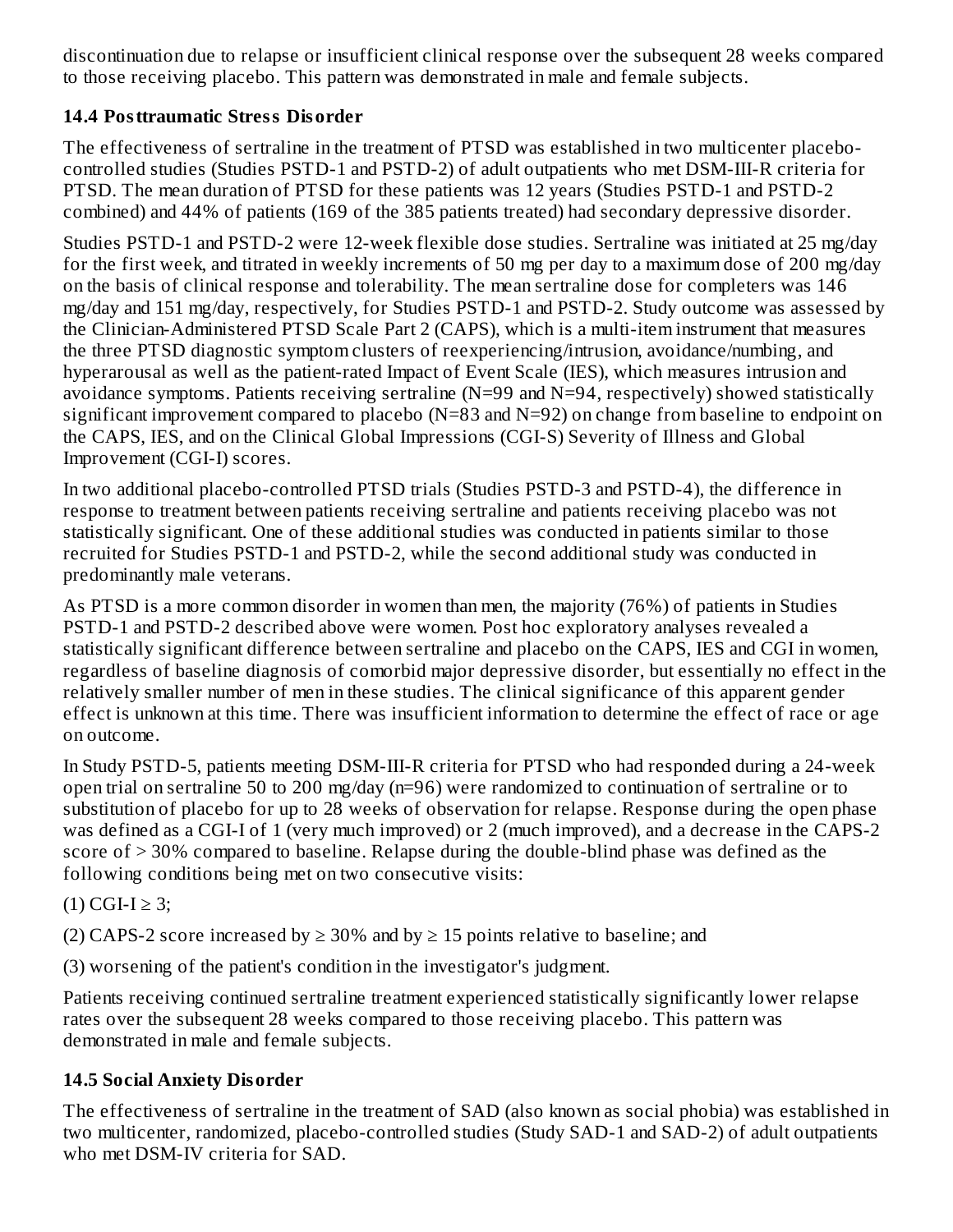discontinuation due to relapse or insufficient clinical response over the subsequent 28 weeks compared to those receiving placebo. This pattern was demonstrated in male and female subjects.

### **14.4 Posttraumatic Stress Disorder**

The effectiveness of sertraline in the treatment of PTSD was established in two multicenter placebocontrolled studies (Studies PSTD-1 and PSTD-2) of adult outpatients who met DSM-III-R criteria for PTSD. The mean duration of PTSD for these patients was 12 years (Studies PSTD-1 and PSTD-2 combined) and 44% of patients (169 of the 385 patients treated) had secondary depressive disorder.

Studies PSTD-1 and PSTD-2 were 12-week flexible dose studies. Sertraline was initiated at 25 mg/day for the first week, and titrated in weekly increments of 50 mg per day to a maximum dose of 200 mg/day on the basis of clinical response and tolerability. The mean sertraline dose for completers was 146 mg/day and 151 mg/day, respectively, for Studies PSTD-1 and PSTD-2. Study outcome was assessed by the Clinician-Administered PTSD Scale Part 2 (CAPS), which is a multi-item instrument that measures the three PTSD diagnostic symptom clusters of reexperiencing/intrusion, avoidance/numbing, and hyperarousal as well as the patient-rated Impact of Event Scale (IES), which measures intrusion and avoidance symptoms. Patients receiving sertraline (N=99 and N=94, respectively) showed statistically significant improvement compared to placebo ( $N=83$  and  $N=92$ ) on change from baseline to endpoint on the CAPS, IES, and on the Clinical Global Impressions (CGI-S) Severity of Illness and Global Improvement (CGI-I) scores.

In two additional placebo-controlled PTSD trials (Studies PSTD-3 and PSTD-4), the difference in response to treatment between patients receiving sertraline and patients receiving placebo was not statistically significant. One of these additional studies was conducted in patients similar to those recruited for Studies PSTD-1 and PSTD-2, while the second additional study was conducted in predominantly male veterans.

As PTSD is a more common disorder in women than men, the majority (76%) of patients in Studies PSTD-1 and PSTD-2 described above were women. Post hoc exploratory analyses revealed a statistically significant difference between sertraline and placebo on the CAPS, IES and CGI in women, regardless of baseline diagnosis of comorbid major depressive disorder, but essentially no effect in the relatively smaller number of men in these studies. The clinical significance of this apparent gender effect is unknown at this time. There was insufficient information to determine the effect of race or age on outcome.

In Study PSTD-5, patients meeting DSM-III-R criteria for PTSD who had responded during a 24-week open trial on sertraline 50 to 200 mg/day (n=96) were randomized to continuation of sertraline or to substitution of placebo for up to 28 weeks of observation for relapse. Response during the open phase was defined as a CGI-I of 1 (very much improved) or 2 (much improved), and a decrease in the CAPS-2 score of > 30% compared to baseline. Relapse during the double-blind phase was defined as the following conditions being met on two consecutive visits:

## (1) CGI-I ≥ 3;

(2) CAPS-2 score increased by  $\geq$  30% and by  $\geq$  15 points relative to baseline; and

(3) worsening of the patient's condition in the investigator's judgment.

Patients receiving continued sertraline treatment experienced statistically significantly lower relapse rates over the subsequent 28 weeks compared to those receiving placebo. This pattern was demonstrated in male and female subjects.

## **14.5 Social Anxiety Disorder**

The effectiveness of sertraline in the treatment of SAD (also known as social phobia) was established in two multicenter, randomized, placebo-controlled studies (Study SAD-1 and SAD-2) of adult outpatients who met DSM-IV criteria for SAD.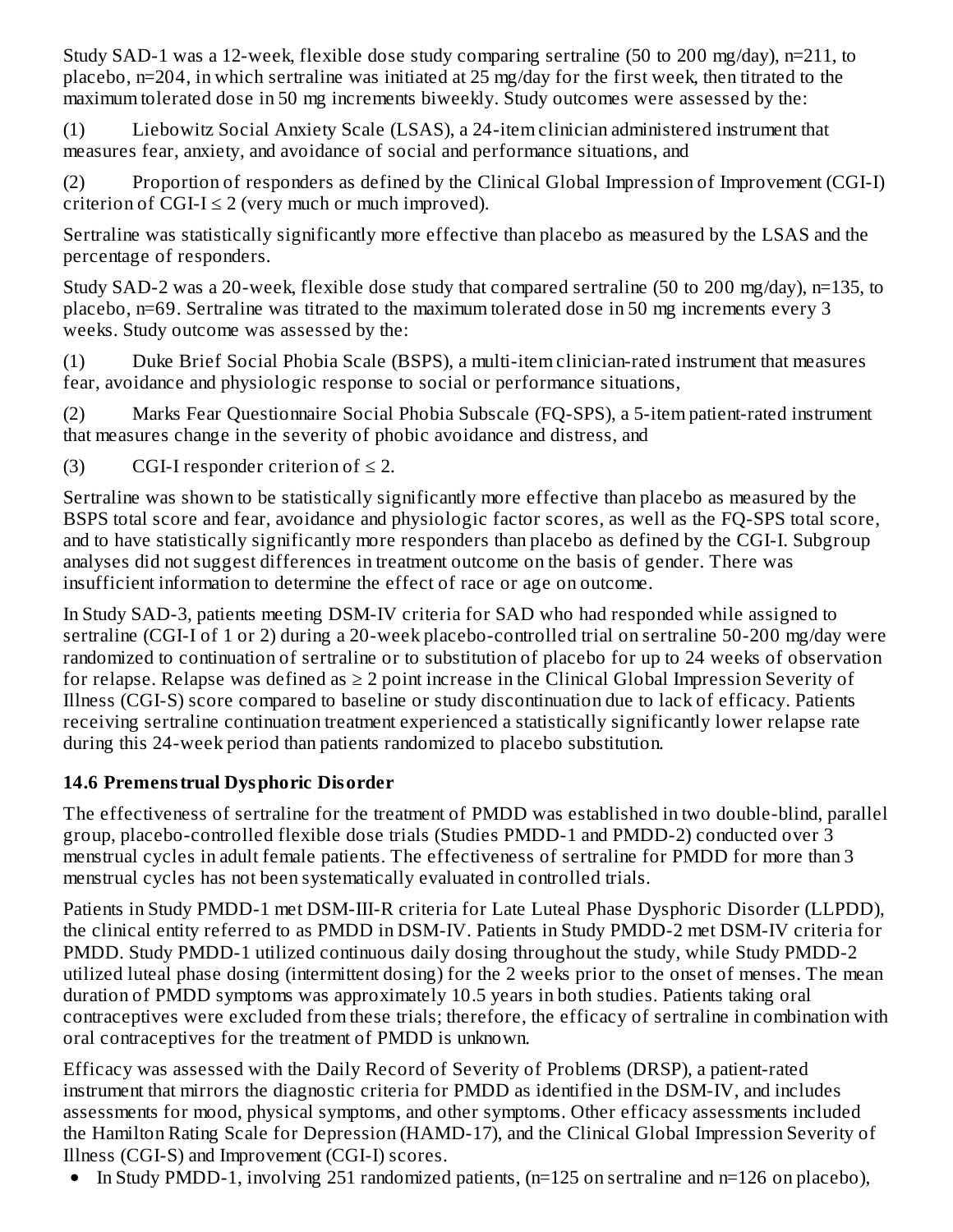Study SAD-1 was a 12-week, flexible dose study comparing sertraline (50 to 200 mg/day), n=211, to placebo, n=204, in which sertraline was initiated at 25 mg/day for the first week, then titrated to the maximum tolerated dose in 50 mg increments biweekly. Study outcomes were assessed by the:

(1) Liebowitz Social Anxiety Scale (LSAS), a 24-item clinician administered instrument that measures fear, anxiety, and avoidance of social and performance situations, and

(2) Proportion of responders as defined by the Clinical Global Impression of Improvement (CGI-I) criterion of CGI-I  $\leq$  2 (very much or much improved).

Sertraline was statistically significantly more effective than placebo as measured by the LSAS and the percentage of responders.

Study SAD-2 was a 20-week, flexible dose study that compared sertraline (50 to 200 mg/day), n=135, to placebo, n=69. Sertraline was titrated to the maximum tolerated dose in 50 mg increments every 3 weeks. Study outcome was assessed by the:

(1) Duke Brief Social Phobia Scale (BSPS), a multi-item clinician-rated instrument that measures fear, avoidance and physiologic response to social or performance situations,

(2) Marks Fear Questionnaire Social Phobia Subscale (FQ-SPS), a 5-item patient-rated instrument that measures change in the severity of phobic avoidance and distress, and

(3) CGI-I responder criterion of  $\leq 2$ .

Sertraline was shown to be statistically significantly more effective than placebo as measured by the BSPS total score and fear, avoidance and physiologic factor scores, as well as the FQ-SPS total score, and to have statistically significantly more responders than placebo as defined by the CGI-I. Subgroup analyses did not suggest differences in treatment outcome on the basis of gender. There was insufficient information to determine the effect of race or age on outcome.

In Study SAD-3, patients meeting DSM-IV criteria for SAD who had responded while assigned to sertraline (CGI-I of 1 or 2) during a 20-week placebo-controlled trial on sertraline 50-200 mg/day were randomized to continuation of sertraline or to substitution of placebo for up to 24 weeks of observation for relapse. Relapse was defined as  $\geq 2$  point increase in the Clinical Global Impression Severity of Illness (CGI-S) score compared to baseline or study discontinuation due to lack of efficacy. Patients receiving sertraline continuation treatment experienced a statistically significantly lower relapse rate during this 24-week period than patients randomized to placebo substitution.

## **14.6 Premenstrual Dysphoric Disorder**

The effectiveness of sertraline for the treatment of PMDD was established in two double-blind, parallel group, placebo-controlled flexible dose trials (Studies PMDD-1 and PMDD-2) conducted over 3 menstrual cycles in adult female patients. The effectiveness of sertraline for PMDD for more than 3 menstrual cycles has not been systematically evaluated in controlled trials.

Patients in Study PMDD-1 met DSM-III-R criteria for Late Luteal Phase Dysphoric Disorder (LLPDD), the clinical entity referred to as PMDD in DSM-IV. Patients in Study PMDD-2 met DSM-IV criteria for PMDD. Study PMDD-1 utilized continuous daily dosing throughout the study, while Study PMDD-2 utilized luteal phase dosing (intermittent dosing) for the 2 weeks prior to the onset of menses. The mean duration of PMDD symptoms was approximately 10.5 years in both studies. Patients taking oral contraceptives were excluded from these trials; therefore, the efficacy of sertraline in combination with oral contraceptives for the treatment of PMDD is unknown.

Efficacy was assessed with the Daily Record of Severity of Problems (DRSP), a patient-rated instrument that mirrors the diagnostic criteria for PMDD as identified in the DSM-IV, and includes assessments for mood, physical symptoms, and other symptoms. Other efficacy assessments included the Hamilton Rating Scale for Depression (HAMD-17), and the Clinical Global Impression Severity of Illness (CGI-S) and Improvement (CGI-I) scores.

In Study PMDD-1, involving 251 randomized patients, (n=125 on sertraline and n=126 on placebo), $\bullet$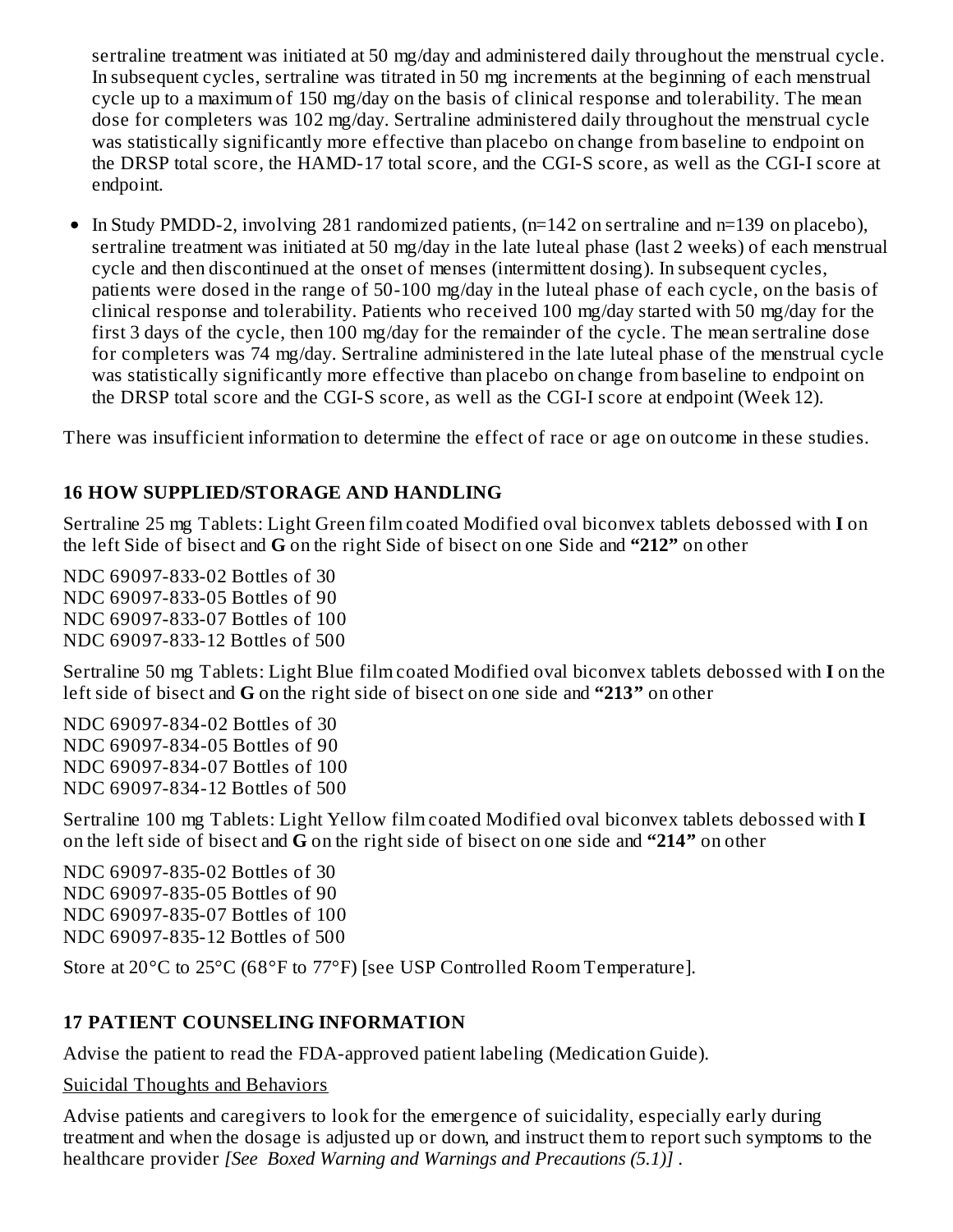sertraline treatment was initiated at 50 mg/day and administered daily throughout the menstrual cycle. In subsequent cycles, sertraline was titrated in 50 mg increments at the beginning of each menstrual cycle up to a maximum of 150 mg/day on the basis of clinical response and tolerability. The mean dose for completers was 102 mg/day. Sertraline administered daily throughout the menstrual cycle was statistically significantly more effective than placebo on change from baseline to endpoint on the DRSP total score, the HAMD-17 total score, and the CGI-S score, as well as the CGI-I score at endpoint.

In Study PMDD-2, involving 281 randomized patients, (n=142 on sertraline and n=139 on placebo),  $\bullet$ sertraline treatment was initiated at 50 mg/day in the late luteal phase (last 2 weeks) of each menstrual cycle and then discontinued at the onset of menses (intermittent dosing). In subsequent cycles, patients were dosed in the range of 50-100 mg/day in the luteal phase of each cycle, on the basis of clinical response and tolerability. Patients who received 100 mg/day started with 50 mg/day for the first 3 days of the cycle, then 100 mg/day for the remainder of the cycle. The mean sertraline dose for completers was 74 mg/day. Sertraline administered in the late luteal phase of the menstrual cycle was statistically significantly more effective than placebo on change from baseline to endpoint on the DRSP total score and the CGI-S score, as well as the CGI-I score at endpoint (Week 12).

There was insufficient information to determine the effect of race or age on outcome in these studies.

#### **16 HOW SUPPLIED/STORAGE AND HANDLING**

Sertraline 25 mg Tablets: Light Green film coated Modified oval biconvex tablets debossed with **I** on the left Side of bisect and **G** on the right Side of bisect on one Side and **"212"** on other

NDC 69097-833-02 Bottles of 30 NDC 69097-833-05 Bottles of 90 NDC 69097-833-07 Bottles of 100 NDC 69097-833-12 Bottles of 500

Sertraline 50 mg Tablets: Light Blue film coated Modified oval biconvex tablets debossed with **I** on the left side of bisect and **G** on the right side of bisect on one side and **"213"** on other

NDC 69097-834-02 Bottles of 30 NDC 69097-834-05 Bottles of 90 NDC 69097-834-07 Bottles of 100 NDC 69097-834-12 Bottles of 500

Sertraline 100 mg Tablets: Light Yellow film coated Modified oval biconvex tablets debossed with **I** on the left side of bisect and **G** on the right side of bisect on one side and **"214"** on other

NDC 69097-835-02 Bottles of 30 NDC 69097-835-05 Bottles of 90 NDC 69097-835-07 Bottles of 100 NDC 69097-835-12 Bottles of 500

Store at 20°C to 25°C (68°F to 77°F) [see USP Controlled Room Temperature].

### **17 PATIENT COUNSELING INFORMATION**

Advise the patient to read the FDA-approved patient labeling (Medication Guide).

Suicidal Thoughts and Behaviors

Advise patients and caregivers to look for the emergence of suicidality, especially early during treatment and when the dosage is adjusted up or down, and instruct them to report such symptoms to the healthcare provider *[See Boxed Warning and Warnings and Precautions (5.1)]* .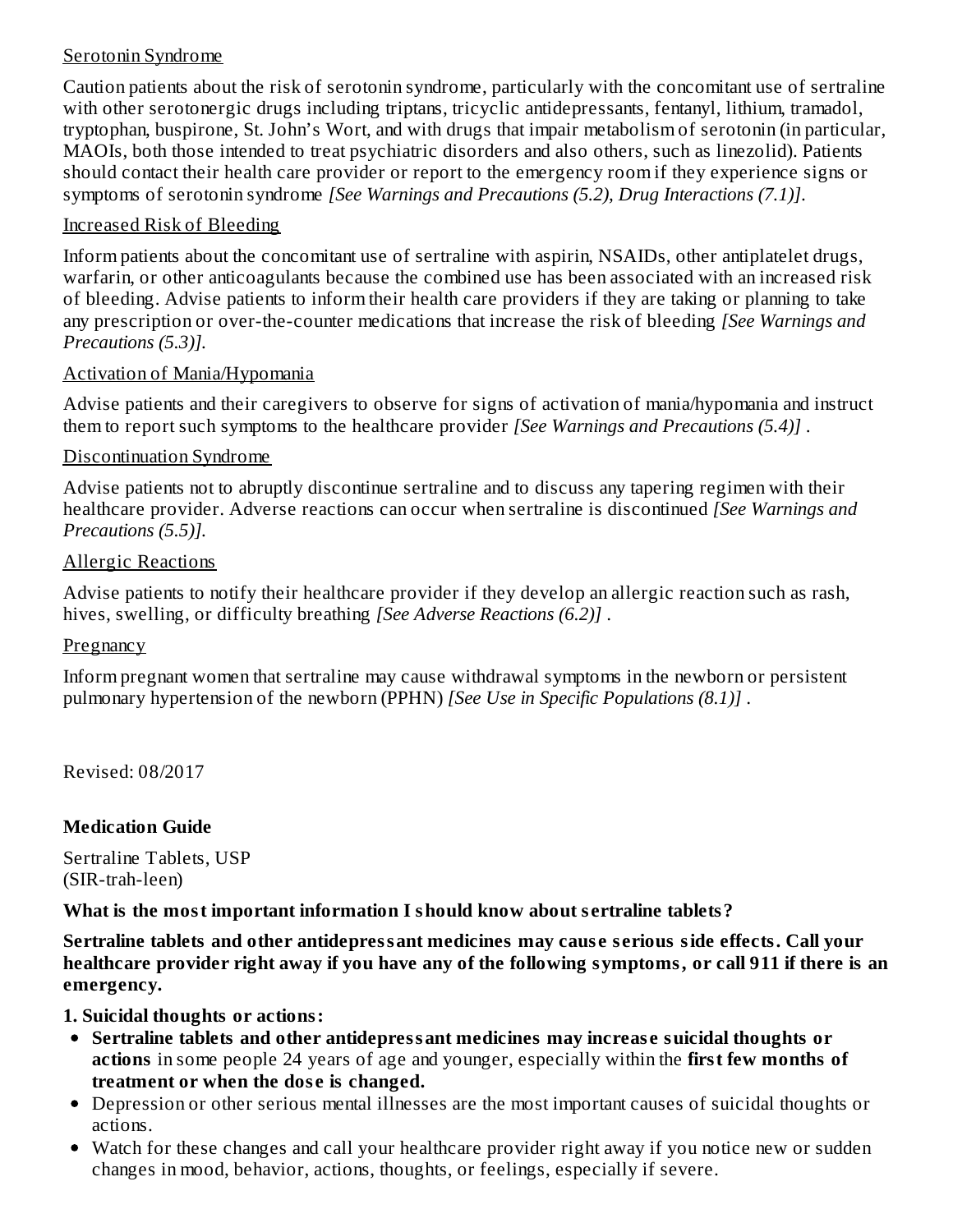#### Serotonin Syndrome

Caution patients about the risk of serotonin syndrome, particularly with the concomitant use of sertraline with other serotonergic drugs including triptans, tricyclic antidepressants, fentanyl, lithium, tramadol, tryptophan, buspirone, St. John's Wort, and with drugs that impair metabolism of serotonin (in particular, MAOIs, both those intended to treat psychiatric disorders and also others, such as linezolid). Patients should contact their health care provider or report to the emergency room if they experience signs or symptoms of serotonin syndrome *[See Warnings and Precautions (5.2), Drug Interactions (7.1)]*.

#### Increased Risk of Bleeding

Inform patients about the concomitant use of sertraline with aspirin, NSAIDs, other antiplatelet drugs, warfarin, or other anticoagulants because the combined use has been associated with an increased risk of bleeding. Advise patients to inform their health care providers if they are taking or planning to take any prescription or over-the-counter medications that increase the risk of bleeding *[See Warnings and Precautions (5.3)].*

#### Activation of Mania/Hypomania

Advise patients and their caregivers to observe for signs of activation of mania/hypomania and instruct them to report such symptoms to the healthcare provider *[See Warnings and Precautions (5.4)]* .

#### Discontinuation Syndrome

Advise patients not to abruptly discontinue sertraline and to discuss any tapering regimen with their healthcare provider. Adverse reactions can occur when sertraline is discontinued *[See Warnings and Precautions (5.5)].*

#### Allergic Reactions

Advise patients to notify their healthcare provider if they develop an allergic reaction such as rash, hives, swelling, or difficulty breathing *[See Adverse Reactions (6.2)]* .

#### **Pregnancy**

Inform pregnant women that sertraline may cause withdrawal symptoms in the newborn or persistent pulmonary hypertension of the newborn (PPHN) *[See Use in Specific Populations (8.1)]* .

Revised: 08/2017

#### **Medication Guide**

Sertraline Tablets, USP (SIR-trah-leen)

**What is the most important information I should know about s ertraline tablets?**

**Sertraline tablets and other antidepressant medicines may caus e s erious side effects. Call your** healthcare provider right away if you have any of the following symptoms, or call 911 if there is an **emergency.**

**1. Suicidal thoughts or actions:**

- **Sertraline tablets and other antidepressant medicines may increas e suicidal thoughts or actions** in some people 24 years of age and younger, especially within the **first few months of treatment or when the dos e is changed.**
- Depression or other serious mental illnesses are the most important causes of suicidal thoughts or actions.
- Watch for these changes and call your healthcare provider right away if you notice new or sudden changes in mood, behavior, actions, thoughts, or feelings, especially if severe.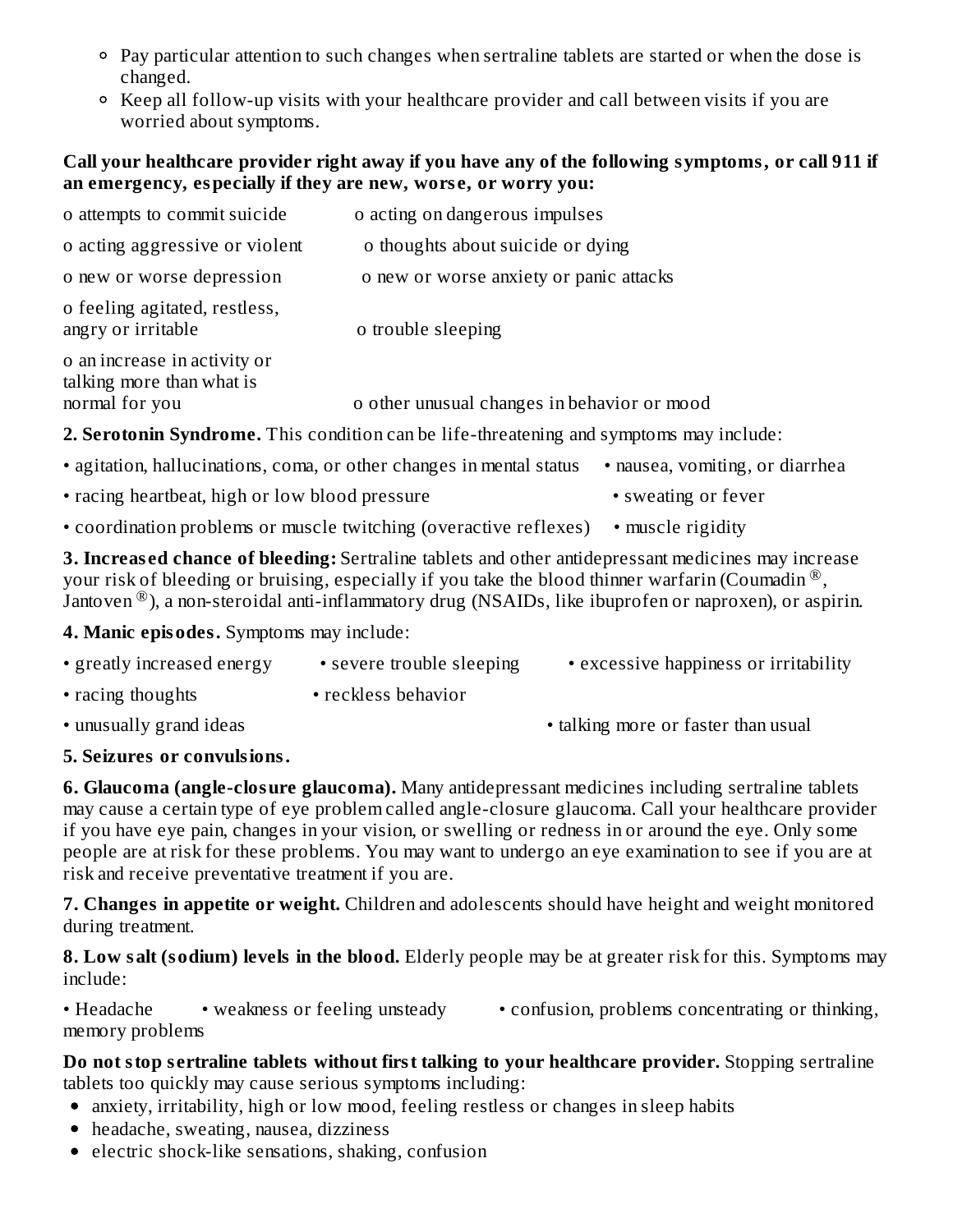- Pay particular attention to such changes when sertraline tablets are started or when the dose is changed.
- Keep all follow-up visits with your healthcare provider and call between visits if you are worried about symptoms.

#### **Call your healthcare provider right away if you have any of the following symptoms, or call 911 if an emergency, especially if they are new, wors e, or worry you:**

| o attempts to commit suicide                                                                   | o acting on dangerous impulses              |  |
|------------------------------------------------------------------------------------------------|---------------------------------------------|--|
| o acting aggressive or violent                                                                 | o thoughts about suicide or dying           |  |
| o new or worse depression                                                                      | o new or worse anxiety or panic attacks     |  |
| o feeling agitated, restless,<br>angry or irritable                                            | o trouble sleeping                          |  |
| o an increase in activity or<br>talking more than what is                                      |                                             |  |
| normal for you                                                                                 | o other unusual changes in behavior or mood |  |
| <b>2. Serotonin Syndrome.</b> This condition can be life-threatening and symptoms may include: |                                             |  |
| • agitation, hallucinations, coma, or other changes in mental status                           | • nausea, vomiting, or diarrhea             |  |

- racing heartbeat, high or low blood pressure sweating or fever
- coordination problems or muscle twitching (overactive reflexes) muscle rigidity

**3. Increas ed chance of bleeding:** Sertraline tablets and other antidepressant medicines may increase your risk of bleeding or bruising, especially if you take the blood thinner warfarin (Coumadin  $^{\circledR}$ , Jantoven  $^{\circledR}$ ), a non-steroidal anti-inflammatory drug (NSAIDs, like ibuprofen or naproxen), or aspirin.

**4. Manic episodes.** Symptoms may include:

| • greatly increased energy | • severe trouble sleeping | • excessive happiness or irritability |
|----------------------------|---------------------------|---------------------------------------|
| • racing thoughts          | • reckless behavior       |                                       |
| • unusually grand ideas    |                           | • talking more or faster than usual   |

#### **5. Seizures or convulsions.**

**6. Glaucoma (angle-closure glaucoma).** Many antidepressant medicines including sertraline tablets may cause a certain type of eye problem called angle-closure glaucoma. Call your healthcare provider if you have eye pain, changes in your vision, or swelling or redness in or around the eye. Only some people are at risk for these problems. You may want to undergo an eye examination to see if you are at risk and receive preventative treatment if you are.

**7. Changes in appetite or weight.** Children and adolescents should have height and weight monitored during treatment.

**8. Low salt (sodium) levels in the blood.** Elderly people may be at greater risk for this. Symptoms may include:

• Headache • weakness or feeling unsteady • confusion, problems concentrating or thinking, memory problems

**Do not stop s ertraline tablets without first talking to your healthcare provider.** Stopping sertraline tablets too quickly may cause serious symptoms including:

- anxiety, irritability, high or low mood, feeling restless or changes in sleep habits
- headache, sweating, nausea, dizziness
- electric shock-like sensations, shaking, confusion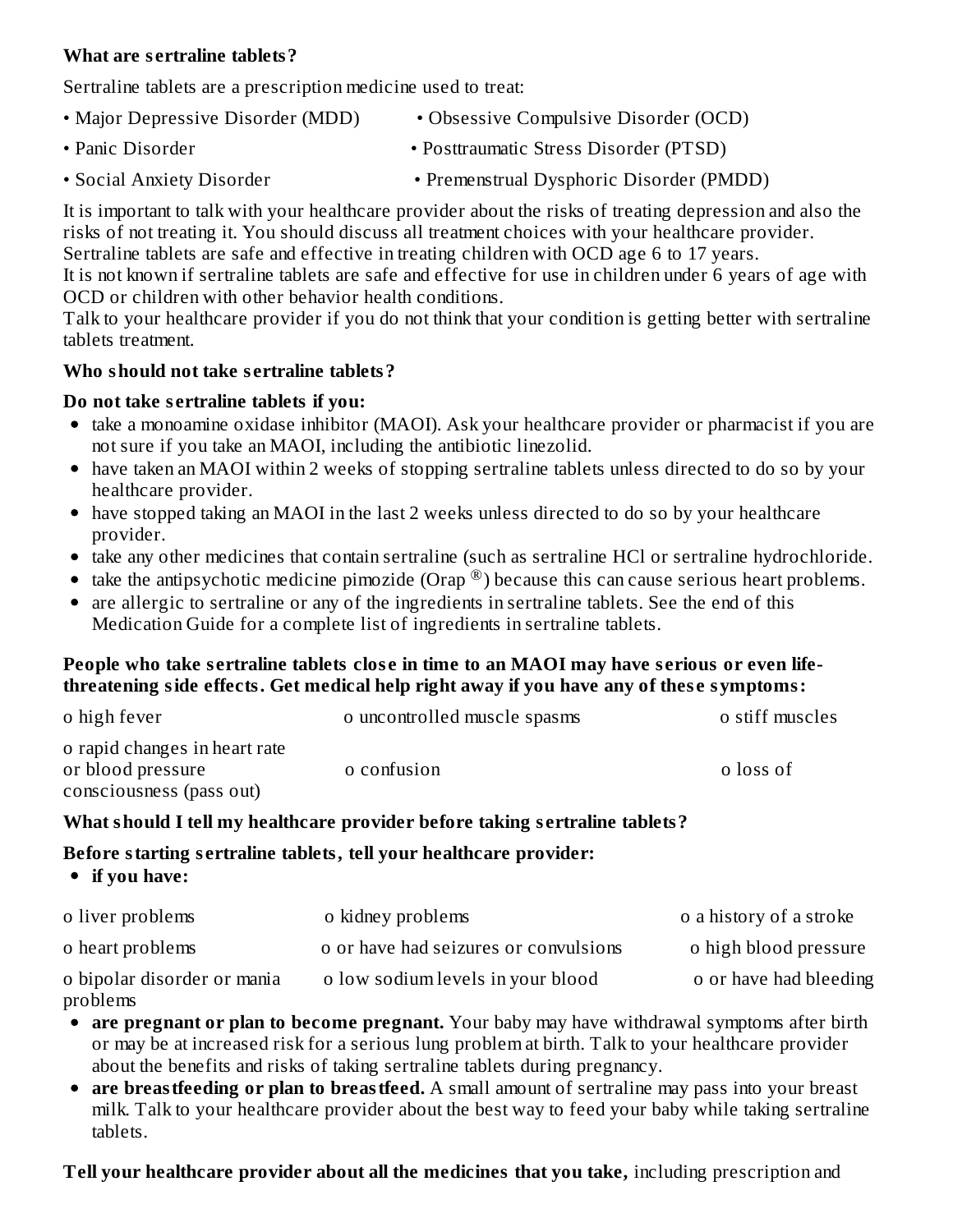#### **What are s ertraline tablets?**

Sertraline tablets are a prescription medicine used to treat:

- Major Depressive Disorder (MDD) Obsessive Compulsive Disorder (OCD) • Panic Disorder • Posttraumatic Stress Disorder (PTSD)
- Social Anxiety Disorder • Premenstrual Dysphoric Disorder (PMDD)

It is important to talk with your healthcare provider about the risks of treating depression and also the risks of not treating it. You should discuss all treatment choices with your healthcare provider. Sertraline tablets are safe and effective in treating children with OCD age 6 to 17 years.

It is not known if sertraline tablets are safe and effective for use in children under 6 years of age with OCD or children with other behavior health conditions.

Talk to your healthcare provider if you do not think that your condition is getting better with sertraline tablets treatment.

#### **Who should not take s ertraline tablets?**

#### **Do not take s ertraline tablets if you:**

- take a monoamine oxidase inhibitor (MAOI). Ask your healthcare provider or pharmacist if you are not sure if you take an MAOI, including the antibiotic linezolid.
- have taken an MAOI within 2 weeks of stopping sertraline tablets unless directed to do so by your healthcare provider.
- have stopped taking an MAOI in the last 2 weeks unless directed to do so by your healthcare provider.
- take any other medicines that contain sertraline (such as sertraline HCl or sertraline hydrochloride.
- take the antipsychotic medicine pimozide (Orap  $^{\circledR}$ ) because this can cause serious heart problems.
- are allergic to sertraline or any of the ingredients in sertraline tablets. See the end of this Medication Guide for a complete list of ingredients in sertraline tablets.

#### People who take sertraline tablets close in time to an MAOI may have serious or even life**threatening side effects. Get medical help right away if you have any of thes e symptoms:**

| o high fever                                       | o uncontrolled muscle spasms | o stiff muscles |
|----------------------------------------------------|------------------------------|-----------------|
| o rapid changes in heart rate<br>or blood pressure | o confusion                  | o loss of       |
| consciousness (pass out)                           |                              |                 |

#### **What should I tell my healthcare provider before taking s ertraline tablets?**

#### **Before starting s ertraline tablets, tell your healthcare provider:**

**if you have:**

| o liver problems                        | o kidney problems                     | o a history of a stroke |
|-----------------------------------------|---------------------------------------|-------------------------|
| o heart problems                        | o or have had seizures or convulsions | o high blood pressure   |
| o bipolar disorder or mania<br>problems | o low sodium levels in your blood     | o or have had bleeding  |

- **are pregnant or plan to become pregnant.** Your baby may have withdrawal symptoms after birth or may be at increased risk for a serious lung problem at birth. Talk to your healthcare provider about the benefits and risks of taking sertraline tablets during pregnancy.
- **are breastfeeding or plan to breastfeed.** A small amount of sertraline may pass into your breast milk. Talk to your healthcare provider about the best way to feed your baby while taking sertraline tablets.

**Tell your healthcare provider about all the medicines that you take,** including prescription and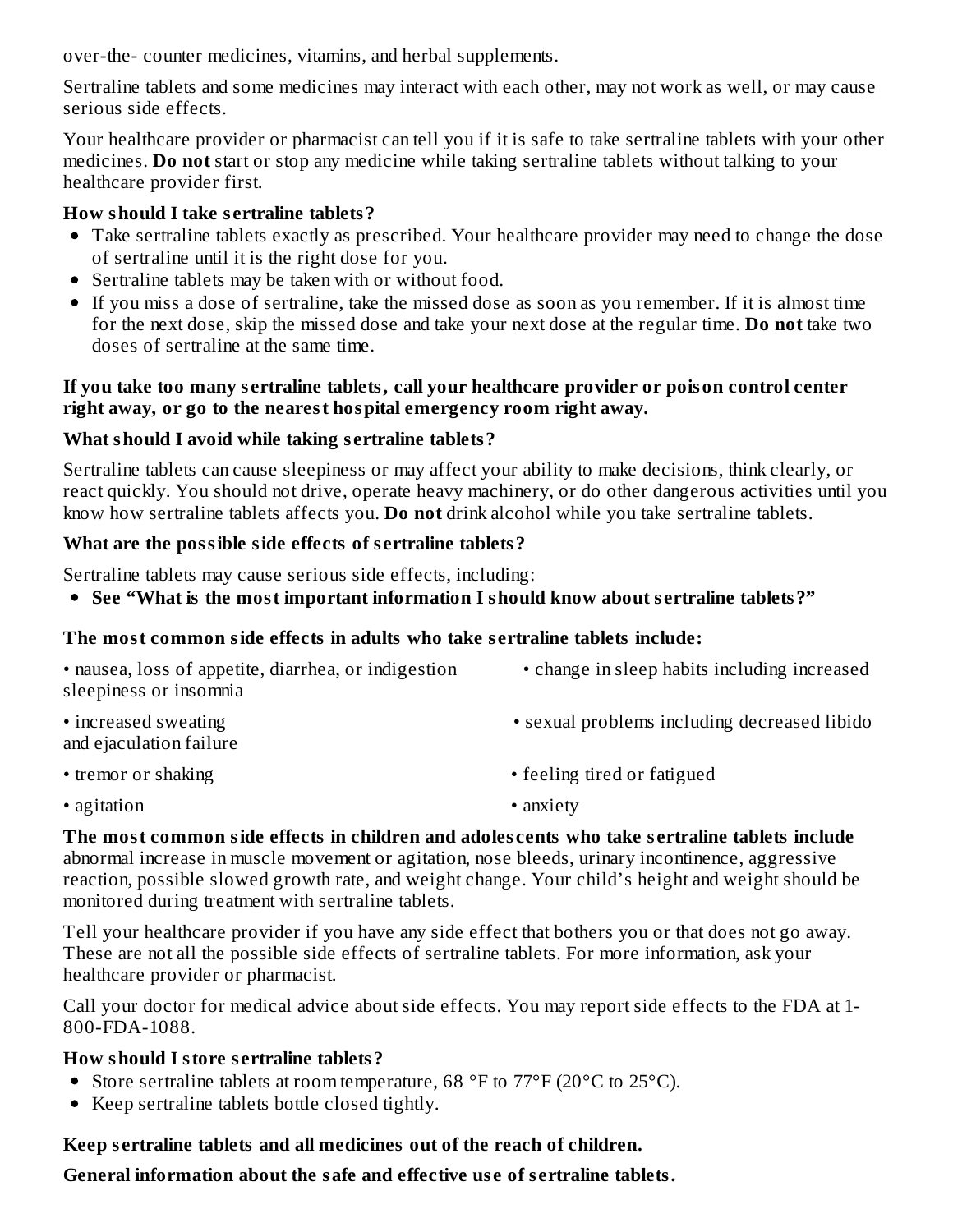over-the- counter medicines, vitamins, and herbal supplements.

Sertraline tablets and some medicines may interact with each other, may not work as well, or may cause serious side effects.

Your healthcare provider or pharmacist can tell you if it is safe to take sertraline tablets with your other medicines. **Do not** start or stop any medicine while taking sertraline tablets without talking to your healthcare provider first.

### **How should I take s ertraline tablets?**

- Take sertraline tablets exactly as prescribed. Your healthcare provider may need to change the dose of sertraline until it is the right dose for you.
- Sertraline tablets may be taken with or without food.
- If you miss a dose of sertraline, take the missed dose as soon as you remember. If it is almost time for the next dose, skip the missed dose and take your next dose at the regular time. **Do not** take two doses of sertraline at the same time.

#### **If you take too many s ertraline tablets, call your healthcare provider or poison control center right away, or go to the nearest hospital emergency room right away.**

### **What should I avoid while taking s ertraline tablets?**

Sertraline tablets can cause sleepiness or may affect your ability to make decisions, think clearly, or react quickly. You should not drive, operate heavy machinery, or do other dangerous activities until you know how sertraline tablets affects you. **Do not** drink alcohol while you take sertraline tablets.

### **What are the possible side effects of s ertraline tablets?**

Sertraline tablets may cause serious side effects, including:

**See "What is the most important information I should know about s ertraline tablets?"**

### **The most common side effects in adults who take s ertraline tablets include:**

| • nausea, loss of appetite, diarrhea, or indigestion | • change in sleep habits including increased |
|------------------------------------------------------|----------------------------------------------|
| sleepiness or insomnia                               |                                              |
| • increased sweating                                 | • sexual problems including decreased libido |

and ejaculation failure

- tremor or shaking extending the eliminative of feeling tired or fatigued
	-
- agitation anxiety
- 

**The most common side effects in children and adoles cents who take s ertraline tablets include** abnormal increase in muscle movement or agitation, nose bleeds, urinary incontinence, aggressive reaction, possible slowed growth rate, and weight change. Your child's height and weight should be monitored during treatment with sertraline tablets.

Tell your healthcare provider if you have any side effect that bothers you or that does not go away. These are not all the possible side effects of sertraline tablets. For more information, ask your healthcare provider or pharmacist.

Call your doctor for medical advice about side effects. You may report side effects to the FDA at 1- 800-FDA-1088.

### **How should I store s ertraline tablets?**

- Store sertraline tablets at room temperature, 68 °F to  $77^{\circ}$ F (20 °C to 25 °C).
- Keep sertraline tablets bottle closed tightly.

### **Keep s ertraline tablets and all medicines out of the reach of children.**

**General information about the safe and effective us e of s ertraline tablets.**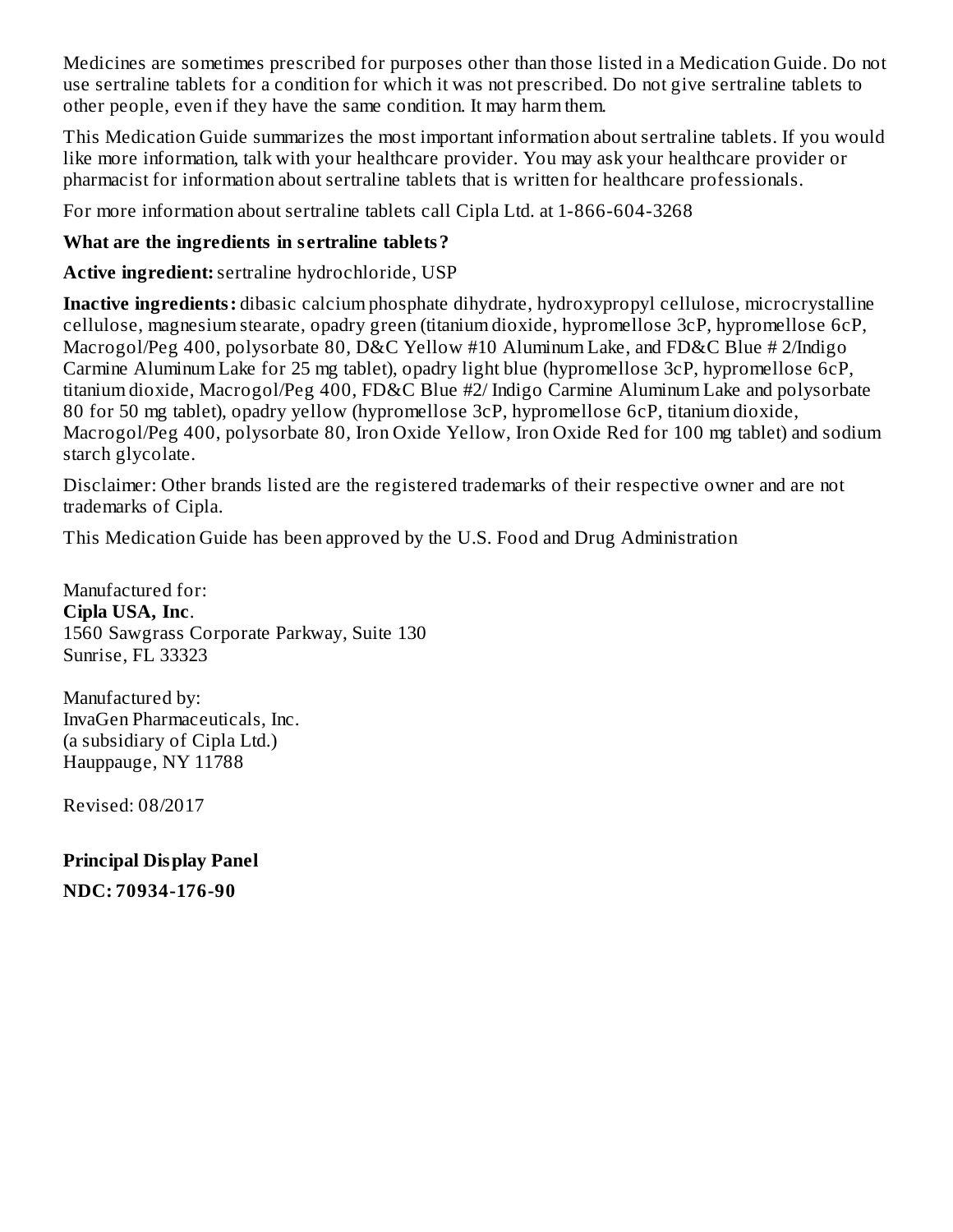Medicines are sometimes prescribed for purposes other than those listed in a Medication Guide. Do not use sertraline tablets for a condition for which it was not prescribed. Do not give sertraline tablets to other people, even if they have the same condition. It may harm them.

This Medication Guide summarizes the most important information about sertraline tablets. If you would like more information, talk with your healthcare provider. You may ask your healthcare provider or pharmacist for information about sertraline tablets that is written for healthcare professionals.

For more information about sertraline tablets call Cipla Ltd. at 1-866-604-3268

#### **What are the ingredients in s ertraline tablets?**

**Active ingredient:**sertraline hydrochloride, USP

**Inactive ingredients:** dibasic calcium phosphate dihydrate, hydroxypropyl cellulose, microcrystalline cellulose, magnesium stearate, opadry green (titanium dioxide, hypromellose 3cP, hypromellose 6cP, Macrogol/Peg 400, polysorbate 80, D&C Yellow #10 Aluminum Lake, and FD&C Blue # 2/Indigo Carmine Aluminum Lake for 25 mg tablet), opadry light blue (hypromellose 3cP, hypromellose 6cP, titanium dioxide, Macrogol/Peg 400, FD&C Blue #2/ Indigo Carmine Aluminum Lake and polysorbate 80 for 50 mg tablet), opadry yellow (hypromellose 3cP, hypromellose 6cP, titanium dioxide, Macrogol/Peg 400, polysorbate 80, Iron Oxide Yellow, Iron Oxide Red for 100 mg tablet) and sodium starch glycolate.

Disclaimer: Other brands listed are the registered trademarks of their respective owner and are not trademarks of Cipla.

This Medication Guide has been approved by the U.S. Food and Drug Administration

Manufactured for: **Cipla USA, Inc**. 1560 Sawgrass Corporate Parkway, Suite 130 Sunrise, FL 33323

Manufactured by: InvaGen Pharmaceuticals, Inc. (a subsidiary of Cipla Ltd.) Hauppauge, NY 11788

Revised: 08/2017

**Principal Display Panel NDC: 70934-176-90**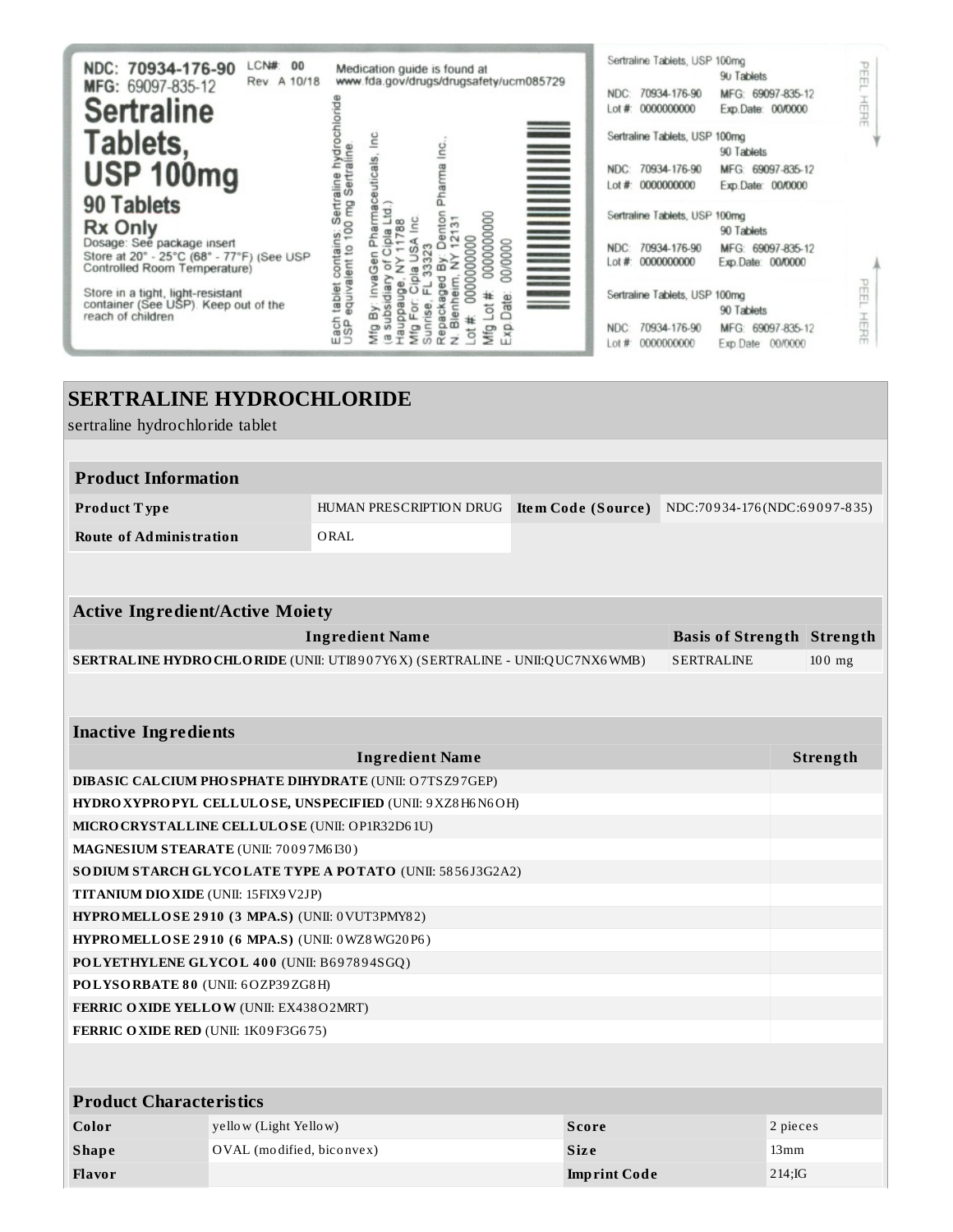| LCN#:<br>00<br>NDC: 70934-176-90<br>Rev. A 10/18<br>MFG: 69097-835-12<br><b>Sertraline</b>                                              | Medication guide is found at<br>www.fda.gov/drugs/drugsafety/ucm085729                                                                                                          | Sertraline Tablets, USP 100mg<br>PEEL<br>90 Tablets<br>70934-176-90<br>MFG: 69097-835-12<br>NDC:<br>HERE<br>0000000000<br>Exp. Date: 00/0000<br>$#$ to $\pm$ |
|-----------------------------------------------------------------------------------------------------------------------------------------|---------------------------------------------------------------------------------------------------------------------------------------------------------------------------------|--------------------------------------------------------------------------------------------------------------------------------------------------------------|
| Tablets,<br><b>USP 100mg</b>                                                                                                            | <b>THE REAL PROPERTY AND REAL</b><br>lnc<br>lnc.<br>euticals<br>Pharma                                                                                                          | Sertraline Tablets, USP 100mg<br>90 Tablets<br>70934-176-90<br>MFG:<br>69097-835-12<br>NDC:<br>0000000000<br>Exp. Date: 00/0000<br>ot#                       |
| 90 Tablets<br><b>Rx Only</b><br>Dosage: See package insert<br>Store at 20° - 25°C (68° - 77°F) (See USP<br>Controlled Room Temperature) | contains: Sertraline hydrocl<br>lent to 100 mg Sertraline.<br>္ထိ<br>g<br>00000000000<br>œ<br>œ<br>pla<br>0000000<br>00/0000<br>Φ<br>ക്<br>ㅎ<br>Ū<br>z                          | Sertraline Tablets, USP 100mg<br>90 Tablets<br>70934-176-90<br>NDC:<br>MFG: 69097-835-12<br>Lot #: 0000000000<br>Exp.Date: 00/0000                           |
| Store in a tight, light-resistant<br>container (See USP). Keep out of the<br>reach of children                                          | equivalent to<br>ln va<br>tablet<br>80<br>ᆷ<br>ate<br>$\overline{a}$<br>ά<br>ale<br>Ble<br>Repa<br>Each<br>USP<br>lme⊦<br>Sun<br>Exp<br>Мfg<br>Mfg<br>Mfg<br>ă<br>ź<br>$\varpi$ | PEEL<br>Sertraline Tablets, USP 100mg<br>90 Tablets<br>HERE<br>70934-176-90<br>NDC:<br>MFG: 69097-835-12<br>0000000000<br>Lot #:<br>Exp.Date: 00/0000        |

# **SERTRALINE HYDROCHLORIDE**

sertraline hydrochloride tablet

| <b>Product Information</b> |                         |  |                                                        |
|----------------------------|-------------------------|--|--------------------------------------------------------|
| Product Type               | HUMAN PRESCRIPTION DRUG |  | <b>Item Code (Source)</b> NDC:70934-176(NDC:69097-835) |
| Route of Administration    | ORAL                    |  |                                                        |

| <b>Active Ingredient/Active Moiety</b>                                              |                                   |          |  |
|-------------------------------------------------------------------------------------|-----------------------------------|----------|--|
| Ingredient Name                                                                     | <b>Basis of Strength Strength</b> |          |  |
| <b>SERTRALINE HYDRO CHLO RIDE (UNII: UTI8907Y6X) (SERTRALINE - UNII:QUC7NX6WMB)</b> | SERTRALINE                        | $100$ mg |  |
|                                                                                     |                                   |          |  |

## **Inactive Ingredients**

| <b>Ingredient Name</b>                                              | Strength |
|---------------------------------------------------------------------|----------|
| <b>DIBASIC CALCIUM PHOSPHATE DIHYDRATE (UNII: O7TSZ97GEP)</b>       |          |
| <b>HYDRO XYPROPYL CELLULOSE, UNSPECIFIED (UNII: 9 XZ8 H6 N6 OH)</b> |          |
| MICRO CRYSTALLINE CELLULO SE (UNII: OP1R32D61U)                     |          |
| MAGNESIUM STEARATE (UNII: 70097M6I30)                               |          |
| <b>SODIUM STARCH GLYCOLATE TYPE A POTATO (UNII: 5856J3G2A2)</b>     |          |
| <b>TITANIUM DIO XIDE (UNII: 15FIX9 V2JP)</b>                        |          |
| <b>HYPROMELLOSE 2910 (3 MPA.S) (UNII: 0 VUT3PMY82)</b>              |          |
| <b>HYPROMELLOSE 2910 (6 MPA.S) (UNII: 0WZ8WG20P6)</b>               |          |
| POLYETHYLENE GLYCOL 400 (UNII: B697894SGQ)                          |          |
| POLYSORBATE 80 (UNII: 6OZP39ZG8H)                                   |          |
| <b>FERRIC OXIDE YELLOW (UNII: EX438O2MRT)</b>                       |          |
| <b>FERRIC OXIDE RED (UNII: 1K09F3G675)</b>                          |          |
|                                                                     |          |

| <b>Product Characteristics</b> |                           |                     |          |  |
|--------------------------------|---------------------------|---------------------|----------|--|
| Color                          | yellow (Light Yellow)     | Score               | 2 pieces |  |
| <b>Shape</b>                   | OVAL (modified, biconvex) | <b>Size</b>         | 13mm     |  |
| Flavor                         |                           | <b>Imprint Code</b> | 214;IG   |  |